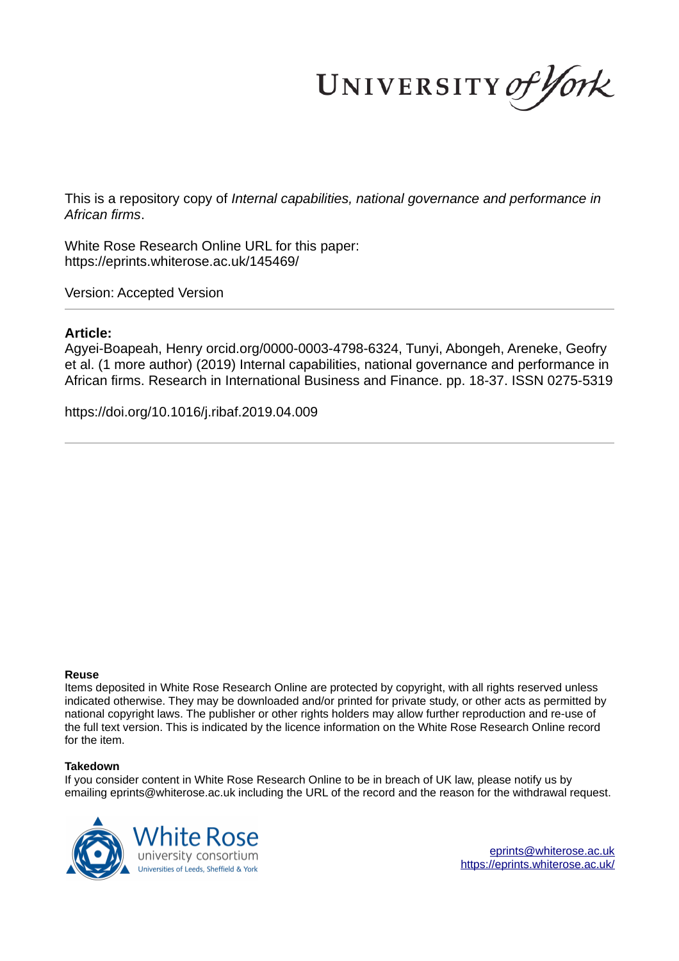UNIVERSITY of York

This is a repository copy of *Internal capabilities, national governance and performance in African firms*.

White Rose Research Online URL for this paper: https://eprints.whiterose.ac.uk/145469/

Version: Accepted Version

## **Article:**

Agyei-Boapeah, Henry orcid.org/0000-0003-4798-6324, Tunyi, Abongeh, Areneke, Geofry et al. (1 more author) (2019) Internal capabilities, national governance and performance in African firms. Research in International Business and Finance. pp. 18-37. ISSN 0275-5319

https://doi.org/10.1016/j.ribaf.2019.04.009

#### **Reuse**

Items deposited in White Rose Research Online are protected by copyright, with all rights reserved unless indicated otherwise. They may be downloaded and/or printed for private study, or other acts as permitted by national copyright laws. The publisher or other rights holders may allow further reproduction and re-use of the full text version. This is indicated by the licence information on the White Rose Research Online record for the item.

#### **Takedown**

If you consider content in White Rose Research Online to be in breach of UK law, please notify us by emailing eprints@whiterose.ac.uk including the URL of the record and the reason for the withdrawal request.



eprints@whiterose.ac.uk https://eprints.whiterose.ac.uk/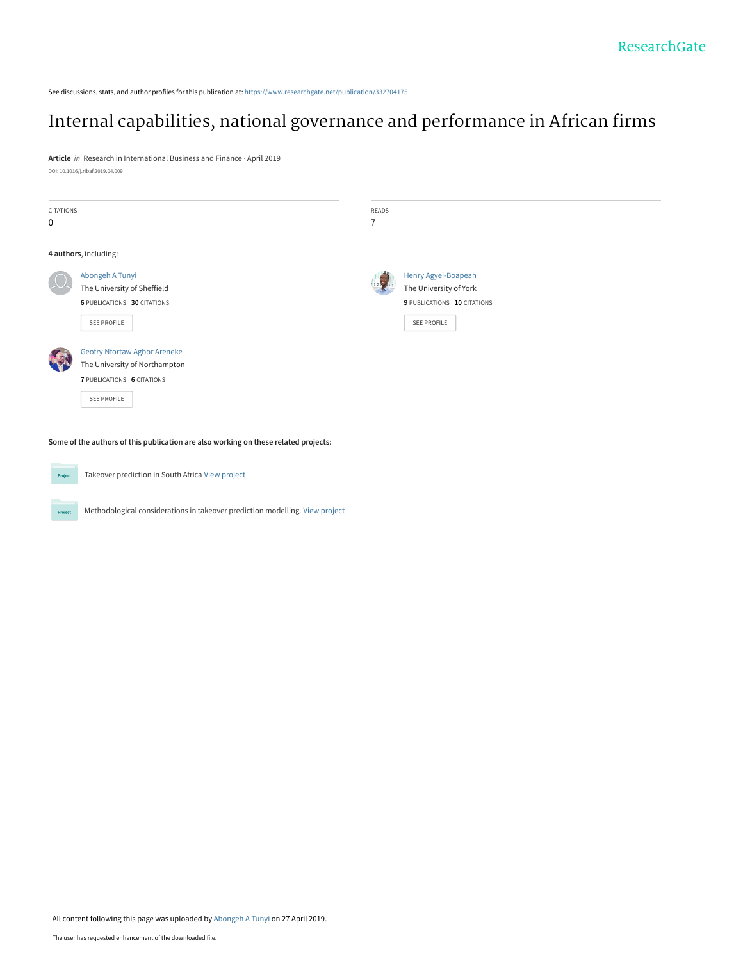See discussions, stats, and author profiles for this publication at: [https://www.researchgate.net/publication/332704175](https://www.researchgate.net/publication/332704175_Internal_capabilities_national_governance_and_performance_in_African_firms?enrichId=rgreq-1183d212bf73fb0a476a5e4a83c10eda-XXX&enrichSource=Y292ZXJQYWdlOzMzMjcwNDE3NTtBUzo3NTIzMTkyNjQyMDI3NTJAMTU1NjM3ODI5ODc0OQ%3D%3D&el=1_x_2&_esc=publicationCoverPdf)

# [Internal capabilities, national governance and performance in African firms](https://www.researchgate.net/publication/332704175_Internal_capabilities_national_governance_and_performance_in_African_firms?enrichId=rgreq-1183d212bf73fb0a476a5e4a83c10eda-XXX&enrichSource=Y292ZXJQYWdlOzMzMjcwNDE3NTtBUzo3NTIzMTkyNjQyMDI3NTJAMTU1NjM3ODI5ODc0OQ%3D%3D&el=1_x_3&_esc=publicationCoverPdf)

**Article** in Research in International Business and Finance · April 2019 DOI: 10.1016/j.ribaf.2019.04.009

| <b>CITATIONS</b><br>$\mathbf 0$ |                                                                                                                          | READS<br>$\overline{7}$ |                                                                                             |
|---------------------------------|--------------------------------------------------------------------------------------------------------------------------|-------------------------|---------------------------------------------------------------------------------------------|
|                                 | 4 authors, including:                                                                                                    |                         |                                                                                             |
|                                 | Abongeh A Tunyi<br>The University of Sheffield<br>6 PUBLICATIONS 30 CITATIONS<br>SEE PROFILE                             | 19                      | Henry Agyei-Boapeah<br>The University of York<br>9 PUBLICATIONS 10 CITATIONS<br>SEE PROFILE |
|                                 | <b>Geofry Nfortaw Agbor Areneke</b><br>The University of Northampton<br><b>7 PUBLICATIONS 6 CITATIONS</b><br>SEE PROFILE |                         |                                                                                             |

**Some of the authors of this publication are also working on these related projects:**



Projec

Takeover prediction in South Africa [View project](https://www.researchgate.net/project/Takeover-prediction-in-South-Africa?enrichId=rgreq-1183d212bf73fb0a476a5e4a83c10eda-XXX&enrichSource=Y292ZXJQYWdlOzMzMjcwNDE3NTtBUzo3NTIzMTkyNjQyMDI3NTJAMTU1NjM3ODI5ODc0OQ%3D%3D&el=1_x_9&_esc=publicationCoverPdf)

Methodological considerations in takeover prediction modelling. [View project](https://www.researchgate.net/project/Methodological-considerations-in-takeover-prediction-modelling?enrichId=rgreq-1183d212bf73fb0a476a5e4a83c10eda-XXX&enrichSource=Y292ZXJQYWdlOzMzMjcwNDE3NTtBUzo3NTIzMTkyNjQyMDI3NTJAMTU1NjM3ODI5ODc0OQ%3D%3D&el=1_x_9&_esc=publicationCoverPdf)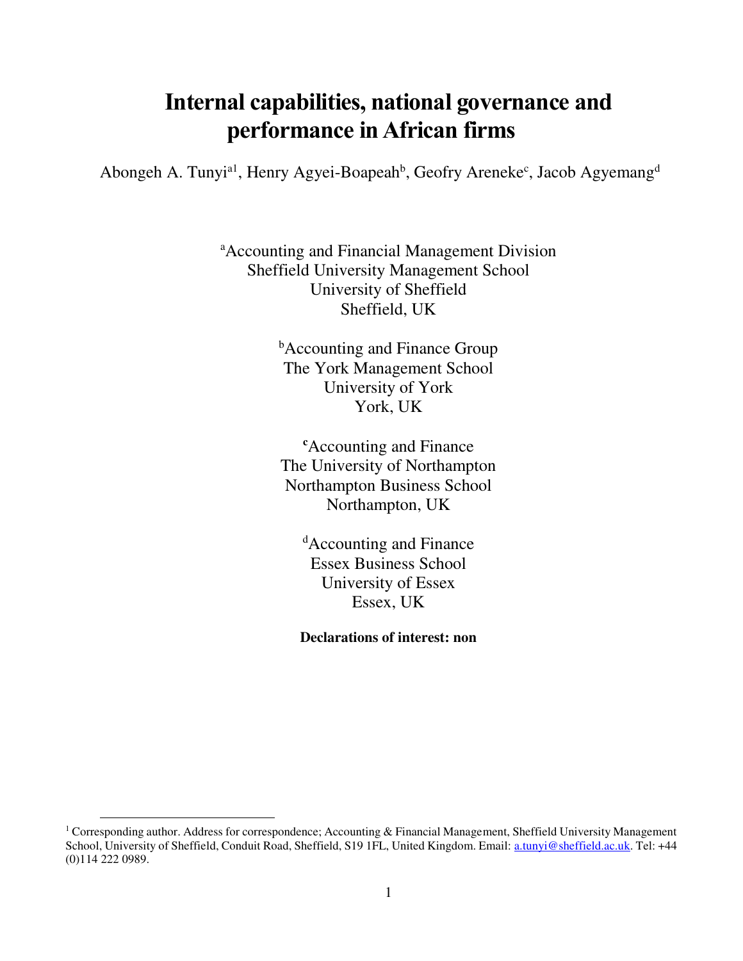# **Internal capabilities, national governance and performance in African firms**

Abongeh A. Tunyi<sup>a1</sup>, Henry Agyei-Boapeah<sup>b</sup>, Geofry Areneke<sup>c</sup>, Jacob Agyemang<sup>d</sup>

<sup>a</sup>Accounting and Financial Management Division Sheffield University Management School University of Sheffield Sheffield, UK

> **b**Accounting and Finance Group The York Management School University of York York, UK

**<sup>c</sup>**Accounting and Finance The University of Northampton Northampton Business School Northampton, UK

<sup>d</sup>Accounting and Finance Essex Business School University of Essex Essex, UK

**Declarations of interest: non**

 $\overline{a}$ 

<sup>&</sup>lt;sup>1</sup> Corresponding author. Address for correspondence; Accounting & Financial Management, Sheffield University Management School, University of Sheffield, Conduit Road, Sheffield, S19 1FL, United Kingdom. Email: [a.tunyi@sheffield.ac.uk.](mailto:a.tunyi@sheffield.ac.uk) Tel: +44 (0)114 222 0989.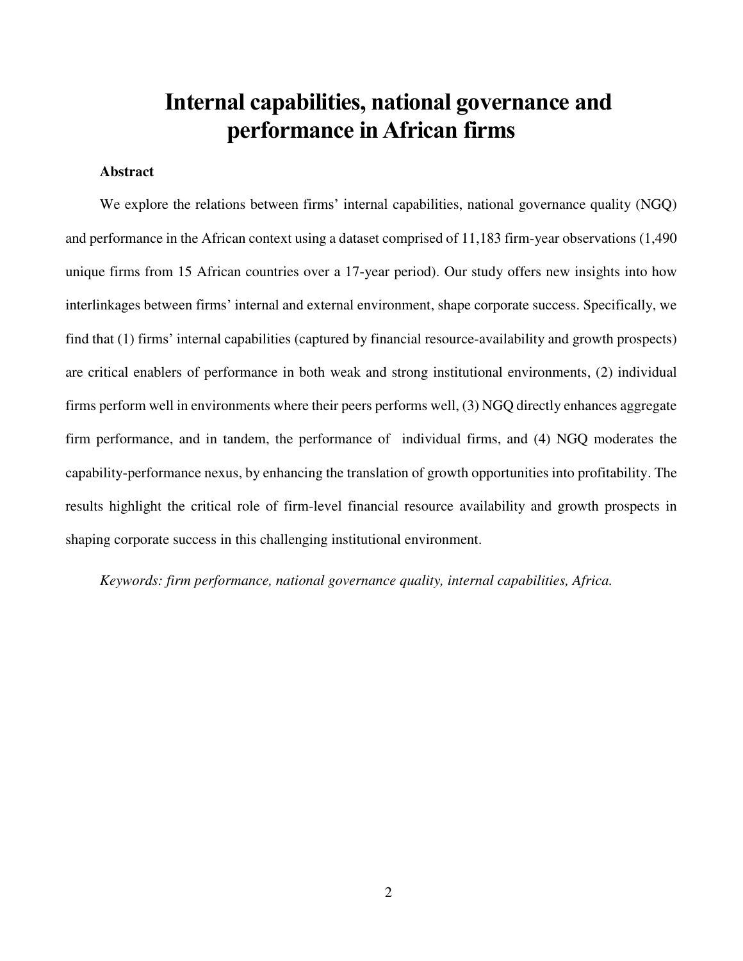# **Internal capabilities, national governance and performance in African firms**

#### **Abstract**

We explore the relations between firms' internal capabilities, national governance quality (NGQ) and performance in the African context using a dataset comprised of 11,183 firm-year observations (1,490 unique firms from 15 African countries over a 17-year period). Our study offers new insights into how interlinkages between firms' internal and external environment, shape corporate success. Specifically, we find that (1) firms' internal capabilities (captured by financial resource-availability and growth prospects) are critical enablers of performance in both weak and strong institutional environments, (2) individual firms perform well in environments where their peers performs well, (3) NGQ directly enhances aggregate firm performance, and in tandem, the performance of individual firms, and (4) NGQ moderates the capability-performance nexus, by enhancing the translation of growth opportunities into profitability. The results highlight the critical role of firm-level financial resource availability and growth prospects in shaping corporate success in this challenging institutional environment.

*Keywords: firm performance, national governance quality, internal capabilities, Africa.*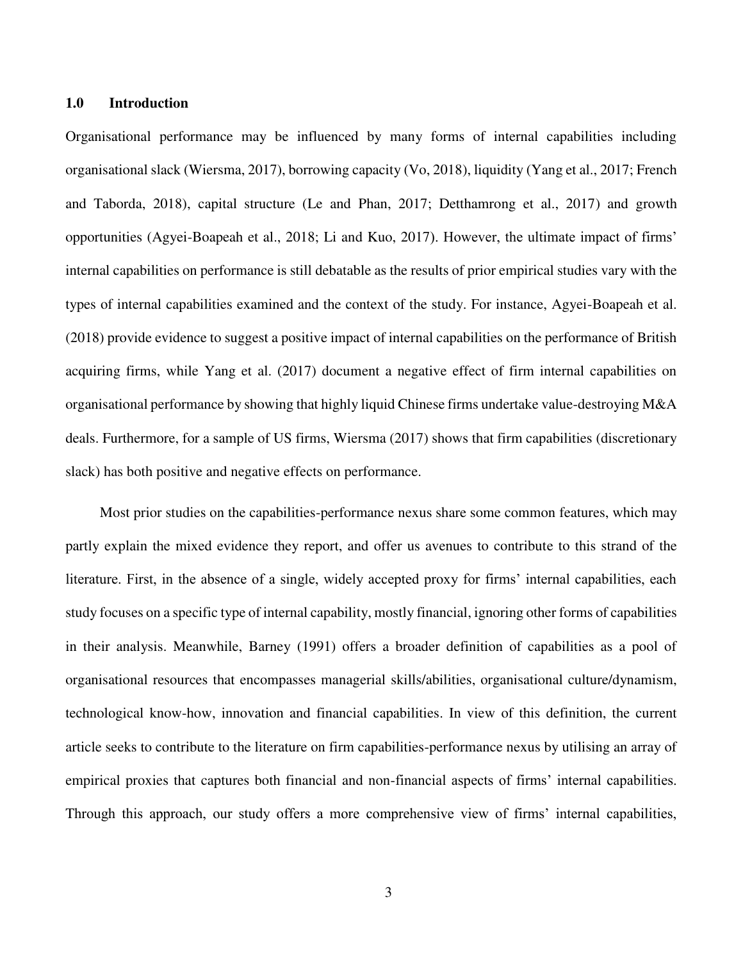#### **1.0 Introduction**

Organisational performance may be influenced by many forms of internal capabilities including organisational slack (Wiersma, 2017), borrowing capacity (Vo, 2018), liquidity (Yang et al., 2017; French and Taborda, 2018), capital structure (Le and Phan, 2017; Detthamrong et al., 2017) and growth opportunities (Agyei-Boapeah et al., 2018; Li and Kuo, 2017). However, the ultimate impact of firms' internal capabilities on performance is still debatable as the results of prior empirical studies vary with the types of internal capabilities examined and the context of the study. For instance, Agyei-Boapeah et al. (2018) provide evidence to suggest a positive impact of internal capabilities on the performance of British acquiring firms, while Yang et al. (2017) document a negative effect of firm internal capabilities on organisational performance by showing that highly liquid Chinese firms undertake value-destroying M&A deals. Furthermore, for a sample of US firms, Wiersma (2017) shows that firm capabilities (discretionary slack) has both positive and negative effects on performance.

Most prior studies on the capabilities-performance nexus share some common features, which may partly explain the mixed evidence they report, and offer us avenues to contribute to this strand of the literature. First, in the absence of a single, widely accepted proxy for firms' internal capabilities, each study focuses on a specific type of internal capability, mostly financial, ignoring other forms of capabilities in their analysis. Meanwhile, Barney (1991) offers a broader definition of capabilities as a pool of organisational resources that encompasses managerial skills/abilities, organisational culture/dynamism, technological know-how, innovation and financial capabilities. In view of this definition, the current article seeks to contribute to the literature on firm capabilities-performance nexus by utilising an array of empirical proxies that captures both financial and non-financial aspects of firms' internal capabilities. Through this approach, our study offers a more comprehensive view of firms' internal capabilities,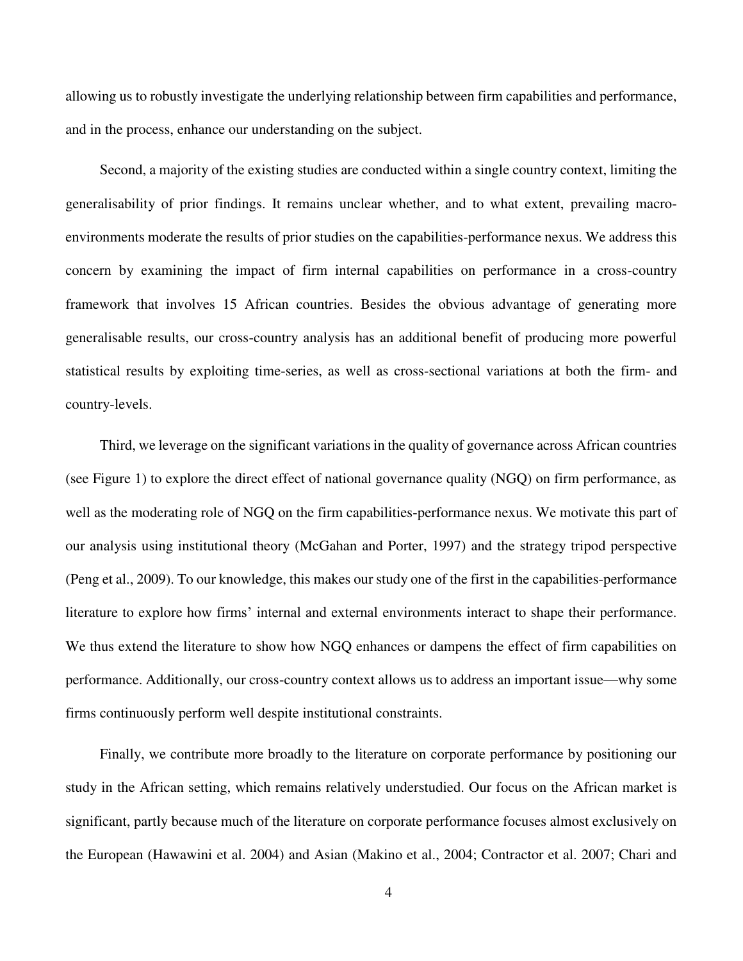allowing us to robustly investigate the underlying relationship between firm capabilities and performance, and in the process, enhance our understanding on the subject.

Second, a majority of the existing studies are conducted within a single country context, limiting the generalisability of prior findings. It remains unclear whether, and to what extent, prevailing macroenvironments moderate the results of prior studies on the capabilities-performance nexus. We address this concern by examining the impact of firm internal capabilities on performance in a cross-country framework that involves 15 African countries. Besides the obvious advantage of generating more generalisable results, our cross-country analysis has an additional benefit of producing more powerful statistical results by exploiting time-series, as well as cross-sectional variations at both the firm- and country-levels.

Third, we leverage on the significant variations in the quality of governance across African countries (see Figure 1) to explore the direct effect of national governance quality (NGQ) on firm performance, as well as the moderating role of NGQ on the firm capabilities-performance nexus. We motivate this part of our analysis using institutional theory (McGahan and Porter, 1997) and the strategy tripod perspective (Peng et al., 2009). To our knowledge, this makes our study one of the first in the capabilities-performance literature to explore how firms' internal and external environments interact to shape their performance. We thus extend the literature to show how NGQ enhances or dampens the effect of firm capabilities on performance. Additionally, our cross-country context allows us to address an important issue—why some firms continuously perform well despite institutional constraints.

Finally, we contribute more broadly to the literature on corporate performance by positioning our study in the African setting, which remains relatively understudied. Our focus on the African market is significant, partly because much of the literature on corporate performance focuses almost exclusively on the European (Hawawini et al. 2004) and Asian (Makino et al., 2004; Contractor et al. 2007; Chari and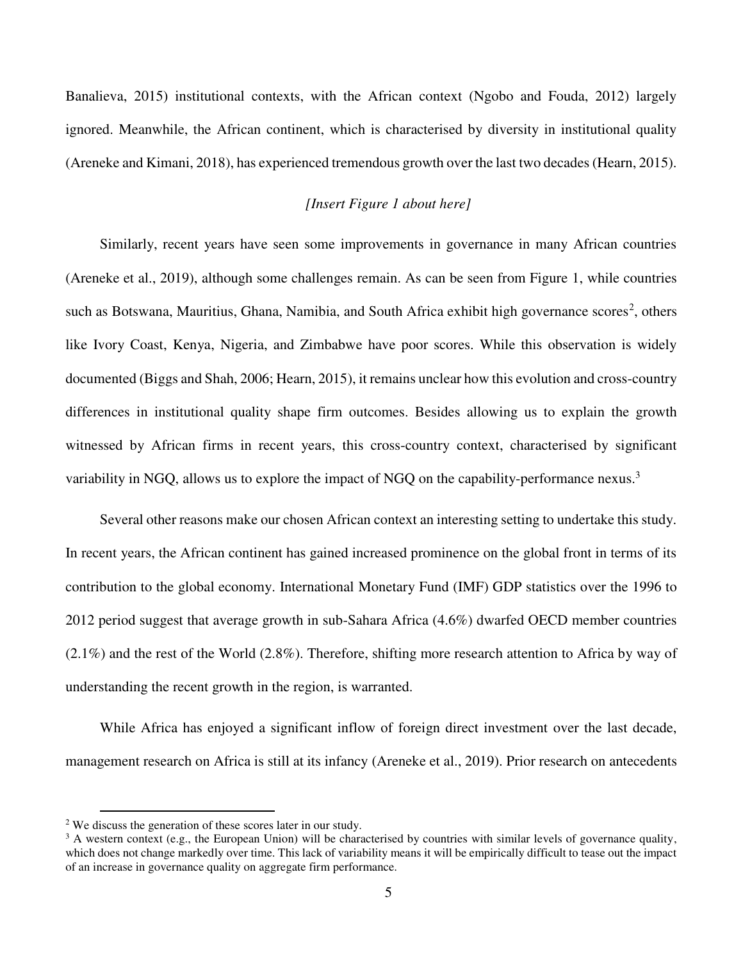Banalieva, 2015) institutional contexts, with the African context (Ngobo and Fouda, 2012) largely ignored. Meanwhile, the African continent, which is characterised by diversity in institutional quality (Areneke and Kimani, 2018), has experienced tremendous growth over the last two decades (Hearn, 2015).

## *[Insert Figure 1 about here]*

Similarly, recent years have seen some improvements in governance in many African countries (Areneke et al., 2019), although some challenges remain. As can be seen from Figure 1, while countries such as Botswana, Mauritius, Ghana, Namibia, and South Africa exhibit high governance scores<sup>2</sup>, others like Ivory Coast, Kenya, Nigeria, and Zimbabwe have poor scores. While this observation is widely documented (Biggs and Shah, 2006; Hearn, 2015), it remains unclear how this evolution and cross-country differences in institutional quality shape firm outcomes. Besides allowing us to explain the growth witnessed by African firms in recent years, this cross-country context, characterised by significant variability in NGQ, allows us to explore the impact of NGQ on the capability-performance nexus.<sup>3</sup>

Several other reasons make our chosen African context an interesting setting to undertake this study. In recent years, the African continent has gained increased prominence on the global front in terms of its contribution to the global economy. International Monetary Fund (IMF) GDP statistics over the 1996 to 2012 period suggest that average growth in sub-Sahara Africa (4.6%) dwarfed OECD member countries (2.1%) and the rest of the World (2.8%). Therefore, shifting more research attention to Africa by way of understanding the recent growth in the region, is warranted.

While Africa has enjoyed a significant inflow of foreign direct investment over the last decade, management research on Africa is still at its infancy (Areneke et al., 2019). Prior research on antecedents

 $\overline{a}$ 

<sup>&</sup>lt;sup>2</sup> We discuss the generation of these scores later in our study.

 $3$  A western context (e.g., the European Union) will be characterised by countries with similar levels of governance quality, which does not change markedly over time. This lack of variability means it will be empirically difficult to tease out the impact of an increase in governance quality on aggregate firm performance.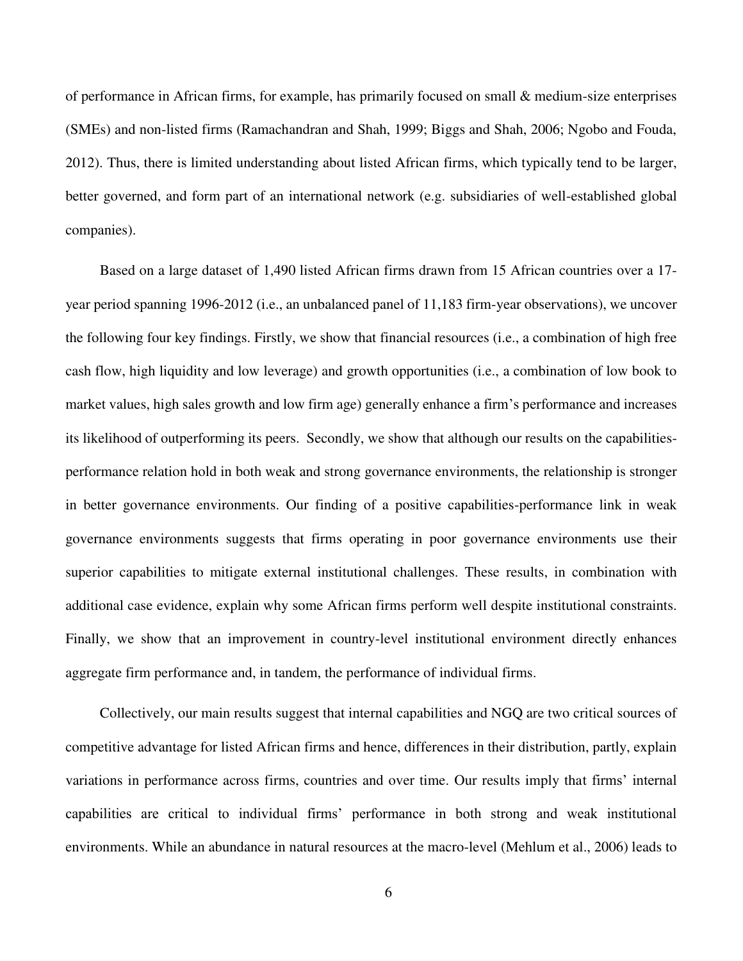of performance in African firms, for example, has primarily focused on small & medium-size enterprises (SMEs) and non-listed firms (Ramachandran and Shah, 1999; Biggs and Shah, 2006; Ngobo and Fouda, 2012). Thus, there is limited understanding about listed African firms, which typically tend to be larger, better governed, and form part of an international network (e.g. subsidiaries of well-established global companies).

Based on a large dataset of 1,490 listed African firms drawn from 15 African countries over a 17 year period spanning 1996-2012 (i.e., an unbalanced panel of 11,183 firm-year observations), we uncover the following four key findings. Firstly, we show that financial resources (i.e., a combination of high free cash flow, high liquidity and low leverage) and growth opportunities (i.e., a combination of low book to market values, high sales growth and low firm age) generally enhance a firm's performance and increases its likelihood of outperforming its peers. Secondly, we show that although our results on the capabilitiesperformance relation hold in both weak and strong governance environments, the relationship is stronger in better governance environments. Our finding of a positive capabilities-performance link in weak governance environments suggests that firms operating in poor governance environments use their superior capabilities to mitigate external institutional challenges. These results, in combination with additional case evidence, explain why some African firms perform well despite institutional constraints. Finally, we show that an improvement in country-level institutional environment directly enhances aggregate firm performance and, in tandem, the performance of individual firms.

Collectively, our main results suggest that internal capabilities and NGQ are two critical sources of competitive advantage for listed African firms and hence, differences in their distribution, partly, explain variations in performance across firms, countries and over time. Our results imply that firms' internal capabilities are critical to individual firms' performance in both strong and weak institutional environments. While an abundance in natural resources at the macro-level (Mehlum et al., 2006) leads to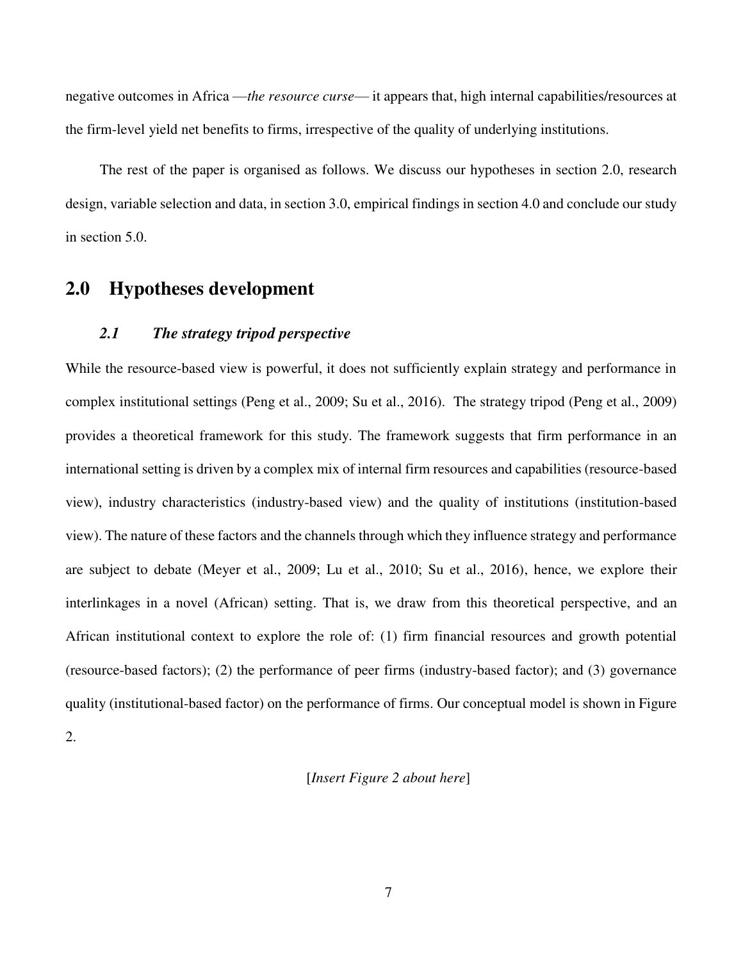negative outcomes in Africa —*the resource curse*— it appears that, high internal capabilities/resources at the firm-level yield net benefits to firms, irrespective of the quality of underlying institutions.

The rest of the paper is organised as follows. We discuss our hypotheses in section 2.0, research design, variable selection and data, in section 3.0, empirical findings in section 4.0 and conclude our study in section 5.0.

## **2.0 Hypotheses development**

## *2.1 The strategy tripod perspective*

While the resource-based view is powerful, it does not sufficiently explain strategy and performance in complex institutional settings (Peng et al., 2009; Su et al., 2016). The strategy tripod (Peng et al., 2009) provides a theoretical framework for this study. The framework suggests that firm performance in an international setting is driven by a complex mix of internal firm resources and capabilities (resource-based view), industry characteristics (industry-based view) and the quality of institutions (institution-based view). The nature of these factors and the channels through which they influence strategy and performance are subject to debate (Meyer et al., 2009; Lu et al., 2010; Su et al., 2016), hence, we explore their interlinkages in a novel (African) setting. That is, we draw from this theoretical perspective, and an African institutional context to explore the role of: (1) firm financial resources and growth potential (resource-based factors); (2) the performance of peer firms (industry-based factor); and (3) governance quality (institutional-based factor) on the performance of firms. Our conceptual model is shown in Figure

2.

### [*Insert Figure 2 about here*]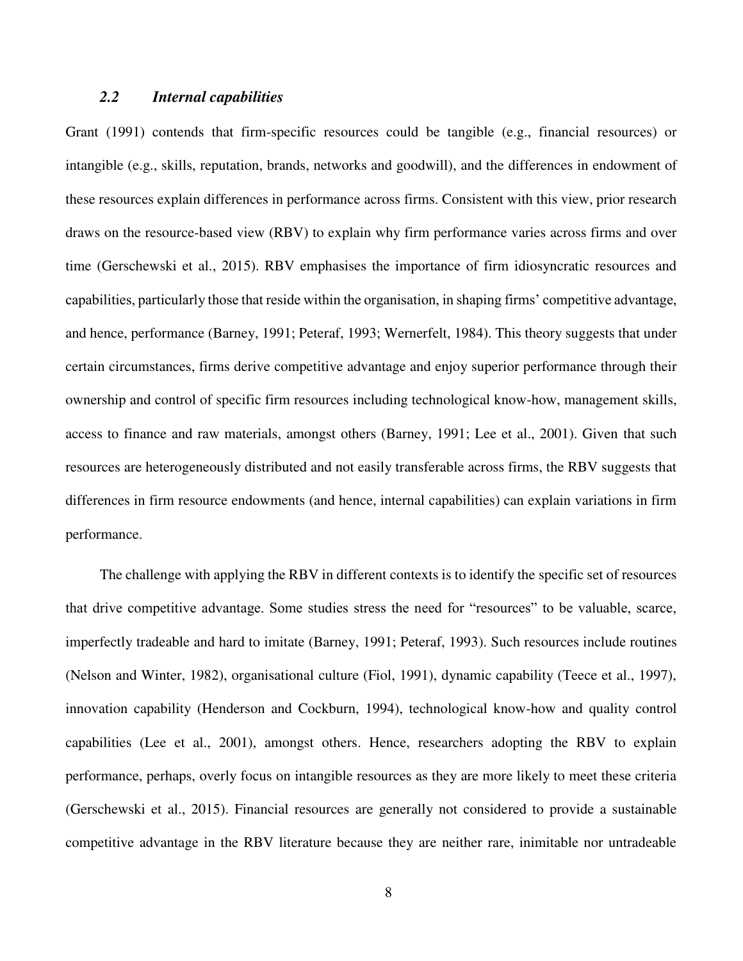## *2.2 Internal capabilities*

Grant (1991) contends that firm-specific resources could be tangible (e.g., financial resources) or intangible (e.g., skills, reputation, brands, networks and goodwill), and the differences in endowment of these resources explain differences in performance across firms. Consistent with this view, prior research draws on the resource-based view (RBV) to explain why firm performance varies across firms and over time (Gerschewski et al., 2015). RBV emphasises the importance of firm idiosyncratic resources and capabilities, particularly those that reside within the organisation, in shaping firms' competitive advantage, and hence, performance (Barney, 1991; Peteraf, 1993; Wernerfelt, 1984). This theory suggests that under certain circumstances, firms derive competitive advantage and enjoy superior performance through their ownership and control of specific firm resources including technological know-how, management skills, access to finance and raw materials, amongst others (Barney, 1991; Lee et al., 2001). Given that such resources are heterogeneously distributed and not easily transferable across firms, the RBV suggests that differences in firm resource endowments (and hence, internal capabilities) can explain variations in firm performance.

The challenge with applying the RBV in different contexts is to identify the specific set of resources that drive competitive advantage. Some studies stress the need for "resources" to be valuable, scarce, imperfectly tradeable and hard to imitate (Barney, 1991; Peteraf, 1993). Such resources include routines (Nelson and Winter, 1982), organisational culture (Fiol, 1991), dynamic capability (Teece et al., 1997), innovation capability (Henderson and Cockburn, 1994), technological know-how and quality control capabilities (Lee et al., 2001), amongst others. Hence, researchers adopting the RBV to explain performance, perhaps, overly focus on intangible resources as they are more likely to meet these criteria (Gerschewski et al., 2015). Financial resources are generally not considered to provide a sustainable competitive advantage in the RBV literature because they are neither rare, inimitable nor untradeable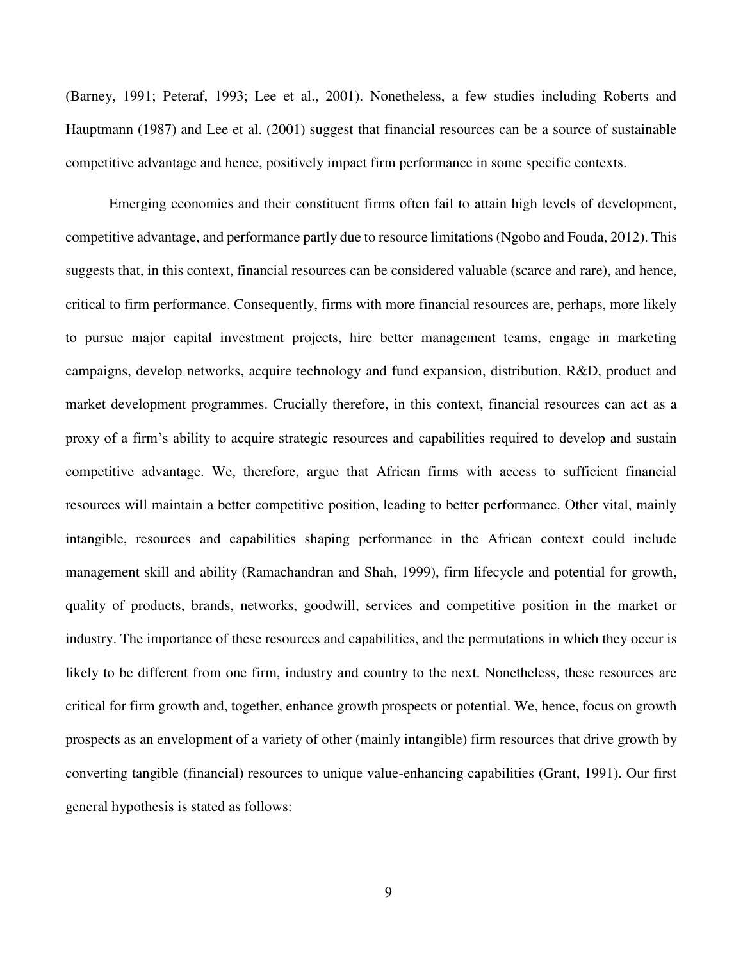(Barney, 1991; Peteraf, 1993; Lee et al., 2001). Nonetheless, a few studies including Roberts and Hauptmann (1987) and Lee et al. (2001) suggest that financial resources can be a source of sustainable competitive advantage and hence, positively impact firm performance in some specific contexts.

Emerging economies and their constituent firms often fail to attain high levels of development, competitive advantage, and performance partly due to resource limitations (Ngobo and Fouda, 2012). This suggests that, in this context, financial resources can be considered valuable (scarce and rare), and hence, critical to firm performance. Consequently, firms with more financial resources are, perhaps, more likely to pursue major capital investment projects, hire better management teams, engage in marketing campaigns, develop networks, acquire technology and fund expansion, distribution, R&D, product and market development programmes. Crucially therefore, in this context, financial resources can act as a proxy of a firm's ability to acquire strategic resources and capabilities required to develop and sustain competitive advantage. We, therefore, argue that African firms with access to sufficient financial resources will maintain a better competitive position, leading to better performance. Other vital, mainly intangible, resources and capabilities shaping performance in the African context could include management skill and ability (Ramachandran and Shah, 1999), firm lifecycle and potential for growth, quality of products, brands, networks, goodwill, services and competitive position in the market or industry. The importance of these resources and capabilities, and the permutations in which they occur is likely to be different from one firm, industry and country to the next. Nonetheless, these resources are critical for firm growth and, together, enhance growth prospects or potential. We, hence, focus on growth prospects as an envelopment of a variety of other (mainly intangible) firm resources that drive growth by converting tangible (financial) resources to unique value-enhancing capabilities (Grant, 1991). Our first general hypothesis is stated as follows: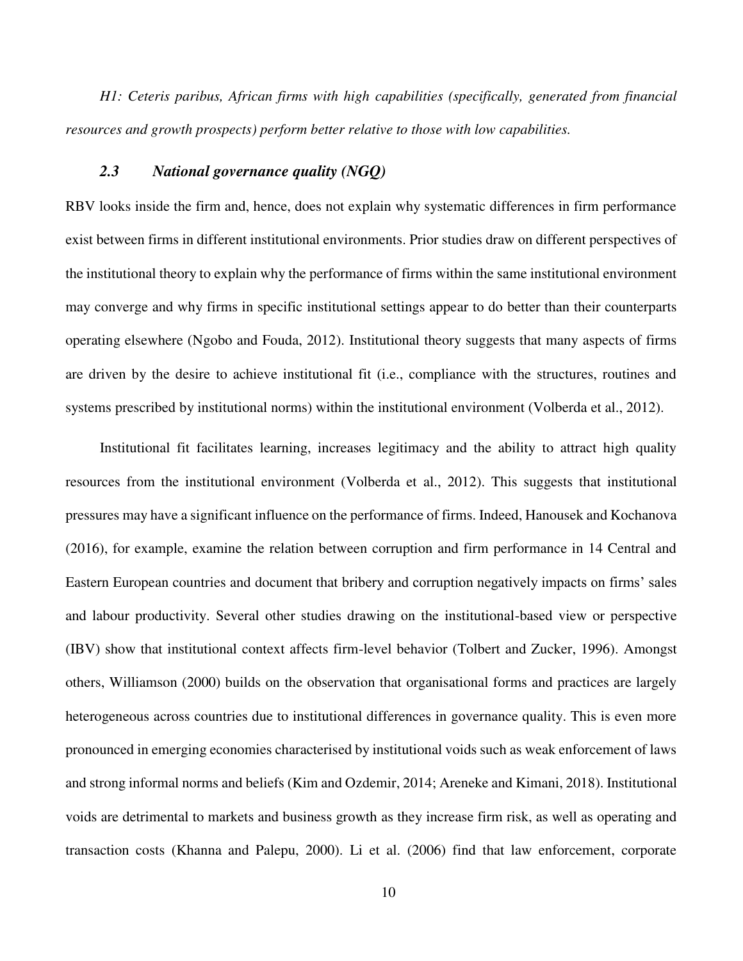*H1: Ceteris paribus, African firms with high capabilities (specifically, generated from financial resources and growth prospects) perform better relative to those with low capabilities.*

### *2.3 National governance quality (NGQ)*

RBV looks inside the firm and, hence, does not explain why systematic differences in firm performance exist between firms in different institutional environments. Prior studies draw on different perspectives of the institutional theory to explain why the performance of firms within the same institutional environment may converge and why firms in specific institutional settings appear to do better than their counterparts operating elsewhere (Ngobo and Fouda, 2012). Institutional theory suggests that many aspects of firms are driven by the desire to achieve institutional fit (i.e., compliance with the structures, routines and systems prescribed by institutional norms) within the institutional environment (Volberda et al., 2012).

Institutional fit facilitates learning, increases legitimacy and the ability to attract high quality resources from the institutional environment (Volberda et al., 2012). This suggests that institutional pressures may have a significant influence on the performance of firms. Indeed, Hanousek and Kochanova (2016), for example, examine the relation between corruption and firm performance in 14 Central and Eastern European countries and document that bribery and corruption negatively impacts on firms' sales and labour productivity. Several other studies drawing on the institutional-based view or perspective (IBV) show that institutional context affects firm-level behavior (Tolbert and Zucker, 1996). Amongst others, Williamson (2000) builds on the observation that organisational forms and practices are largely heterogeneous across countries due to institutional differences in governance quality. This is even more pronounced in emerging economies characterised by institutional voids such as weak enforcement of laws and strong informal norms and beliefs (Kim and Ozdemir, 2014; Areneke and Kimani, 2018). Institutional voids are detrimental to markets and business growth as they increase firm risk, as well as operating and transaction costs (Khanna and Palepu, 2000). Li et al. (2006) find that law enforcement, corporate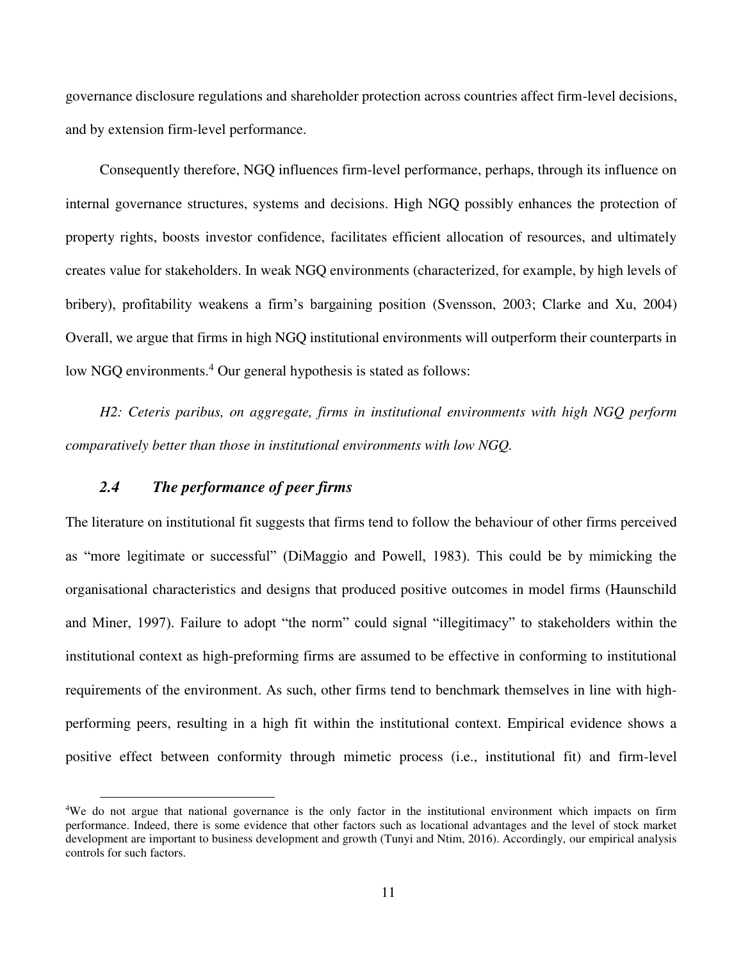governance disclosure regulations and shareholder protection across countries affect firm-level decisions, and by extension firm-level performance.

Consequently therefore, NGQ influences firm-level performance, perhaps, through its influence on internal governance structures, systems and decisions. High NGQ possibly enhances the protection of property rights, boosts investor confidence, facilitates efficient allocation of resources, and ultimately creates value for stakeholders. In weak NGQ environments (characterized, for example, by high levels of bribery), profitability weakens a firm's bargaining position (Svensson, 2003; Clarke and Xu, 2004) Overall, we argue that firms in high NGQ institutional environments will outperform their counterparts in low NGQ environments.<sup>4</sup> Our general hypothesis is stated as follows:

*H2: Ceteris paribus, on aggregate, firms in institutional environments with high NGQ perform comparatively better than those in institutional environments with low NGQ.* 

## *2.4 The performance of peer firms*

 $\overline{a}$ 

The literature on institutional fit suggests that firms tend to follow the behaviour of other firms perceived as "more legitimate or successful" (DiMaggio and Powell, 1983). This could be by mimicking the organisational characteristics and designs that produced positive outcomes in model firms (Haunschild and Miner, 1997). Failure to adopt "the norm" could signal "illegitimacy" to stakeholders within the institutional context as high-preforming firms are assumed to be effective in conforming to institutional requirements of the environment. As such, other firms tend to benchmark themselves in line with highperforming peers, resulting in a high fit within the institutional context. Empirical evidence shows a positive effect between conformity through mimetic process (i.e., institutional fit) and firm-level

<sup>4</sup>We do not argue that national governance is the only factor in the institutional environment which impacts on firm performance. Indeed, there is some evidence that other factors such as locational advantages and the level of stock market development are important to business development and growth (Tunyi and Ntim, 2016). Accordingly, our empirical analysis controls for such factors.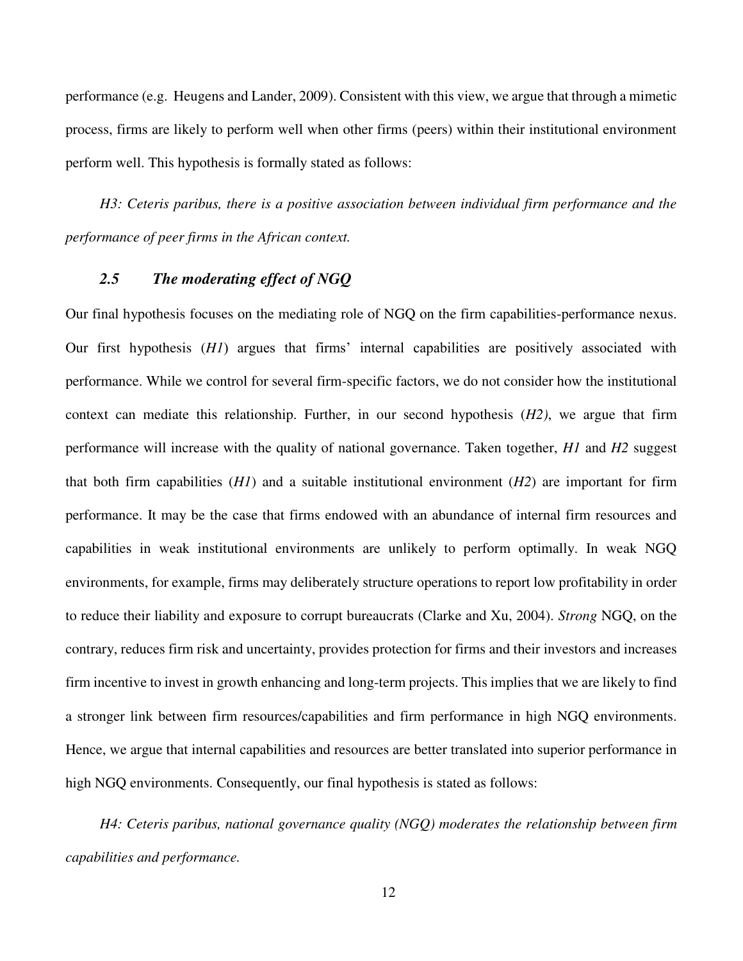performance (e.g. Heugens and Lander, 2009). Consistent with this view, we argue that through a mimetic process, firms are likely to perform well when other firms (peers) within their institutional environment perform well. This hypothesis is formally stated as follows:

*H3: Ceteris paribus, there is a positive association between individual firm performance and the performance of peer firms in the African context.* 

## *2.5 The moderating effect of NGQ*

Our final hypothesis focuses on the mediating role of NGQ on the firm capabilities-performance nexus. Our first hypothesis (*H1*) argues that firms' internal capabilities are positively associated with performance. While we control for several firm-specific factors, we do not consider how the institutional context can mediate this relationship. Further, in our second hypothesis (*H2)*, we argue that firm performance will increase with the quality of national governance. Taken together, *H1* and *H2* suggest that both firm capabilities (*H1*) and a suitable institutional environment (*H2*) are important for firm performance. It may be the case that firms endowed with an abundance of internal firm resources and capabilities in weak institutional environments are unlikely to perform optimally. In weak NGQ environments, for example, firms may deliberately structure operations to report low profitability in order to reduce their liability and exposure to corrupt bureaucrats (Clarke and Xu, 2004). *Strong* NGQ, on the contrary, reduces firm risk and uncertainty, provides protection for firms and their investors and increases firm incentive to invest in growth enhancing and long-term projects. This implies that we are likely to find a stronger link between firm resources/capabilities and firm performance in high NGQ environments. Hence, we argue that internal capabilities and resources are better translated into superior performance in high NGQ environments. Consequently, our final hypothesis is stated as follows:

*H4: Ceteris paribus, national governance quality (NGQ) moderates the relationship between firm capabilities and performance.*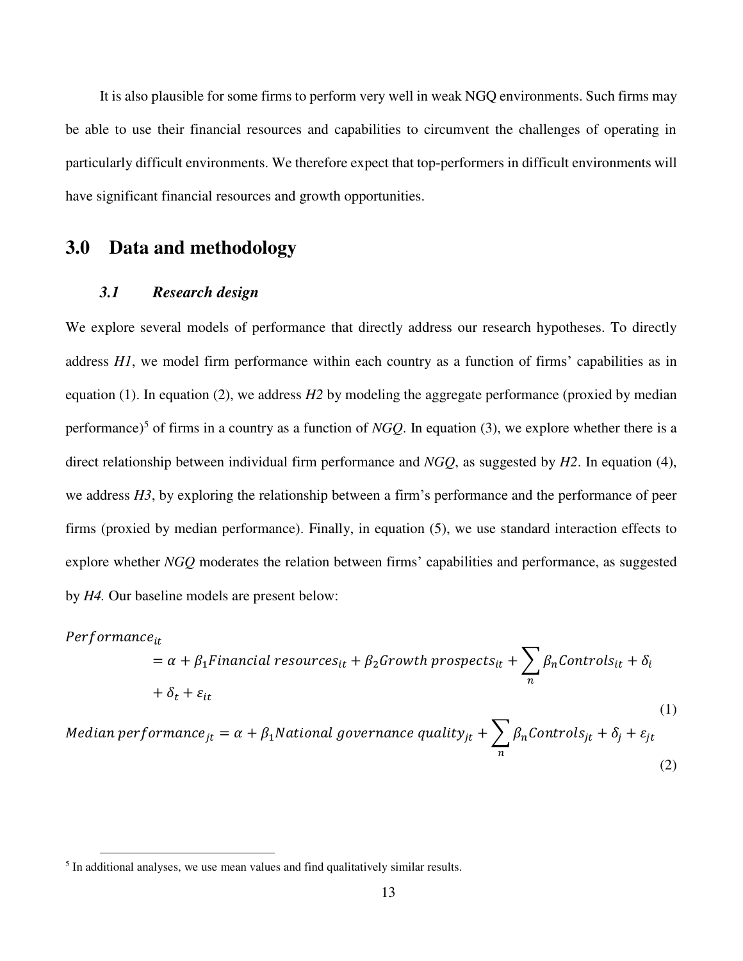It is also plausible for some firms to perform very well in weak NGQ environments. Such firms may be able to use their financial resources and capabilities to circumvent the challenges of operating in particularly difficult environments. We therefore expect that top-performers in difficult environments will have significant financial resources and growth opportunities.

## **3.0 Data and methodology**

#### *3.1 Research design*

We explore several models of performance that directly address our research hypotheses. To directly address *H1*, we model firm performance within each country as a function of firms' capabilities as in equation (1). In equation (2), we address *H2* by modeling the aggregate performance (proxied by median performance)<sup>5</sup> of firms in a country as a function of *NGQ*. In equation (3), we explore whether there is a direct relationship between individual firm performance and *NGQ*, as suggested by *H2*. In equation (4), we address *H3*, by exploring the relationship between a firm's performance and the performance of peer firms (proxied by median performance). Finally, in equation (5), we use standard interaction effects to explore whether *NGQ* moderates the relation between firms' capabilities and performance, as suggested by *H4.* Our baseline models are present below:

$$
Performance_{it}
$$
\n
$$
= \alpha + \beta_1 Financial\ resources_{it} + \beta_2 Growth\ prospects_{it} + \sum_n \beta_n Controls_{it} + \delta_i
$$
\n
$$
+ \delta_t + \varepsilon_{it}
$$
\n
$$
Median\ performance_{jt} = \alpha + \beta_1 National\ government\ quality_{jt} + \sum_n \beta_n Controls_{jt} + \delta_j + \varepsilon_{jt}
$$
\n(1)\n(2)

 $\overline{a}$ 

<sup>&</sup>lt;sup>5</sup> In additional analyses, we use mean values and find qualitatively similar results.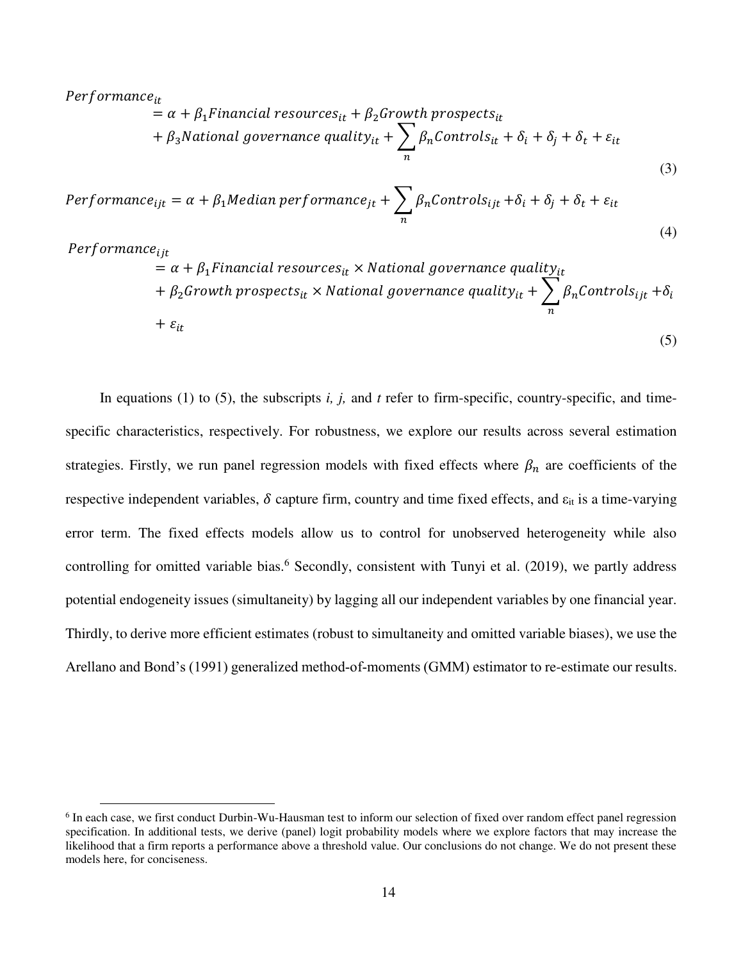### $Performance_{it}$

$$
= \alpha + \beta_1 \text{Financial resources}_{it} + \beta_2 \text{Growth prospects}_{it}
$$

$$
+ \beta_3 \text{National governance quality}_{it} + \sum_{n} \beta_n \text{Controls}_{it} + \delta_i + \delta_j + \delta_t + \varepsilon_{it}
$$

(3)

$$
Performance_{ijt} = \alpha + \beta_1 Median\,performance_{jt} + \sum_{n} \beta_n Controls_{ijt} + \delta_i + \delta_j + \delta_t + \varepsilon_{it}
$$
\n(4)

 $Performance_{iit}$ 

 $\overline{a}$ 

$$
= \alpha + \beta_1 \text{Financial resources}_{it} \times \text{National governance quality}_{it}
$$
  
+  $\beta_2 \text{Growth prospects}_{it} \times \text{National governance quality}_{it} + \sum_{n} \beta_n \text{Controls}_{ijt} + \delta_i$   
+  $\varepsilon_{it}$  (5)

In equations (1) to (5), the subscripts *i, j,* and *t* refer to firm-specific, country-specific, and timespecific characteristics, respectively. For robustness, we explore our results across several estimation strategies. Firstly, we run panel regression models with fixed effects where  $\beta_n$  are coefficients of the respective independent variables,  $\delta$  capture firm, country and time fixed effects, and  $\varepsilon_{it}$  is a time-varying error term. The fixed effects models allow us to control for unobserved heterogeneity while also controlling for omitted variable bias.<sup>6</sup> Secondly, consistent with Tunyi et al. (2019), we partly address potential endogeneity issues (simultaneity) by lagging all our independent variables by one financial year. Thirdly, to derive more efficient estimates (robust to simultaneity and omitted variable biases), we use the Arellano and Bond's (1991) generalized method-of-moments (GMM) estimator to re-estimate our results.

<sup>&</sup>lt;sup>6</sup> In each case, we first conduct Durbin-Wu-Hausman test to inform our selection of fixed over random effect panel regression specification. In additional tests, we derive (panel) logit probability models where we explore factors that may increase the likelihood that a firm reports a performance above a threshold value. Our conclusions do not change. We do not present these models here, for conciseness.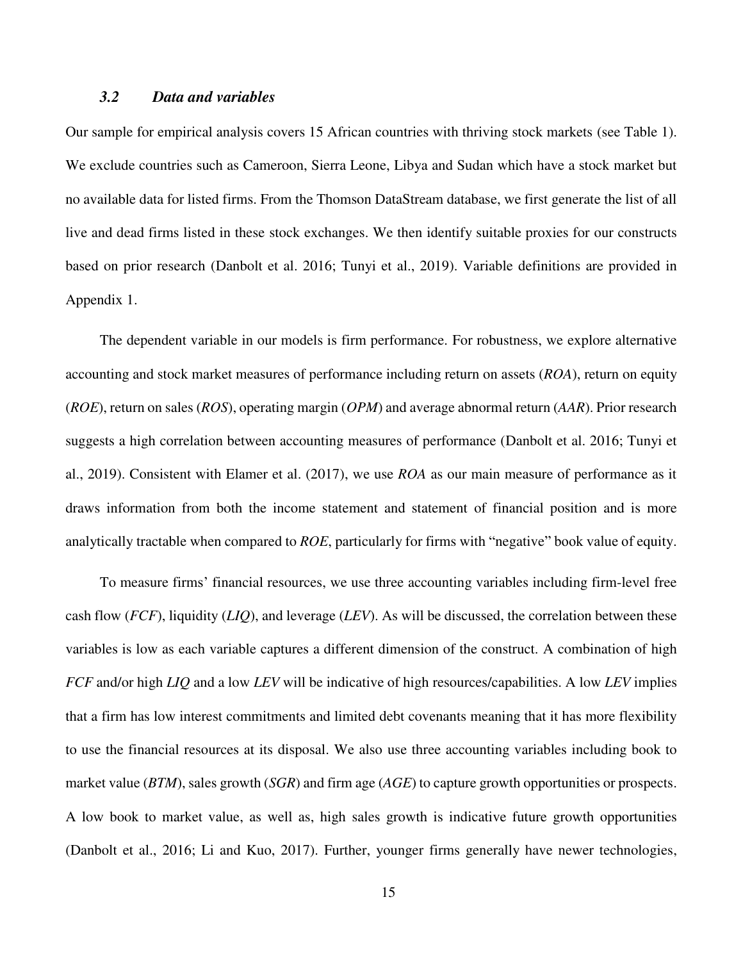### *3.2 Data and variables*

Our sample for empirical analysis covers 15 African countries with thriving stock markets (see Table 1). We exclude countries such as Cameroon, Sierra Leone, Libya and Sudan which have a stock market but no available data for listed firms. From the Thomson DataStream database, we first generate the list of all live and dead firms listed in these stock exchanges. We then identify suitable proxies for our constructs based on prior research (Danbolt et al. 2016; Tunyi et al., 2019). Variable definitions are provided in Appendix 1.

The dependent variable in our models is firm performance. For robustness, we explore alternative accounting and stock market measures of performance including return on assets (*ROA*), return on equity (*ROE*), return on sales (*ROS*), operating margin (*OPM*) and average abnormal return (*AAR*). Prior research suggests a high correlation between accounting measures of performance (Danbolt et al. 2016; Tunyi et al., 2019). Consistent with Elamer et al. (2017), we use *ROA* as our main measure of performance as it draws information from both the income statement and statement of financial position and is more analytically tractable when compared to *ROE*, particularly for firms with "negative" book value of equity.

To measure firms' financial resources, we use three accounting variables including firm-level free cash flow (*FCF*), liquidity (*LIQ*), and leverage (*LEV*). As will be discussed, the correlation between these variables is low as each variable captures a different dimension of the construct. A combination of high *FCF* and/or high *LIQ* and a low *LEV* will be indicative of high resources/capabilities. A low *LEV* implies that a firm has low interest commitments and limited debt covenants meaning that it has more flexibility to use the financial resources at its disposal. We also use three accounting variables including book to market value (*BTM*), sales growth (*SGR*) and firm age (*AGE*) to capture growth opportunities or prospects. A low book to market value, as well as, high sales growth is indicative future growth opportunities (Danbolt et al., 2016; Li and Kuo, 2017). Further, younger firms generally have newer technologies,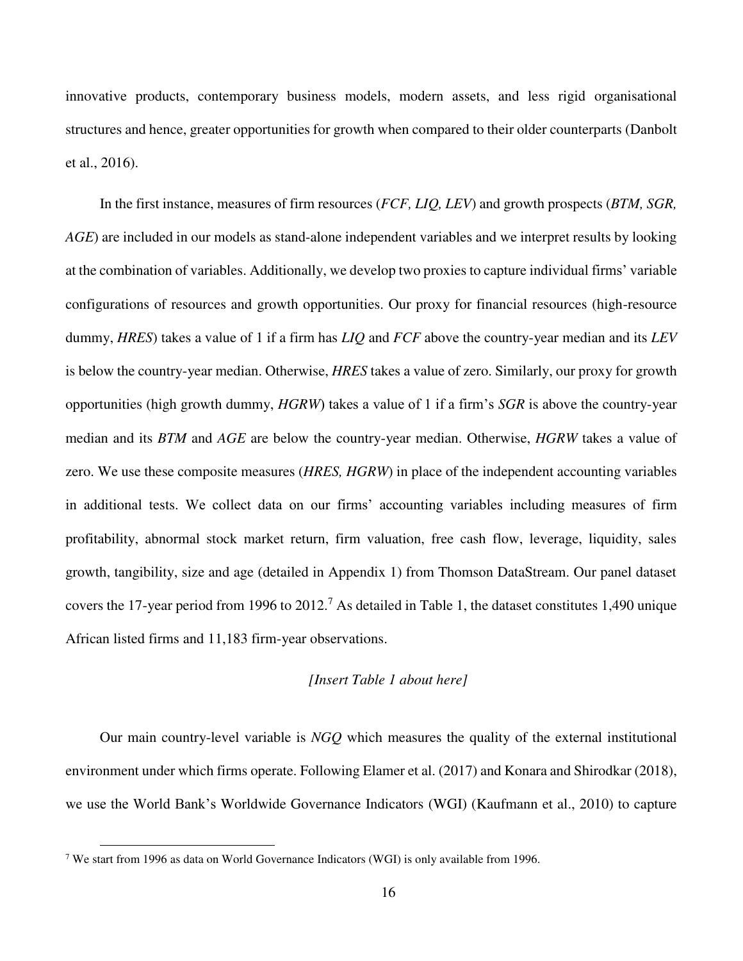innovative products, contemporary business models, modern assets, and less rigid organisational structures and hence, greater opportunities for growth when compared to their older counterparts (Danbolt et al., 2016).

In the first instance, measures of firm resources (*FCF, LIQ, LEV*) and growth prospects (*BTM, SGR, AGE*) are included in our models as stand-alone independent variables and we interpret results by looking at the combination of variables. Additionally, we develop two proxies to capture individual firms' variable configurations of resources and growth opportunities. Our proxy for financial resources (high-resource dummy, *HRES*) takes a value of 1 if a firm has *LIQ* and *FCF* above the country-year median and its *LEV* is below the country-year median. Otherwise, *HRES* takes a value of zero. Similarly, our proxy for growth opportunities (high growth dummy, *HGRW*) takes a value of 1 if a firm's *SGR* is above the country-year median and its *BTM* and *AGE* are below the country-year median. Otherwise, *HGRW* takes a value of zero. We use these composite measures (*HRES, HGRW*) in place of the independent accounting variables in additional tests. We collect data on our firms' accounting variables including measures of firm profitability, abnormal stock market return, firm valuation, free cash flow, leverage, liquidity, sales growth, tangibility, size and age (detailed in Appendix 1) from Thomson DataStream. Our panel dataset covers the 17-year period from 1996 to 2012.<sup>7</sup> As detailed in Table 1, the dataset constitutes 1,490 unique African listed firms and 11,183 firm-year observations.

### *[Insert Table 1 about here]*

Our main country-level variable is *NGQ* which measures the quality of the external institutional environment under which firms operate. Following Elamer et al. (2017) and Konara and Shirodkar (2018), we use the World Bank's Worldwide Governance Indicators (WGI) (Kaufmann et al., 2010) to capture

 $\overline{a}$ 

<sup>&</sup>lt;sup>7</sup> We start from 1996 as data on World Governance Indicators (WGI) is only available from 1996.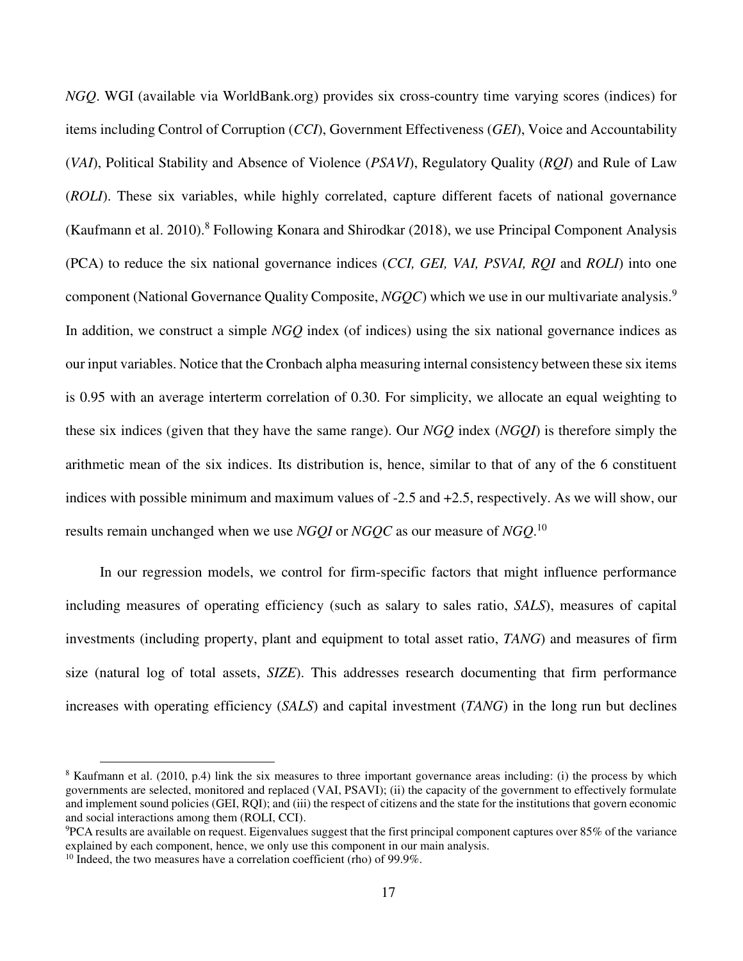*NGQ*. WGI (available via WorldBank.org) provides six cross-country time varying scores (indices) for items including Control of Corruption (*CCI*), Government Effectiveness (*GEI*), Voice and Accountability (*VAI*), Political Stability and Absence of Violence (*PSAVI*), Regulatory Quality (*RQI*) and Rule of Law (*ROLI*). These six variables, while highly correlated, capture different facets of national governance (Kaufmann et al. 2010).<sup>8</sup> Following Konara and Shirodkar (2018), we use Principal Component Analysis (PCA) to reduce the six national governance indices (*CCI, GEI, VAI, PSVAI, RQI* and *ROLI*) into one component (National Governance Quality Composite, *NGQC*) which we use in our multivariate analysis.<sup>9</sup> In addition, we construct a simple *NGQ* index (of indices) using the six national governance indices as our input variables. Notice that the Cronbach alpha measuring internal consistency between these six items is 0.95 with an average interterm correlation of 0.30. For simplicity, we allocate an equal weighting to these six indices (given that they have the same range). Our *NGQ* index (*NGQI*) is therefore simply the arithmetic mean of the six indices. Its distribution is, hence, similar to that of any of the 6 constituent indices with possible minimum and maximum values of -2.5 and +2.5, respectively. As we will show, our results remain unchanged when we use *NGQI* or *NGQC* as our measure of *NGQ*. 10

In our regression models, we control for firm-specific factors that might influence performance including measures of operating efficiency (such as salary to sales ratio, *SALS*), measures of capital investments (including property, plant and equipment to total asset ratio, *TANG*) and measures of firm size (natural log of total assets, *SIZE*). This addresses research documenting that firm performance increases with operating efficiency (*SALS*) and capital investment (*TANG*) in the long run but declines

 $\overline{a}$ 

<sup>&</sup>lt;sup>8</sup> Kaufmann et al. (2010, p.4) link the six measures to three important governance areas including: (i) the process by which governments are selected, monitored and replaced (VAI, PSAVI); (ii) the capacity of the government to effectively formulate and implement sound policies (GEI, RQI); and (iii) the respect of citizens and the state for the institutions that govern economic and social interactions among them (ROLI, CCI).

<sup>9</sup>PCA results are available on request. Eigenvalues suggest that the first principal component captures over 85% of the variance explained by each component, hence, we only use this component in our main analysis.

 $10$  Indeed, the two measures have a correlation coefficient (rho) of 99.9%.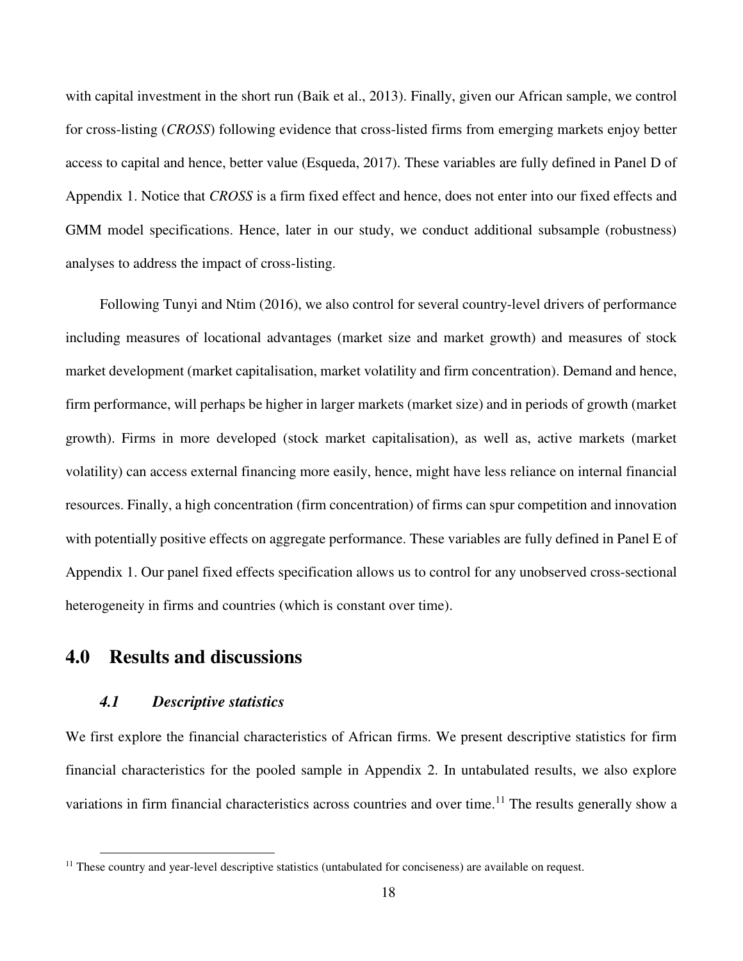with capital investment in the short run (Baik et al., 2013). Finally, given our African sample, we control for cross-listing (*CROSS*) following evidence that cross-listed firms from emerging markets enjoy better access to capital and hence, better value (Esqueda, 2017). These variables are fully defined in Panel D of Appendix 1. Notice that *CROSS* is a firm fixed effect and hence, does not enter into our fixed effects and GMM model specifications. Hence, later in our study, we conduct additional subsample (robustness) analyses to address the impact of cross-listing.

Following Tunyi and Ntim (2016), we also control for several country-level drivers of performance including measures of locational advantages (market size and market growth) and measures of stock market development (market capitalisation, market volatility and firm concentration). Demand and hence, firm performance, will perhaps be higher in larger markets (market size) and in periods of growth (market growth). Firms in more developed (stock market capitalisation), as well as, active markets (market volatility) can access external financing more easily, hence, might have less reliance on internal financial resources. Finally, a high concentration (firm concentration) of firms can spur competition and innovation with potentially positive effects on aggregate performance. These variables are fully defined in Panel E of Appendix 1. Our panel fixed effects specification allows us to control for any unobserved cross-sectional heterogeneity in firms and countries (which is constant over time).

## **4.0 Results and discussions**

## *4.1 Descriptive statistics*

 $\overline{a}$ 

We first explore the financial characteristics of African firms. We present descriptive statistics for firm financial characteristics for the pooled sample in Appendix 2. In untabulated results, we also explore variations in firm financial characteristics across countries and over time.<sup>11</sup> The results generally show a

<sup>&</sup>lt;sup>11</sup> These country and year-level descriptive statistics (untabulated for conciseness) are available on request.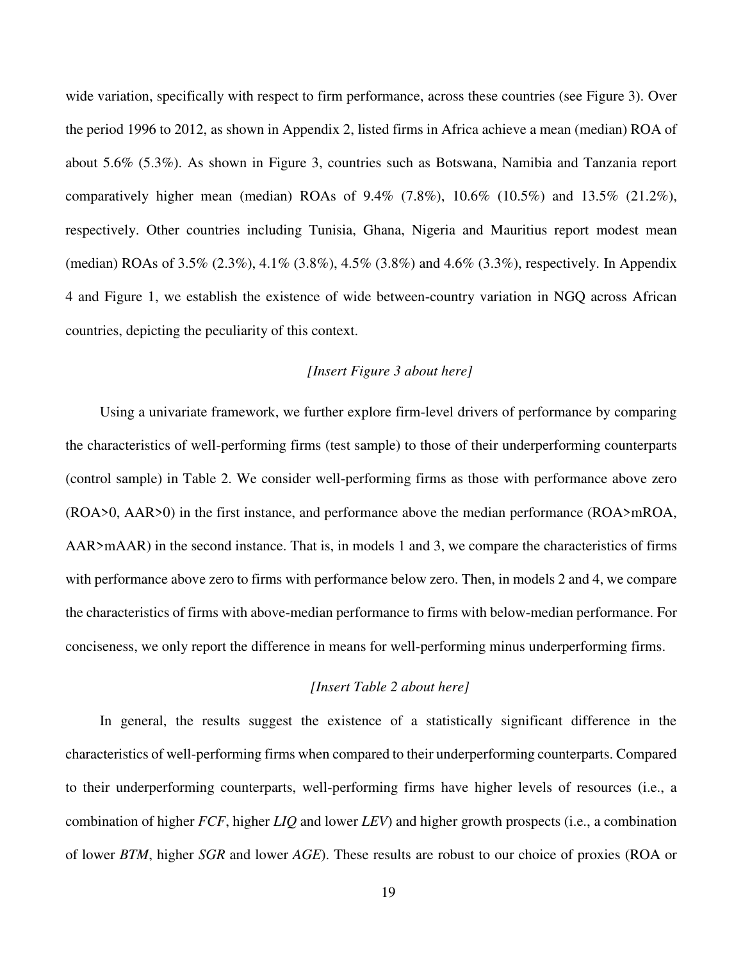wide variation, specifically with respect to firm performance, across these countries (see Figure 3). Over the period 1996 to 2012, as shown in Appendix 2, listed firms in Africa achieve a mean (median) ROA of about 5.6% (5.3%). As shown in Figure 3, countries such as Botswana, Namibia and Tanzania report comparatively higher mean (median) ROAs of 9.4% (7.8%), 10.6% (10.5%) and 13.5% (21.2%), respectively. Other countries including Tunisia, Ghana, Nigeria and Mauritius report modest mean (median) ROAs of 3.5% (2.3%), 4.1% (3.8%), 4.5% (3.8%) and 4.6% (3.3%), respectively. In Appendix 4 and Figure 1, we establish the existence of wide between-country variation in NGQ across African countries, depicting the peculiarity of this context.

### *[Insert Figure 3 about here]*

Using a univariate framework, we further explore firm-level drivers of performance by comparing the characteristics of well-performing firms (test sample) to those of their underperforming counterparts (control sample) in Table 2. We consider well-performing firms as those with performance above zero (ROA>0, AAR>0) in the first instance, and performance above the median performance (ROA>mROA, AAR>mAAR) in the second instance. That is, in models 1 and 3, we compare the characteristics of firms with performance above zero to firms with performance below zero. Then, in models 2 and 4, we compare the characteristics of firms with above-median performance to firms with below-median performance. For conciseness, we only report the difference in means for well-performing minus underperforming firms.

### *[Insert Table 2 about here]*

In general, the results suggest the existence of a statistically significant difference in the characteristics of well-performing firms when compared to their underperforming counterparts. Compared to their underperforming counterparts, well-performing firms have higher levels of resources (i.e., a combination of higher *FCF*, higher *LIQ* and lower *LEV*) and higher growth prospects (i.e., a combination of lower *BTM*, higher *SGR* and lower *AGE*). These results are robust to our choice of proxies (ROA or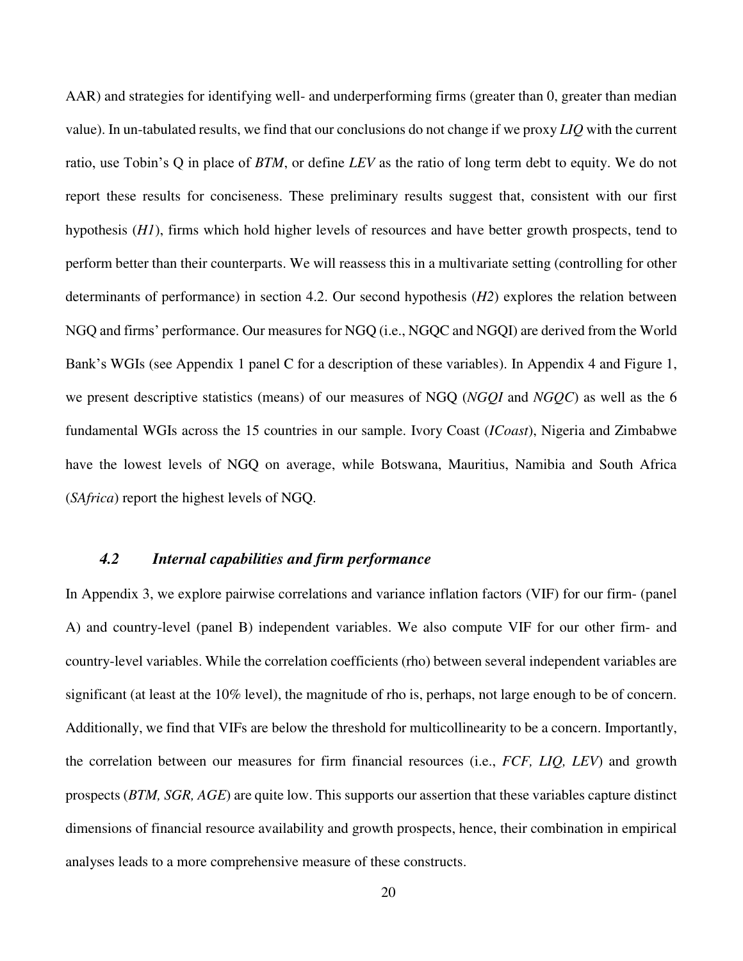AAR) and strategies for identifying well- and underperforming firms (greater than 0, greater than median value). In un-tabulated results, we find that our conclusions do not change if we proxy *LIQ* with the current ratio, use Tobin's Q in place of *BTM*, or define *LEV* as the ratio of long term debt to equity. We do not report these results for conciseness. These preliminary results suggest that, consistent with our first hypothesis (*H1*), firms which hold higher levels of resources and have better growth prospects, tend to perform better than their counterparts. We will reassess this in a multivariate setting (controlling for other determinants of performance) in section 4.2. Our second hypothesis (*H2*) explores the relation between NGQ and firms' performance. Our measures for NGQ (i.e., NGQC and NGQI) are derived from the World Bank's WGIs (see Appendix 1 panel C for a description of these variables). In Appendix 4 and Figure 1, we present descriptive statistics (means) of our measures of NGQ (*NGQI* and *NGQC*) as well as the 6 fundamental WGIs across the 15 countries in our sample. Ivory Coast (*ICoast*), Nigeria and Zimbabwe have the lowest levels of NGQ on average, while Botswana, Mauritius, Namibia and South Africa (*SAfrica*) report the highest levels of NGQ.

## *4.2 Internal capabilities and firm performance*

In Appendix 3, we explore pairwise correlations and variance inflation factors (VIF) for our firm- (panel A) and country-level (panel B) independent variables. We also compute VIF for our other firm- and country-level variables. While the correlation coefficients (rho) between several independent variables are significant (at least at the 10% level), the magnitude of rho is, perhaps, not large enough to be of concern. Additionally, we find that VIFs are below the threshold for multicollinearity to be a concern. Importantly, the correlation between our measures for firm financial resources (i.e., *FCF, LIQ, LEV*) and growth prospects (*BTM, SGR, AGE*) are quite low. This supports our assertion that these variables capture distinct dimensions of financial resource availability and growth prospects, hence, their combination in empirical analyses leads to a more comprehensive measure of these constructs.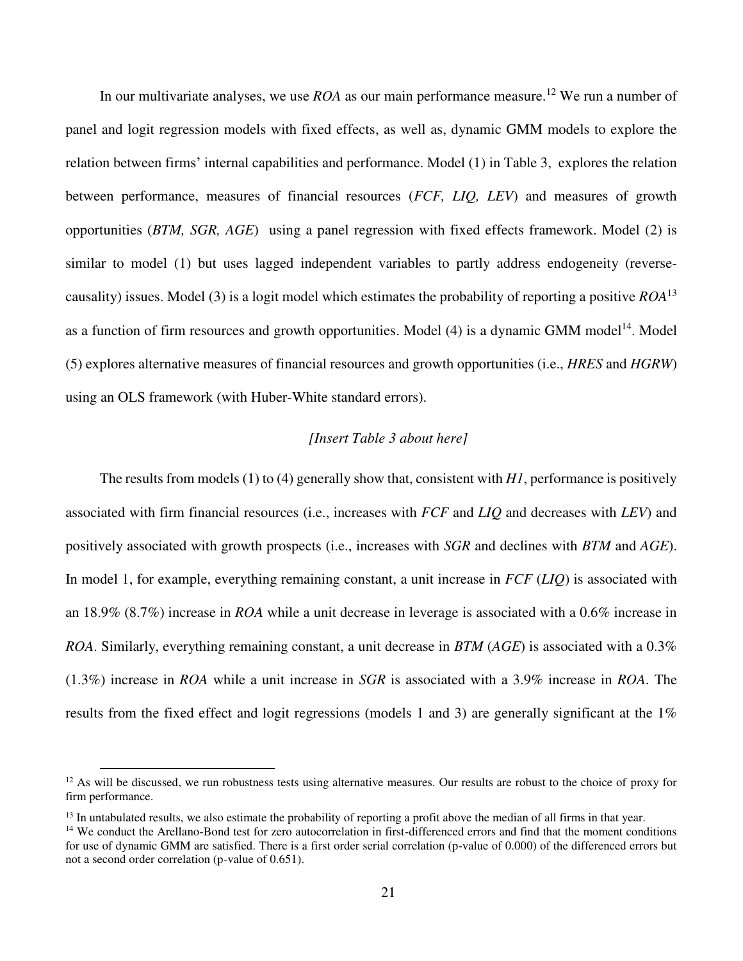In our multivariate analyses, we use *ROA* as our main performance measure.<sup>12</sup> We run a number of panel and logit regression models with fixed effects, as well as, dynamic GMM models to explore the relation between firms' internal capabilities and performance. Model (1) in Table 3, explores the relation between performance, measures of financial resources (*FCF, LIQ, LEV*) and measures of growth opportunities (*BTM, SGR, AGE*) using a panel regression with fixed effects framework. Model (2) is similar to model (1) but uses lagged independent variables to partly address endogeneity (reversecausality) issues. Model (3) is a logit model which estimates the probability of reporting a positive *ROA*<sup>13</sup> as a function of firm resources and growth opportunities. Model  $(4)$  is a dynamic GMM model<sup>14</sup>. Model (5) explores alternative measures of financial resources and growth opportunities (i.e., *HRES* and *HGRW*) using an OLS framework (with Huber-White standard errors).

#### *[Insert Table 3 about here]*

The results from models (1) to (4) generally show that, consistent with *H1*, performance is positively associated with firm financial resources (i.e., increases with *FCF* and *LIQ* and decreases with *LEV*) and positively associated with growth prospects (i.e., increases with *SGR* and declines with *BTM* and *AGE*). In model 1, for example, everything remaining constant, a unit increase in *FCF* (*LIQ*) is associated with an 18.9% (8.7%) increase in *ROA* while a unit decrease in leverage is associated with a 0.6% increase in *ROA*. Similarly, everything remaining constant, a unit decrease in *BTM* (*AGE*) is associated with a 0.3% (1.3%) increase in *ROA* while a unit increase in *SGR* is associated with a 3.9% increase in *ROA*. The results from the fixed effect and logit regressions (models 1 and 3) are generally significant at the 1%

 $\overline{a}$ 

 $12$  As will be discussed, we run robustness tests using alternative measures. Our results are robust to the choice of proxy for firm performance.

<sup>&</sup>lt;sup>13</sup> In untabulated results, we also estimate the probability of reporting a profit above the median of all firms in that year.

<sup>&</sup>lt;sup>14</sup> We conduct the Arellano-Bond test for zero autocorrelation in first-differenced errors and find that the moment conditions for use of dynamic GMM are satisfied. There is a first order serial correlation (p-value of 0.000) of the differenced errors but not a second order correlation (p-value of 0.651).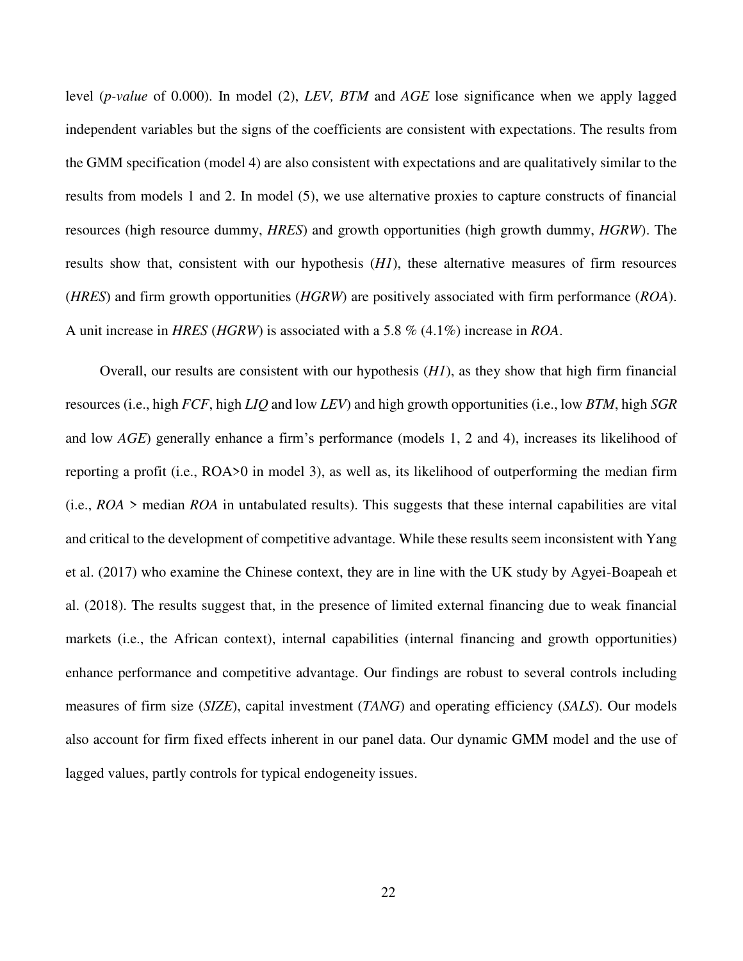level (*p-value* of 0.000). In model (2), *LEV, BTM* and *AGE* lose significance when we apply lagged independent variables but the signs of the coefficients are consistent with expectations. The results from the GMM specification (model 4) are also consistent with expectations and are qualitatively similar to the results from models 1 and 2. In model (5), we use alternative proxies to capture constructs of financial resources (high resource dummy, *HRES*) and growth opportunities (high growth dummy, *HGRW*). The results show that, consistent with our hypothesis (*H1*), these alternative measures of firm resources (*HRES*) and firm growth opportunities (*HGRW*) are positively associated with firm performance (*ROA*). A unit increase in *HRES* (*HGRW*) is associated with a 5.8 % (4.1%) increase in *ROA*.

Overall, our results are consistent with our hypothesis (*H1*), as they show that high firm financial resources (i.e., high *FCF*, high *LIQ* and low *LEV*) and high growth opportunities (i.e., low *BTM*, high *SGR* and low *AGE*) generally enhance a firm's performance (models 1, 2 and 4), increases its likelihood of reporting a profit (i.e., ROA>0 in model 3), as well as, its likelihood of outperforming the median firm (i.e., *ROA* > median *ROA* in untabulated results). This suggests that these internal capabilities are vital and critical to the development of competitive advantage. While these results seem inconsistent with Yang et al. (2017) who examine the Chinese context, they are in line with the UK study by Agyei-Boapeah et al. (2018). The results suggest that, in the presence of limited external financing due to weak financial markets (i.e., the African context), internal capabilities (internal financing and growth opportunities) enhance performance and competitive advantage. Our findings are robust to several controls including measures of firm size (*SIZE*), capital investment (*TANG*) and operating efficiency (*SALS*). Our models also account for firm fixed effects inherent in our panel data. Our dynamic GMM model and the use of lagged values, partly controls for typical endogeneity issues.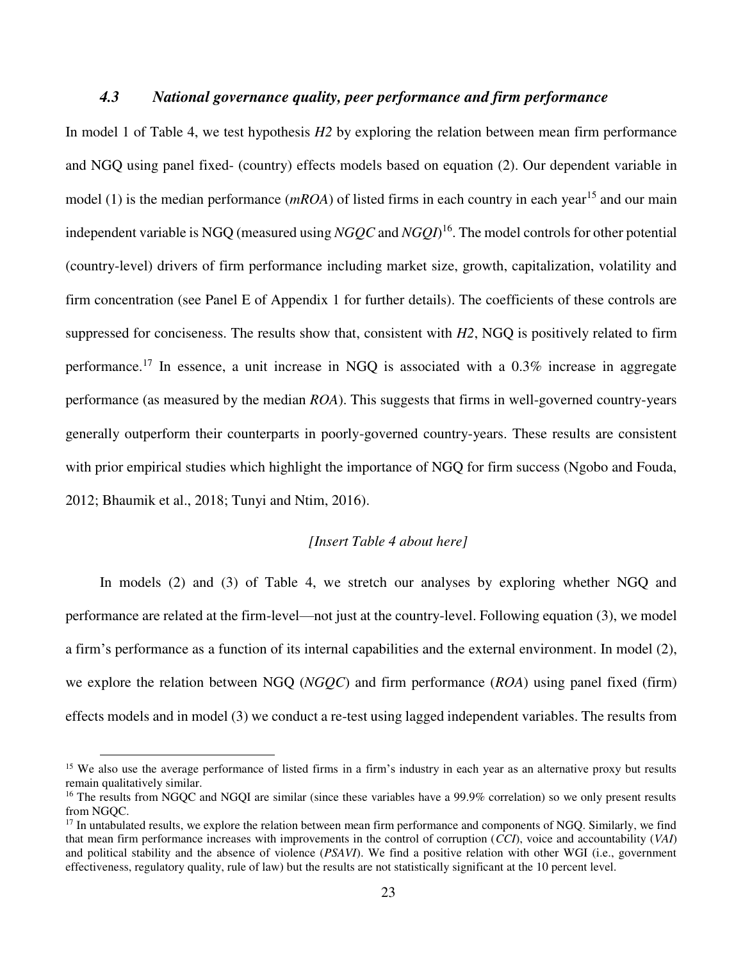## *4.3 National governance quality, peer performance and firm performance*

In model 1 of Table 4, we test hypothesis *H2* by exploring the relation between mean firm performance and NGQ using panel fixed- (country) effects models based on equation (2). Our dependent variable in model (1) is the median performance ( $mROA$ ) of listed firms in each country in each year<sup>15</sup> and our main independent variable is NGQ (measured using *NGQC* and *NGQI*) <sup>16</sup>. The model controls for other potential (country-level) drivers of firm performance including market size, growth, capitalization, volatility and firm concentration (see Panel E of Appendix 1 for further details). The coefficients of these controls are suppressed for conciseness. The results show that, consistent with *H2*, NGQ is positively related to firm performance.<sup>17</sup> In essence, a unit increase in NGQ is associated with a  $0.3\%$  increase in aggregate performance (as measured by the median *ROA*). This suggests that firms in well-governed country-years generally outperform their counterparts in poorly-governed country-years. These results are consistent with prior empirical studies which highlight the importance of NGQ for firm success (Ngobo and Fouda, 2012; Bhaumik et al., 2018; Tunyi and Ntim, 2016).

#### *[Insert Table 4 about here]*

In models (2) and (3) of Table 4, we stretch our analyses by exploring whether NGQ and performance are related at the firm-level—not just at the country-level. Following equation (3), we model a firm's performance as a function of its internal capabilities and the external environment. In model (2), we explore the relation between NGQ (*NGQC*) and firm performance (*ROA*) using panel fixed (firm) effects models and in model (3) we conduct a re-test using lagged independent variables. The results from

 $\overline{a}$ 

<sup>&</sup>lt;sup>15</sup> We also use the average performance of listed firms in a firm's industry in each year as an alternative proxy but results remain qualitatively similar.

<sup>&</sup>lt;sup>16</sup> The results from NGOC and NGOI are similar (since these variables have a 99.9% correlation) so we only present results from NGQC.

<sup>&</sup>lt;sup>17</sup> In untabulated results, we explore the relation between mean firm performance and components of NGQ. Similarly, we find that mean firm performance increases with improvements in the control of corruption (*CCI*), voice and accountability (*VAI*) and political stability and the absence of violence (*PSAVI*). We find a positive relation with other WGI (i.e., government effectiveness, regulatory quality, rule of law) but the results are not statistically significant at the 10 percent level.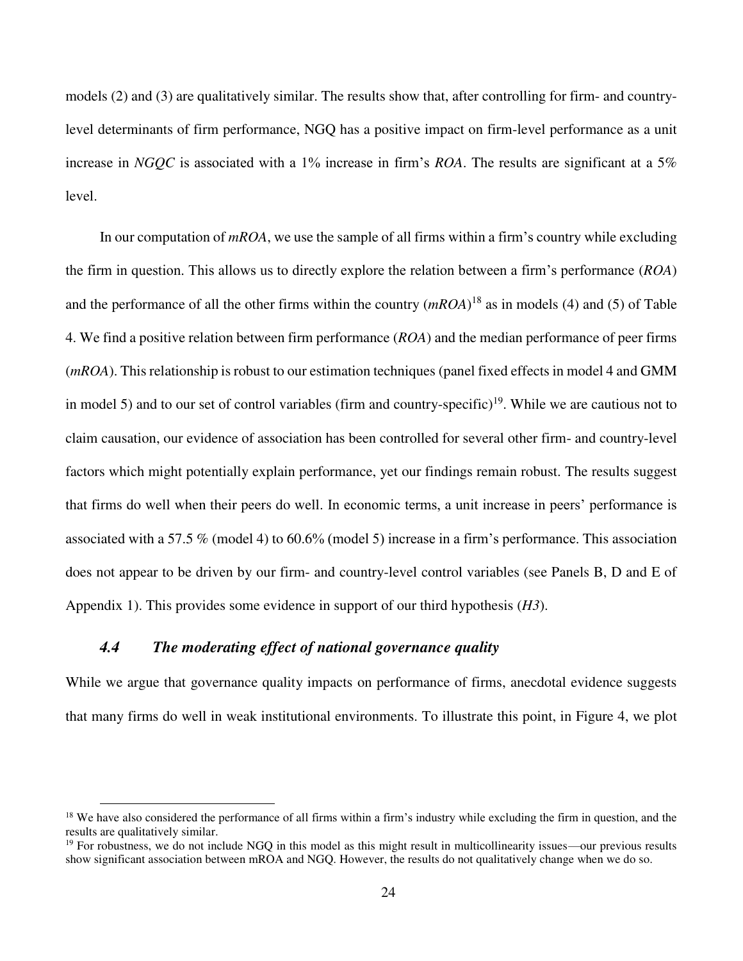models (2) and (3) are qualitatively similar. The results show that, after controlling for firm- and countrylevel determinants of firm performance, NGQ has a positive impact on firm-level performance as a unit increase in *NGQC* is associated with a 1% increase in firm's *ROA*. The results are significant at a 5% level.

In our computation of *mROA*, we use the sample of all firms within a firm's country while excluding the firm in question. This allows us to directly explore the relation between a firm's performance (*ROA*) and the performance of all the other firms within the country (*mROA*) <sup>18</sup> as in models (4) and (5) of Table 4. We find a positive relation between firm performance (*ROA*) and the median performance of peer firms (*mROA*). This relationship is robust to our estimation techniques (panel fixed effects in model 4 and GMM in model 5) and to our set of control variables (firm and country-specific)<sup>19</sup>. While we are cautious not to claim causation, our evidence of association has been controlled for several other firm- and country-level factors which might potentially explain performance, yet our findings remain robust. The results suggest that firms do well when their peers do well. In economic terms, a unit increase in peers' performance is associated with a 57.5 % (model 4) to 60.6% (model 5) increase in a firm's performance. This association does not appear to be driven by our firm- and country-level control variables (see Panels B, D and E of Appendix 1). This provides some evidence in support of our third hypothesis (*H3*).

## *4.4 The moderating effect of national governance quality*

 $\overline{a}$ 

While we argue that governance quality impacts on performance of firms, anecdotal evidence suggests that many firms do well in weak institutional environments. To illustrate this point, in Figure 4, we plot

 $18$  We have also considered the performance of all firms within a firm's industry while excluding the firm in question, and the results are qualitatively similar.

 $19$  For robustness, we do not include NGQ in this model as this might result in multicollinearity issues—our previous results show significant association between mROA and NGQ. However, the results do not qualitatively change when we do so.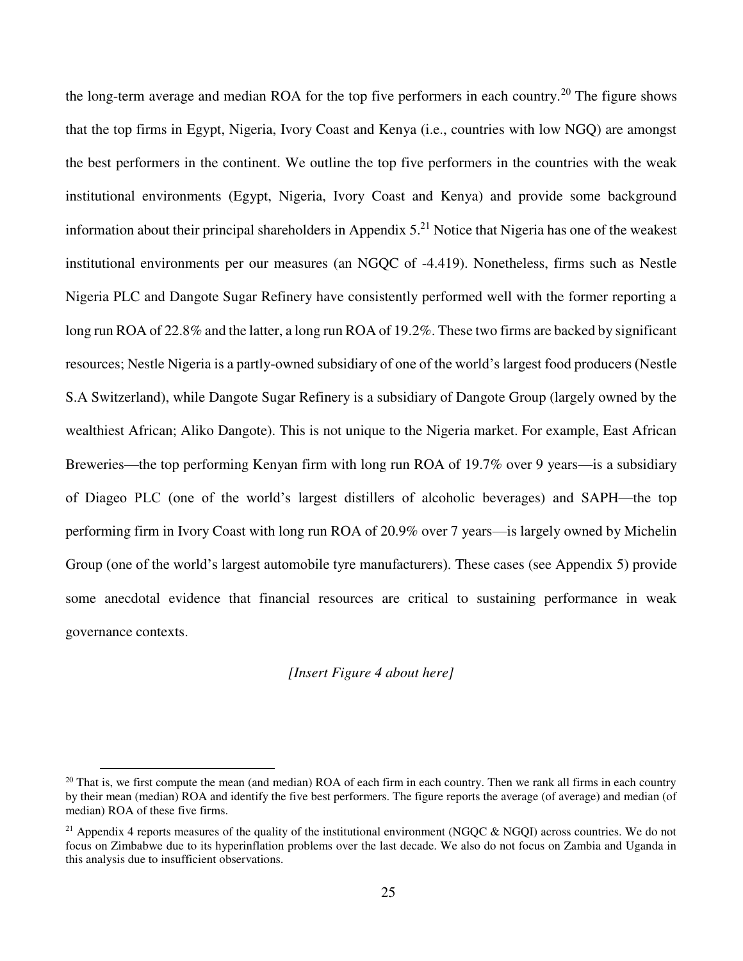the long-term average and median ROA for the top five performers in each country.<sup>20</sup> The figure shows that the top firms in Egypt, Nigeria, Ivory Coast and Kenya (i.e., countries with low NGQ) are amongst the best performers in the continent. We outline the top five performers in the countries with the weak institutional environments (Egypt, Nigeria, Ivory Coast and Kenya) and provide some background information about their principal shareholders in Appendix  $5<sup>21</sup>$  Notice that Nigeria has one of the weakest institutional environments per our measures (an NGQC of -4.419). Nonetheless, firms such as Nestle Nigeria PLC and Dangote Sugar Refinery have consistently performed well with the former reporting a long run ROA of 22.8% and the latter, a long run ROA of 19.2%. These two firms are backed by significant resources; Nestle Nigeria is a partly-owned subsidiary of one of the world's largest food producers (Nestle S.A Switzerland), while Dangote Sugar Refinery is a subsidiary of Dangote Group (largely owned by the wealthiest African; Aliko Dangote). This is not unique to the Nigeria market. For example, East African Breweries—the top performing Kenyan firm with long run ROA of 19.7% over 9 years—is a subsidiary of Diageo PLC (one of the world's largest distillers of alcoholic beverages) and SAPH—the top performing firm in Ivory Coast with long run ROA of 20.9% over 7 years—is largely owned by Michelin Group (one of the world's largest automobile tyre manufacturers). These cases (see Appendix 5) provide some anecdotal evidence that financial resources are critical to sustaining performance in weak governance contexts.

#### *[Insert Figure 4 about here]*

 $\overline{a}$ 

 $20$  That is, we first compute the mean (and median) ROA of each firm in each country. Then we rank all firms in each country by their mean (median) ROA and identify the five best performers. The figure reports the average (of average) and median (of median) ROA of these five firms.

<sup>&</sup>lt;sup>21</sup> Appendix 4 reports measures of the quality of the institutional environment (NGQC & NGQI) across countries. We do not focus on Zimbabwe due to its hyperinflation problems over the last decade. We also do not focus on Zambia and Uganda in this analysis due to insufficient observations.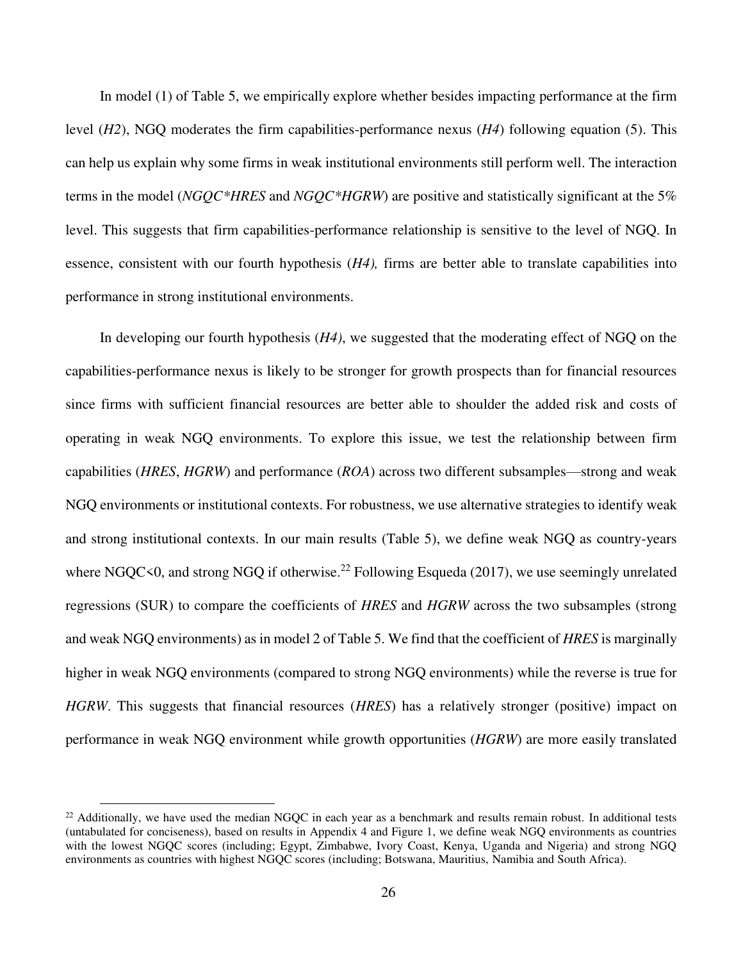In model (1) of Table 5, we empirically explore whether besides impacting performance at the firm level (*H2*), NGQ moderates the firm capabilities-performance nexus (*H4*) following equation (5). This can help us explain why some firms in weak institutional environments still perform well. The interaction terms in the model (*NGQC\*HRES* and *NGQC\*HGRW*) are positive and statistically significant at the 5% level. This suggests that firm capabilities-performance relationship is sensitive to the level of NGQ. In essence, consistent with our fourth hypothesis (*H4),* firms are better able to translate capabilities into performance in strong institutional environments.

In developing our fourth hypothesis (*H4)*, we suggested that the moderating effect of NGQ on the capabilities-performance nexus is likely to be stronger for growth prospects than for financial resources since firms with sufficient financial resources are better able to shoulder the added risk and costs of operating in weak NGQ environments. To explore this issue, we test the relationship between firm capabilities (*HRES*, *HGRW*) and performance (*ROA*) across two different subsamples—strong and weak NGQ environments or institutional contexts. For robustness, we use alternative strategies to identify weak and strong institutional contexts. In our main results (Table 5), we define weak NGQ as country-years where NGQC<0, and strong NGQ if otherwise.<sup>22</sup> Following Esqueda (2017), we use seemingly unrelated regressions (SUR) to compare the coefficients of *HRES* and *HGRW* across the two subsamples (strong and weak NGQ environments) as in model 2 of Table 5. We find that the coefficient of *HRES* is marginally higher in weak NGQ environments (compared to strong NGQ environments) while the reverse is true for *HGRW*. This suggests that financial resources (*HRES*) has a relatively stronger (positive) impact on performance in weak NGQ environment while growth opportunities (*HGRW*) are more easily translated

 $\overline{a}$ 

 $22$  Additionally, we have used the median NGQC in each year as a benchmark and results remain robust. In additional tests (untabulated for conciseness), based on results in Appendix 4 and Figure 1, we define weak NGQ environments as countries with the lowest NGQC scores (including; Egypt, Zimbabwe, Ivory Coast, Kenya, Uganda and Nigeria) and strong NGQ environments as countries with highest NGQC scores (including; Botswana, Mauritius, Namibia and South Africa).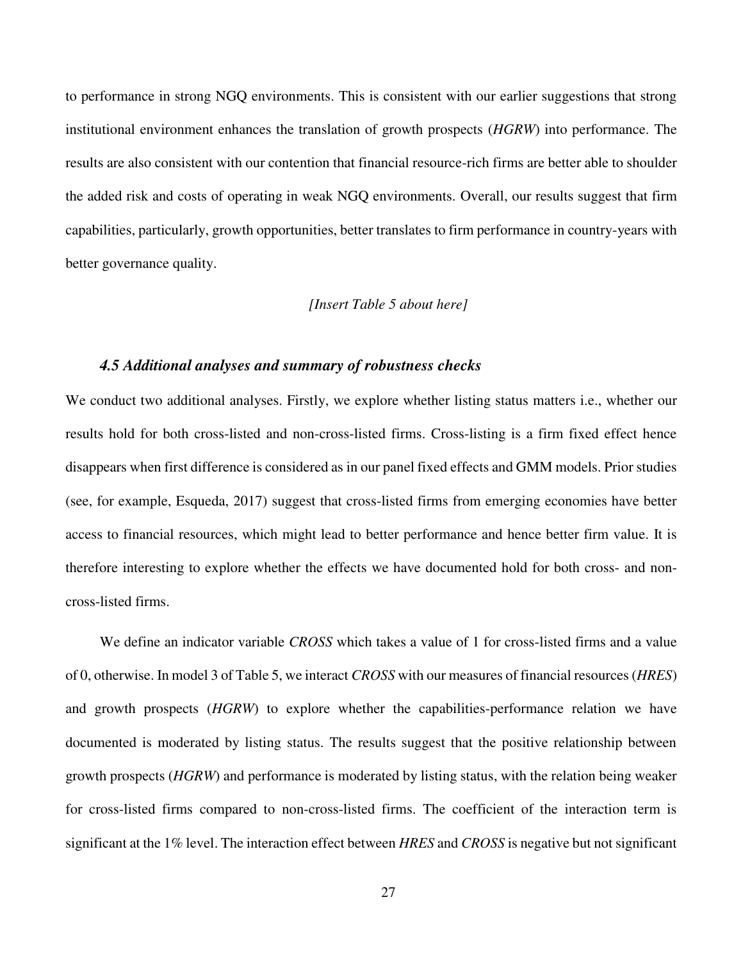to performance in strong NGQ environments. This is consistent with our earlier suggestions that strong institutional environment enhances the translation of growth prospects (*HGRW*) into performance. The results are also consistent with our contention that financial resource-rich firms are better able to shoulder the added risk and costs of operating in weak NGQ environments. Overall, our results suggest that firm capabilities, particularly, growth opportunities, better translates to firm performance in country-years with better governance quality.

### *[Insert Table 5 about here]*

#### *4.5 Additional analyses and summary of robustness checks*

We conduct two additional analyses. Firstly, we explore whether listing status matters i.e., whether our results hold for both cross-listed and non-cross-listed firms. Cross-listing is a firm fixed effect hence disappears when first difference is considered as in our panel fixed effects and GMM models. Prior studies (see, for example, Esqueda, 2017) suggest that cross-listed firms from emerging economies have better access to financial resources, which might lead to better performance and hence better firm value. It is therefore interesting to explore whether the effects we have documented hold for both cross- and noncross-listed firms.

We define an indicator variable *CROSS* which takes a value of 1 for cross-listed firms and a value of 0, otherwise. In model 3 of Table 5, we interact *CROSS* with our measures of financial resources (*HRES*) and growth prospects (*HGRW*) to explore whether the capabilities-performance relation we have documented is moderated by listing status. The results suggest that the positive relationship between growth prospects (*HGRW*) and performance is moderated by listing status, with the relation being weaker for cross-listed firms compared to non-cross-listed firms. The coefficient of the interaction term is significant at the 1% level. The interaction effect between *HRES* and *CROSS* is negative but not significant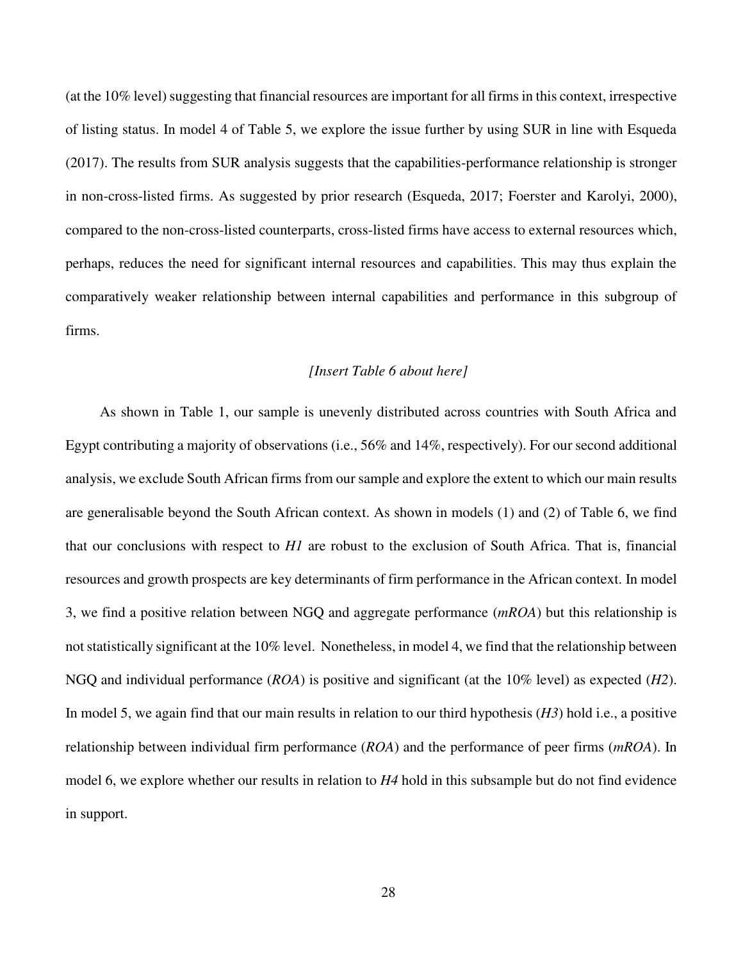(at the 10% level) suggesting that financial resources are important for all firms in this context, irrespective of listing status. In model 4 of Table 5, we explore the issue further by using SUR in line with Esqueda (2017). The results from SUR analysis suggests that the capabilities-performance relationship is stronger in non-cross-listed firms. As suggested by prior research (Esqueda, 2017; Foerster and Karolyi, 2000), compared to the non-cross-listed counterparts, cross-listed firms have access to external resources which, perhaps, reduces the need for significant internal resources and capabilities. This may thus explain the comparatively weaker relationship between internal capabilities and performance in this subgroup of firms.

### *[Insert Table 6 about here]*

As shown in Table 1, our sample is unevenly distributed across countries with South Africa and Egypt contributing a majority of observations (i.e., 56% and 14%, respectively). For our second additional analysis, we exclude South African firms from our sample and explore the extent to which our main results are generalisable beyond the South African context. As shown in models (1) and (2) of Table 6, we find that our conclusions with respect to *H1* are robust to the exclusion of South Africa. That is, financial resources and growth prospects are key determinants of firm performance in the African context. In model 3, we find a positive relation between NGQ and aggregate performance (*mROA*) but this relationship is not statistically significant at the 10% level. Nonetheless, in model 4, we find that the relationship between NGQ and individual performance (*ROA*) is positive and significant (at the 10% level) as expected (*H2*). In model 5, we again find that our main results in relation to our third hypothesis (*H3*) hold i.e., a positive relationship between individual firm performance (*ROA*) and the performance of peer firms (*mROA*). In model 6, we explore whether our results in relation to *H4* hold in this subsample but do not find evidence in support.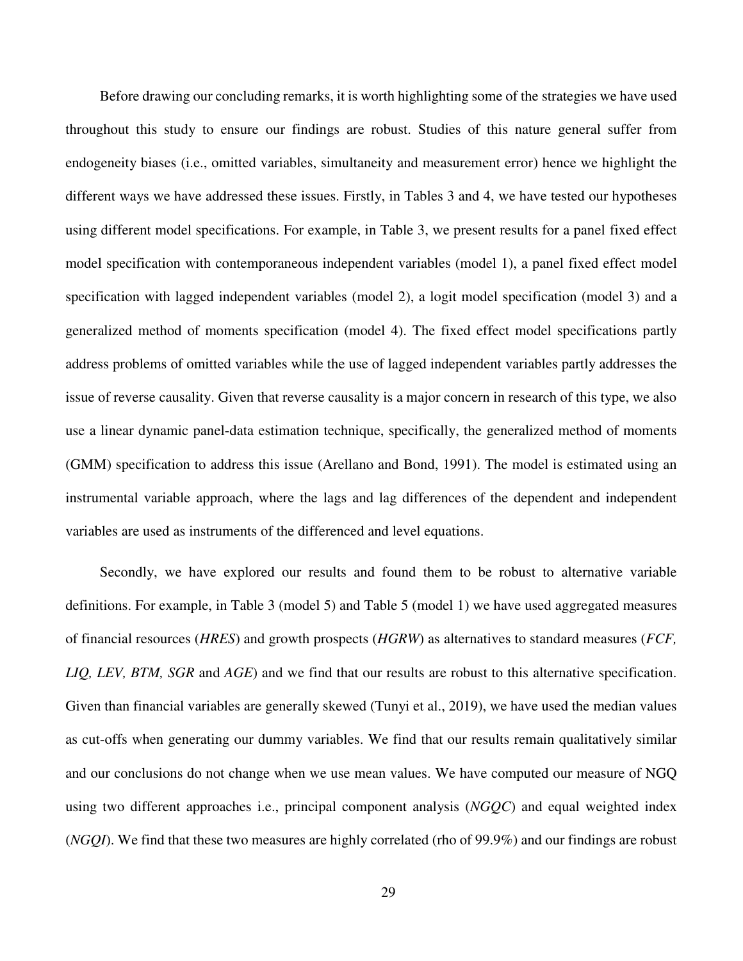Before drawing our concluding remarks, it is worth highlighting some of the strategies we have used throughout this study to ensure our findings are robust. Studies of this nature general suffer from endogeneity biases (i.e., omitted variables, simultaneity and measurement error) hence we highlight the different ways we have addressed these issues. Firstly, in Tables 3 and 4, we have tested our hypotheses using different model specifications. For example, in Table 3, we present results for a panel fixed effect model specification with contemporaneous independent variables (model 1), a panel fixed effect model specification with lagged independent variables (model 2), a logit model specification (model 3) and a generalized method of moments specification (model 4). The fixed effect model specifications partly address problems of omitted variables while the use of lagged independent variables partly addresses the issue of reverse causality. Given that reverse causality is a major concern in research of this type, we also use a linear dynamic panel-data estimation technique, specifically, the generalized method of moments (GMM) specification to address this issue (Arellano and Bond, 1991). The model is estimated using an instrumental variable approach, where the lags and lag differences of the dependent and independent variables are used as instruments of the differenced and level equations.

Secondly, we have explored our results and found them to be robust to alternative variable definitions. For example, in Table 3 (model 5) and Table 5 (model 1) we have used aggregated measures of financial resources (*HRES*) and growth prospects (*HGRW*) as alternatives to standard measures (*FCF, LIQ, LEV, BTM, SGR* and *AGE*) and we find that our results are robust to this alternative specification. Given than financial variables are generally skewed (Tunyi et al., 2019), we have used the median values as cut-offs when generating our dummy variables. We find that our results remain qualitatively similar and our conclusions do not change when we use mean values. We have computed our measure of NGQ using two different approaches i.e., principal component analysis (*NGQC*) and equal weighted index (*NGQI*). We find that these two measures are highly correlated (rho of 99.9%) and our findings are robust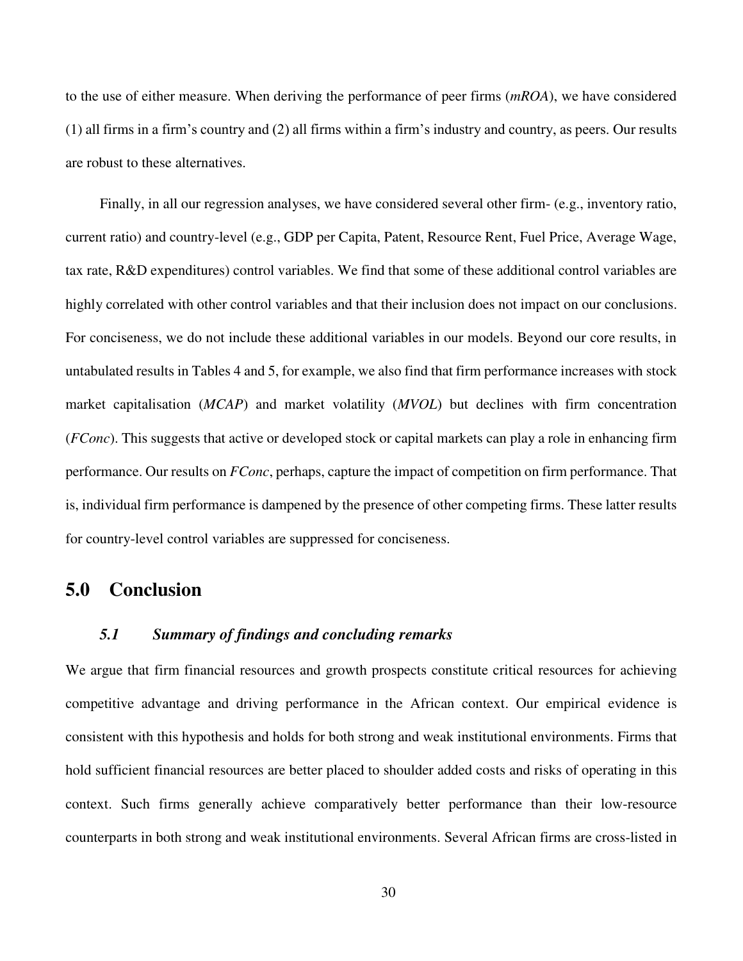to the use of either measure. When deriving the performance of peer firms (*mROA*), we have considered (1) all firms in a firm's country and (2) all firms within a firm's industry and country, as peers. Our results are robust to these alternatives.

Finally, in all our regression analyses, we have considered several other firm- (e.g., inventory ratio, current ratio) and country-level (e.g., GDP per Capita, Patent, Resource Rent, Fuel Price, Average Wage, tax rate, R&D expenditures) control variables. We find that some of these additional control variables are highly correlated with other control variables and that their inclusion does not impact on our conclusions. For conciseness, we do not include these additional variables in our models. Beyond our core results, in untabulated results in Tables 4 and 5, for example, we also find that firm performance increases with stock market capitalisation (*MCAP*) and market volatility (*MVOL*) but declines with firm concentration (*FConc*). This suggests that active or developed stock or capital markets can play a role in enhancing firm performance. Our results on *FConc*, perhaps, capture the impact of competition on firm performance. That is, individual firm performance is dampened by the presence of other competing firms. These latter results for country-level control variables are suppressed for conciseness.

## **5.0 Conclusion**

## *5.1 Summary of findings and concluding remarks*

We argue that firm financial resources and growth prospects constitute critical resources for achieving competitive advantage and driving performance in the African context. Our empirical evidence is consistent with this hypothesis and holds for both strong and weak institutional environments. Firms that hold sufficient financial resources are better placed to shoulder added costs and risks of operating in this context. Such firms generally achieve comparatively better performance than their low-resource counterparts in both strong and weak institutional environments. Several African firms are cross-listed in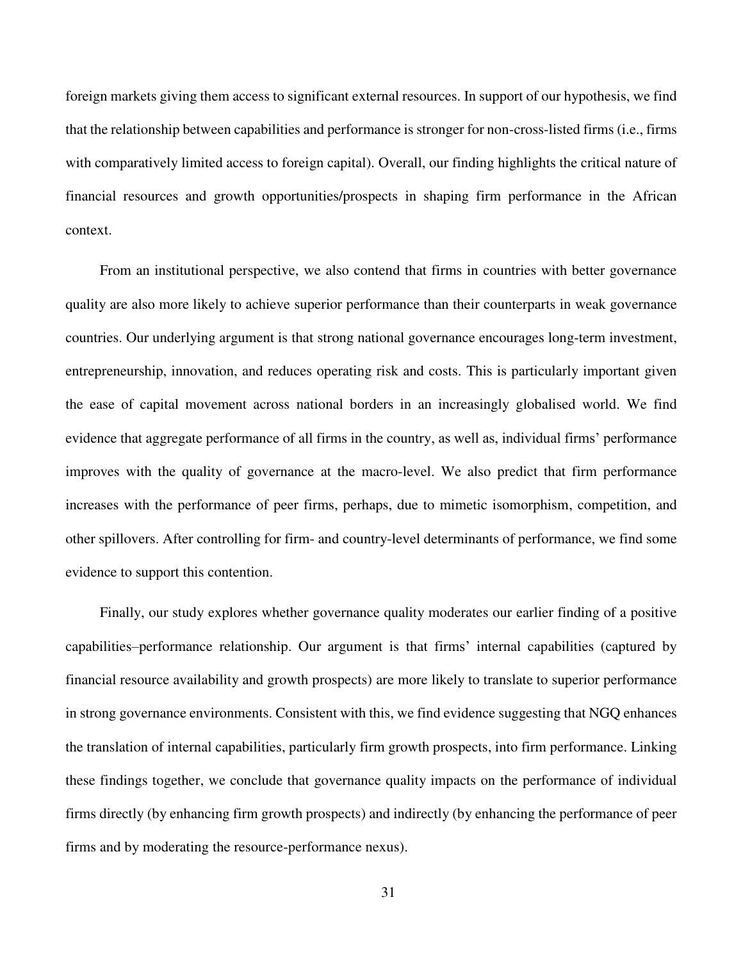foreign markets giving them access to significant external resources. In support of our hypothesis, we find that the relationship between capabilities and performance is stronger for non-cross-listed firms (i.e., firms with comparatively limited access to foreign capital). Overall, our finding highlights the critical nature of financial resources and growth opportunities/prospects in shaping firm performance in the African context.

From an institutional perspective, we also contend that firms in countries with better governance quality are also more likely to achieve superior performance than their counterparts in weak governance countries. Our underlying argument is that strong national governance encourages long-term investment, entrepreneurship, innovation, and reduces operating risk and costs. This is particularly important given the ease of capital movement across national borders in an increasingly globalised world. We find evidence that aggregate performance of all firms in the country, as well as, individual firms' performance improves with the quality of governance at the macro-level. We also predict that firm performance increases with the performance of peer firms, perhaps, due to mimetic isomorphism, competition, and other spillovers. After controlling for firm- and country-level determinants of performance, we find some evidence to support this contention.

Finally, our study explores whether governance quality moderates our earlier finding of a positive capabilities–performance relationship. Our argument is that firms' internal capabilities (captured by financial resource availability and growth prospects) are more likely to translate to superior performance in strong governance environments. Consistent with this, we find evidence suggesting that NGQ enhances the translation of internal capabilities, particularly firm growth prospects, into firm performance. Linking these findings together, we conclude that governance quality impacts on the performance of individual firms directly (by enhancing firm growth prospects) and indirectly (by enhancing the performance of peer firms and by moderating the resource-performance nexus).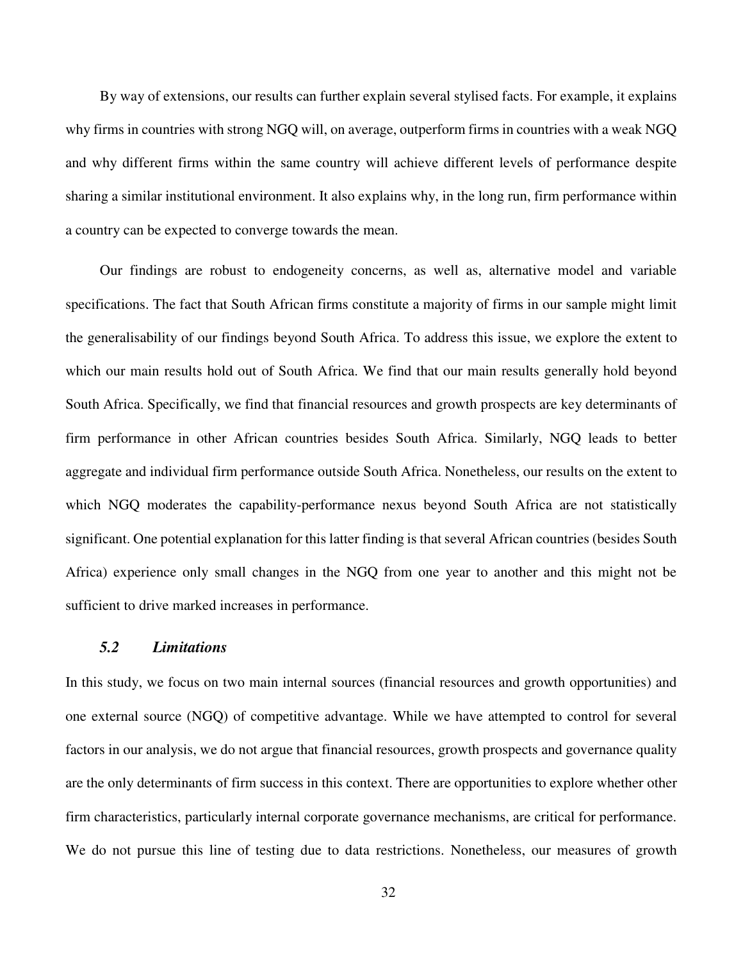By way of extensions, our results can further explain several stylised facts. For example, it explains why firms in countries with strong NGQ will, on average, outperform firms in countries with a weak NGQ and why different firms within the same country will achieve different levels of performance despite sharing a similar institutional environment. It also explains why, in the long run, firm performance within a country can be expected to converge towards the mean.

Our findings are robust to endogeneity concerns, as well as, alternative model and variable specifications. The fact that South African firms constitute a majority of firms in our sample might limit the generalisability of our findings beyond South Africa. To address this issue, we explore the extent to which our main results hold out of South Africa. We find that our main results generally hold beyond South Africa. Specifically, we find that financial resources and growth prospects are key determinants of firm performance in other African countries besides South Africa. Similarly, NGQ leads to better aggregate and individual firm performance outside South Africa. Nonetheless, our results on the extent to which NGQ moderates the capability-performance nexus beyond South Africa are not statistically significant. One potential explanation for this latter finding is that several African countries (besides South Africa) experience only small changes in the NGQ from one year to another and this might not be sufficient to drive marked increases in performance.

### *5.2 Limitations*

In this study, we focus on two main internal sources (financial resources and growth opportunities) and one external source (NGQ) of competitive advantage. While we have attempted to control for several factors in our analysis, we do not argue that financial resources, growth prospects and governance quality are the only determinants of firm success in this context. There are opportunities to explore whether other firm characteristics, particularly internal corporate governance mechanisms, are critical for performance. We do not pursue this line of testing due to data restrictions. Nonetheless, our measures of growth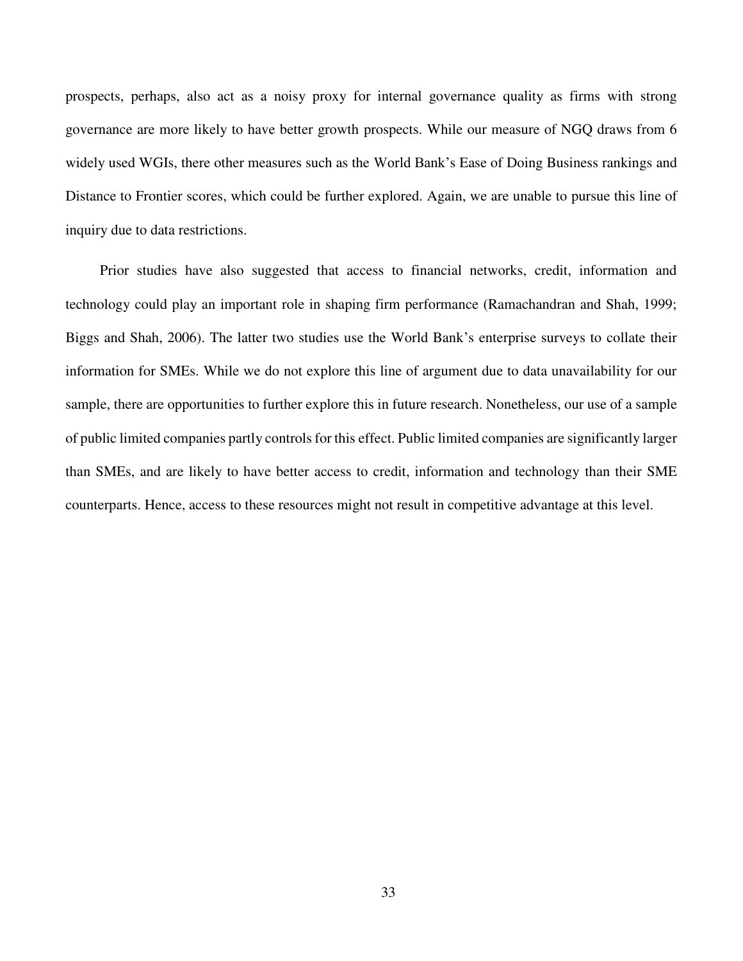prospects, perhaps, also act as a noisy proxy for internal governance quality as firms with strong governance are more likely to have better growth prospects. While our measure of NGQ draws from 6 widely used WGIs, there other measures such as the World Bank's Ease of Doing Business rankings and Distance to Frontier scores, which could be further explored. Again, we are unable to pursue this line of inquiry due to data restrictions.

Prior studies have also suggested that access to financial networks, credit, information and technology could play an important role in shaping firm performance (Ramachandran and Shah, 1999; Biggs and Shah, 2006). The latter two studies use the World Bank's enterprise surveys to collate their information for SMEs. While we do not explore this line of argument due to data unavailability for our sample, there are opportunities to further explore this in future research. Nonetheless, our use of a sample of public limited companies partly controls for this effect. Public limited companies are significantly larger than SMEs, and are likely to have better access to credit, information and technology than their SME counterparts. Hence, access to these resources might not result in competitive advantage at this level.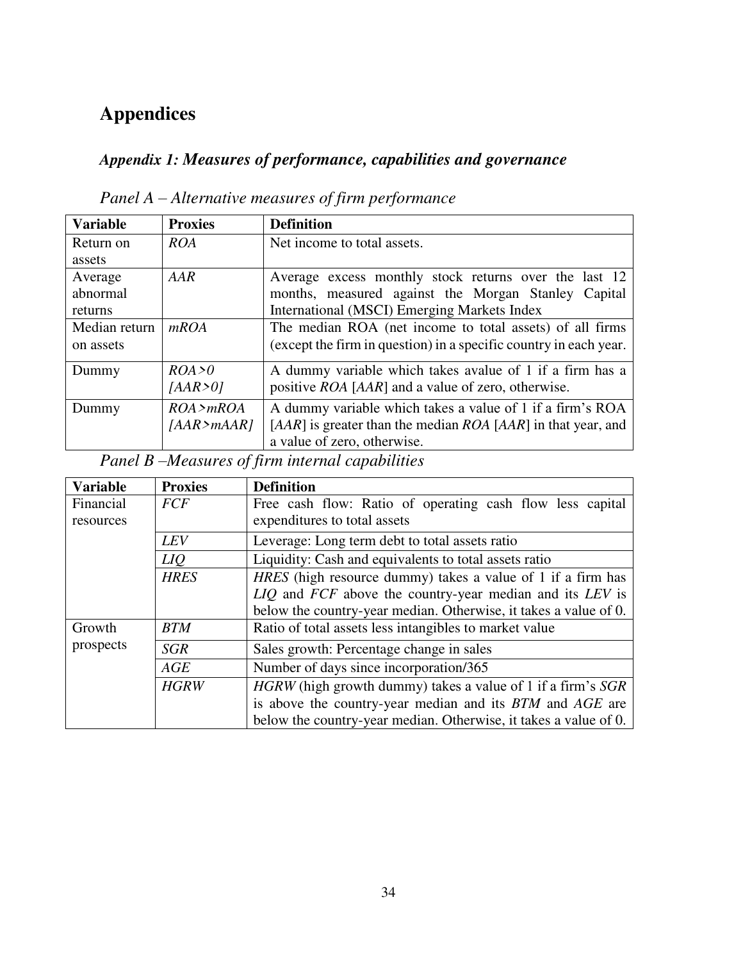# **Appendices**

# *Appendix 1: Measures of performance, capabilities and governance*

| <b>Variable</b> | <b>Proxies</b> | <b>Definition</b>                                                      |
|-----------------|----------------|------------------------------------------------------------------------|
| Return on       | ROA            | Net income to total assets.                                            |
| assets          |                |                                                                        |
| Average         | AAR            | Average excess monthly stock returns over the last 12                  |
| abnormal        |                | months, measured against the Morgan Stanley Capital                    |
| returns         |                | International (MSCI) Emerging Markets Index                            |
| Median return   | mROA           | The median ROA (net income to total assets) of all firms               |
| on assets       |                | (except the firm in question) in a specific country in each year.      |
| Dummy           | ROA > 0        | A dummy variable which takes avalue of 1 if a firm has a               |
|                 | [AAR>0]        | positive ROA [AAR] and a value of zero, otherwise.                     |
| Dummy           | ROA > mROA     | A dummy variable which takes a value of 1 if a firm's ROA              |
|                 | [AAR > mAAR]   | [ $AAR$ ] is greater than the median $ROA$ [ $AAR$ ] in that year, and |
|                 |                | a value of zero, otherwise.                                            |

*Panel A – Alternative measures of firm performance*

*Panel B –Measures of firm internal capabilities*

| <b>Variable</b> | <b>Proxies</b> | <b>Definition</b>                                                  |
|-----------------|----------------|--------------------------------------------------------------------|
| Financial       | <b>FCF</b>     | Free cash flow: Ratio of operating cash flow less capital          |
| resources       |                | expenditures to total assets                                       |
|                 | LEV            | Leverage: Long term debt to total assets ratio                     |
|                 | <i>LIQ</i>     | Liquidity: Cash and equivalents to total assets ratio              |
|                 | <b>HRES</b>    | <i>HRES</i> (high resource dummy) takes a value of 1 if a firm has |
|                 |                | LIQ and FCF above the country-year median and its LEV is           |
|                 |                | below the country-year median. Otherwise, it takes a value of 0.   |
| Growth          | <b>BTM</b>     | Ratio of total assets less intangibles to market value             |
| prospects       | <b>SGR</b>     | Sales growth: Percentage change in sales                           |
|                 | AGE            | Number of days since incorporation/365                             |
|                 | <b>HGRW</b>    | HGRW (high growth dummy) takes a value of 1 if a firm's SGR        |
|                 |                | is above the country-year median and its BTM and AGE are           |
|                 |                | below the country-year median. Otherwise, it takes a value of 0.   |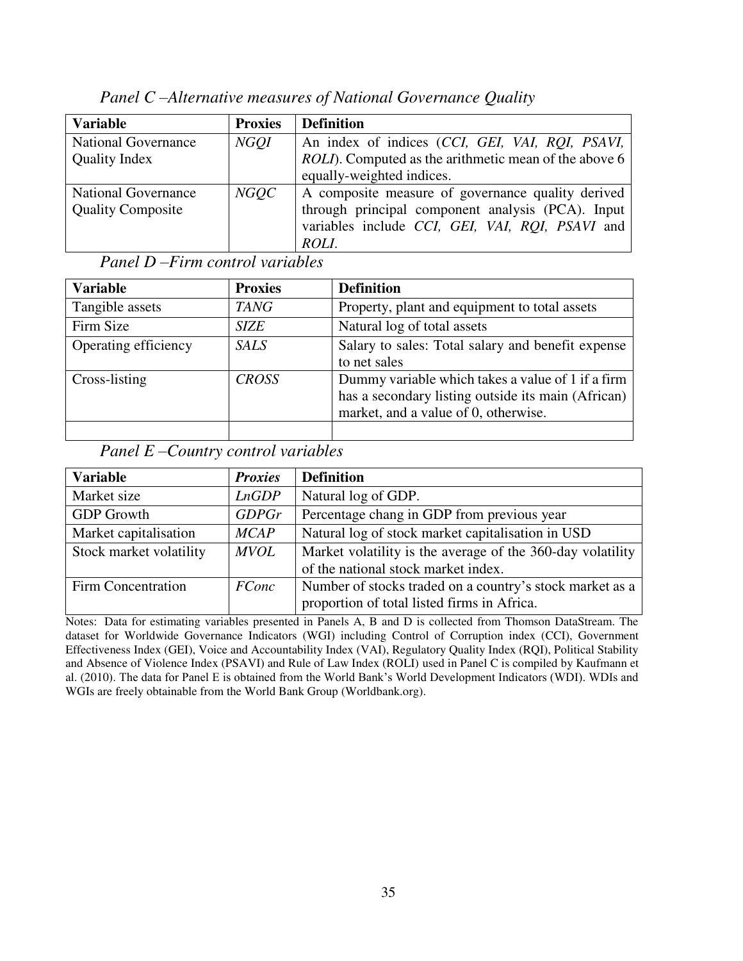| <b>Variable</b>                                        | <b>Proxies</b> | <b>Definition</b>                                                                                                                                                  |
|--------------------------------------------------------|----------------|--------------------------------------------------------------------------------------------------------------------------------------------------------------------|
| <b>National Governance</b><br><b>Quality Index</b>     | <b>NGOI</b>    | An index of indices (CCI, GEI, VAI, RQI, PSAVI,<br>ROLI). Computed as the arithmetic mean of the above 6<br>equally-weighted indices.                              |
| <b>National Governance</b><br><b>Quality Composite</b> | <b>NGOC</b>    | A composite measure of governance quality derived<br>through principal component analysis (PCA). Input<br>variables include CCI, GEI, VAI, RQI, PSAVI and<br>ROLI. |

*Panel C –Alternative measures of National Governance Quality*

*Panel D –Firm control variables*

| <b>Variable</b>      | <b>Proxies</b> | <b>Definition</b>                                  |
|----------------------|----------------|----------------------------------------------------|
| Tangible assets      | <b>TANG</b>    | Property, plant and equipment to total assets      |
| Firm Size            | <b>SIZE</b>    | Natural log of total assets                        |
| Operating efficiency | <b>SALS</b>    | Salary to sales: Total salary and benefit expense  |
|                      |                | to net sales                                       |
| Cross-listing        | <b>CROSS</b>   | Dummy variable which takes a value of 1 if a firm  |
|                      |                | has a secondary listing outside its main (African) |
|                      |                | market, and a value of 0, otherwise.               |
|                      |                |                                                    |

*Panel E –Country control variables*

| <b>Variable</b>         | <b>Proxies</b> | <b>Definition</b>                                                                                       |
|-------------------------|----------------|---------------------------------------------------------------------------------------------------------|
| Market size             | LnGDP          | Natural log of GDP.                                                                                     |
| <b>GDP</b> Growth       | GDPGr          | Percentage chang in GDP from previous year                                                              |
| Market capitalisation   | MCAP           | Natural log of stock market capitalisation in USD                                                       |
| Stock market volatility | <b>MVOL</b>    | Market volatility is the average of the 360-day volatility<br>of the national stock market index.       |
| Firm Concentration      | <b>FConc</b>   | Number of stocks traded on a country's stock market as a<br>proportion of total listed firms in Africa. |

Notes: Data for estimating variables presented in Panels A, B and D is collected from Thomson DataStream. The dataset for Worldwide Governance Indicators (WGI) including Control of Corruption index (CCI), Government Effectiveness Index (GEI), Voice and Accountability Index (VAI), Regulatory Quality Index (RQI), Political Stability and Absence of Violence Index (PSAVI) and Rule of Law Index (ROLI) used in Panel C is compiled by Kaufmann et al. (2010). The data for Panel E is obtained from the World Bank's World Development Indicators (WDI). WDIs and WGIs are freely obtainable from the World Bank Group (Worldbank.org).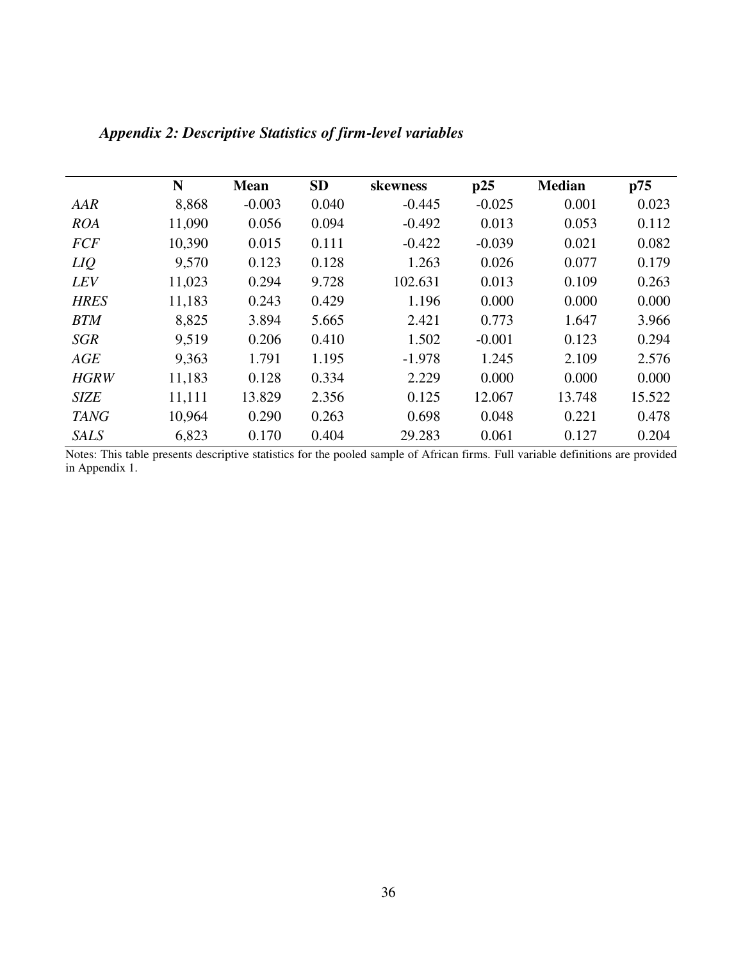|             | N      | <b>Mean</b> | <b>SD</b> | skewness | p25      | <b>Median</b> | p75    |
|-------------|--------|-------------|-----------|----------|----------|---------------|--------|
| AAR         | 8,868  | $-0.003$    | 0.040     | $-0.445$ | $-0.025$ | 0.001         | 0.023  |
| <b>ROA</b>  | 11,090 | 0.056       | 0.094     | $-0.492$ | 0.013    | 0.053         | 0.112  |
| <b>FCF</b>  | 10,390 | 0.015       | 0.111     | $-0.422$ | $-0.039$ | 0.021         | 0.082  |
| LIQ         | 9,570  | 0.123       | 0.128     | 1.263    | 0.026    | 0.077         | 0.179  |
| <b>LEV</b>  | 11,023 | 0.294       | 9.728     | 102.631  | 0.013    | 0.109         | 0.263  |
| <b>HRES</b> | 11,183 | 0.243       | 0.429     | 1.196    | 0.000    | 0.000         | 0.000  |
| <b>BTM</b>  | 8,825  | 3.894       | 5.665     | 2.421    | 0.773    | 1.647         | 3.966  |
| <b>SGR</b>  | 9,519  | 0.206       | 0.410     | 1.502    | $-0.001$ | 0.123         | 0.294  |
| AGE         | 9,363  | 1.791       | 1.195     | $-1.978$ | 1.245    | 2.109         | 2.576  |
| <b>HGRW</b> | 11,183 | 0.128       | 0.334     | 2.229    | 0.000    | 0.000         | 0.000  |
| <b>SIZE</b> | 11,111 | 13.829      | 2.356     | 0.125    | 12.067   | 13.748        | 15.522 |
| <b>TANG</b> | 10,964 | 0.290       | 0.263     | 0.698    | 0.048    | 0.221         | 0.478  |
| <b>SALS</b> | 6,823  | 0.170       | 0.404     | 29.283   | 0.061    | 0.127         | 0.204  |

*Appendix 2: Descriptive Statistics of firm-level variables*

Notes: This table presents descriptive statistics for the pooled sample of African firms. Full variable definitions are provided in Appendix 1.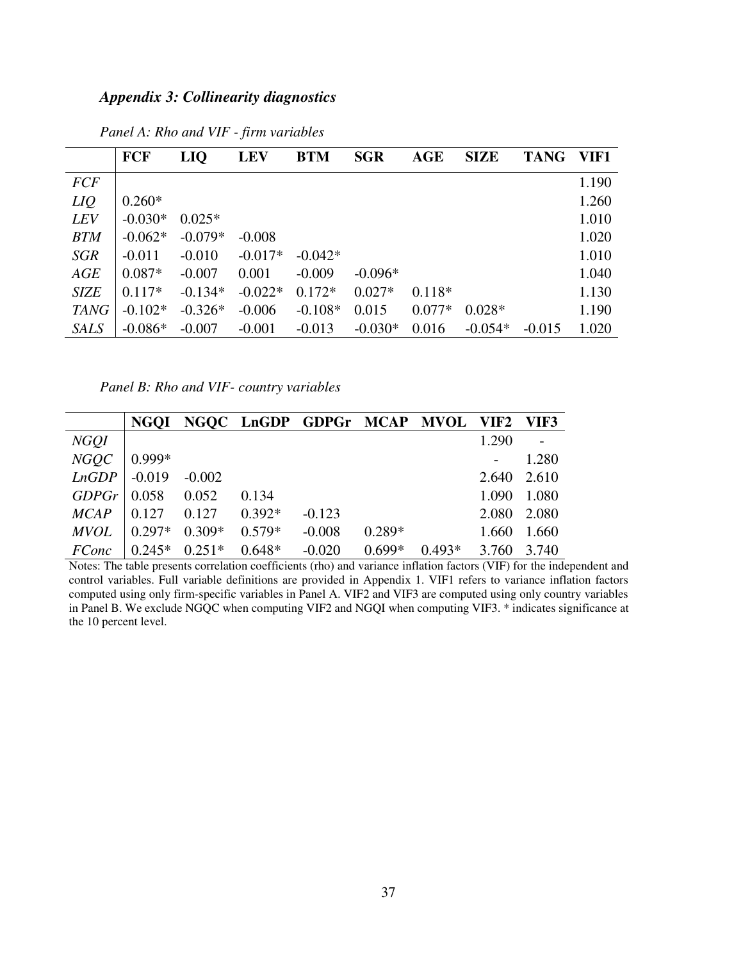## *Appendix 3: Collinearity diagnostics*

|             | <b>FCF</b> | LIQ       | <b>LEV</b> | <b>BTM</b> | <b>SGR</b> | AGE      | <b>SIZE</b> | <b>TANG</b> | VIF1  |
|-------------|------------|-----------|------------|------------|------------|----------|-------------|-------------|-------|
| <b>FCF</b>  |            |           |            |            |            |          |             |             | 1.190 |
| LIQ         | $0.260*$   |           |            |            |            |          |             |             | 1.260 |
| <b>LEV</b>  | $-0.030*$  | $0.025*$  |            |            |            |          |             |             | 1.010 |
| <b>BTM</b>  | $-0.062*$  | $-0.079*$ | $-0.008$   |            |            |          |             |             | 1.020 |
| SGR         | $-0.011$   | $-0.010$  | $-0.017*$  | $-0.042*$  |            |          |             |             | 1.010 |
| AGE         | $0.087*$   | $-0.007$  | 0.001      | $-0.009$   | $-0.096*$  |          |             |             | 1.040 |
| <b>SIZE</b> | $0.117*$   | $-0.134*$ | $-0.022*$  | $0.172*$   | $0.027*$   | $0.118*$ |             |             | 1.130 |
| <b>TANG</b> | $-0.102*$  | $-0.326*$ | $-0.006$   | $-0.108*$  | 0.015      | $0.077*$ | $0.028*$    |             | 1.190 |
| <b>SALS</b> | $-0.086*$  | $-0.007$  | $-0.001$   | $-0.013$   | $-0.030*$  | 0.016    | $-0.054*$   | $-0.015$    | 1.020 |

*Panel A: Rho and VIF - firm variables*

*Panel B: Rho and VIF- country variables* 

|               |                 |                                                       |          | NGQI NGQC LnGDP GDPGr MCAP MVOL VIF2 VIF3 |          |          |             |       |
|---------------|-----------------|-------------------------------------------------------|----------|-------------------------------------------|----------|----------|-------------|-------|
| <b>NGQI</b>   |                 |                                                       |          |                                           |          |          | 1.290       |       |
| <b>NGQC</b>   | $ 0.999*$       |                                                       |          |                                           |          |          |             | 1.280 |
| LnGDP         | $\mid -0.019$   | $-0.002$                                              |          |                                           |          |          | 2.640 2.610 |       |
| GDPGr   0.058 |                 | 0.052                                                 | 0.134    |                                           |          |          | 1.090       | 1.080 |
| MCAP          |                 | $\begin{bmatrix} 0.127 & 0.127 & 0.392 \end{bmatrix}$ |          | $-0.123$                                  |          |          | 2.080 2.080 |       |
| <b>MVOL</b>   | $0.297*$        | $0.309*$                                              | $0.579*$ | $-0.008$                                  | $0.289*$ |          | 1.660       | 1.660 |
| <i>FConc</i>  | $0.245*$ 0.251* |                                                       | $0.648*$ | $-0.020$                                  | $0.699*$ | $0.493*$ | 3.760       | 3.740 |

Notes: The table presents correlation coefficients (rho) and variance inflation factors (VIF) for the independent and control variables. Full variable definitions are provided in Appendix 1. VIF1 refers to variance inflation factors computed using only firm-specific variables in Panel A. VIF2 and VIF3 are computed using only country variables in Panel B. We exclude NGQC when computing VIF2 and NGQI when computing VIF3. \* indicates significance at the 10 percent level.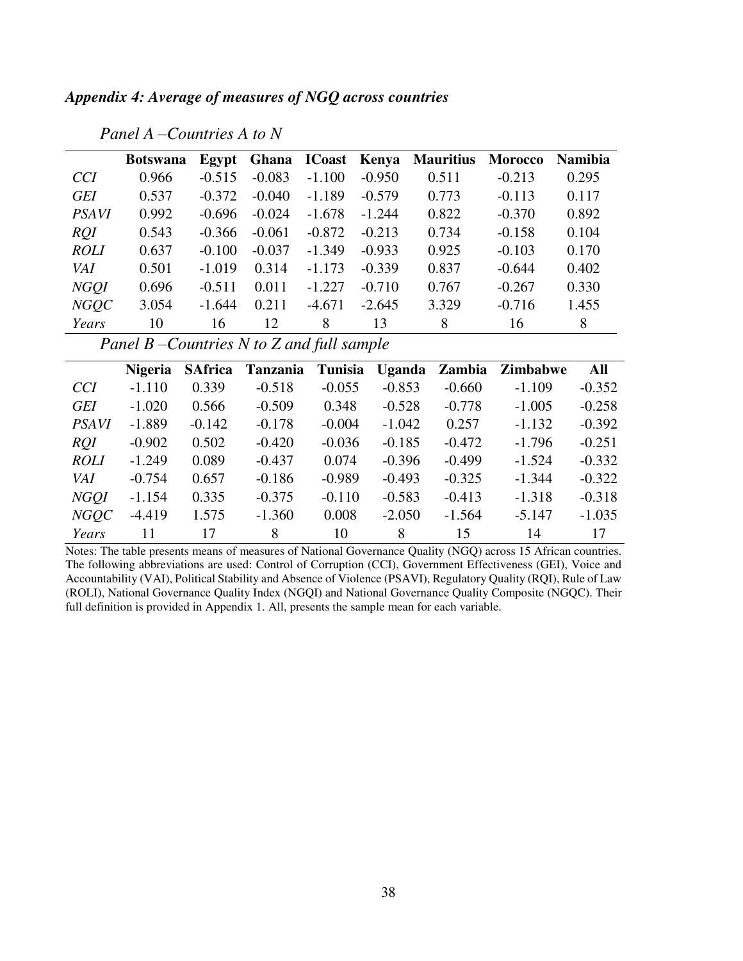*Appendix 4: Average of measures of NGQ across countries* 

|              | <b>Botswana</b> |          | Egypt Ghana ICoast Kenya |          |          | <b>Mauritius</b> | <b>Morocco</b> | <b>Namibia</b> |
|--------------|-----------------|----------|--------------------------|----------|----------|------------------|----------------|----------------|
| <i>CCI</i>   | 0.966           | $-0.515$ | $-0.083$                 | $-1.100$ | $-0.950$ | 0.511            | $-0.213$       | 0.295          |
| <b>GEI</b>   | 0.537           | $-0.372$ | $-0.040$                 | $-1.189$ | $-0.579$ | 0.773            | $-0.113$       | 0.117          |
| <b>PSAVI</b> | 0.992           | $-0.696$ | $-0.024$                 | $-1.678$ | $-1.244$ | 0.822            | $-0.370$       | 0.892          |
| RQI          | 0.543           | $-0.366$ | $-0.061$                 | $-0.872$ | $-0.213$ | 0.734            | $-0.158$       | 0.104          |
| <b>ROLI</b>  | 0.637           | $-0.100$ | $-0.037$                 | $-1.349$ | $-0.933$ | 0.925            | $-0.103$       | 0.170          |
| VAI          | 0.501           | $-1.019$ | 0.314                    | $-1.173$ | $-0.339$ | 0.837            | $-0.644$       | 0.402          |
| <b>NGOI</b>  | 0.696           | $-0.511$ | 0.011                    | $-1.227$ | $-0.710$ | 0.767            | $-0.267$       | 0.330          |
| <b>NGQC</b>  | 3.054           | $-1.644$ | 0.211                    | $-4.671$ | $-2.645$ | 3.329            | $-0.716$       | 1.455          |
| Years        | 10              | 16       | 12                       | 8        | 13       | 8                | 16             | 8              |

*Panel A –Countries A to N*

*Panel B –Countries N to Z and full sample*

|              | <b>Nigeria</b> | <b>SAfrica</b> | <b>Tanzania</b> | Tunisia  |          | Uganda Zambia | <b>Zimbabwe</b> | All      |
|--------------|----------------|----------------|-----------------|----------|----------|---------------|-----------------|----------|
| <b>CCI</b>   | $-1.110$       | 0.339          | $-0.518$        | $-0.055$ | $-0.853$ | $-0.660$      | $-1.109$        | $-0.352$ |
| <b>GEI</b>   | $-1.020$       | 0.566          | $-0.509$        | 0.348    | $-0.528$ | $-0.778$      | $-1.005$        | $-0.258$ |
| <b>PSAVI</b> | $-1.889$       | $-0.142$       | $-0.178$        | $-0.004$ | $-1.042$ | 0.257         | $-1.132$        | $-0.392$ |
| <i>RQI</i>   | $-0.902$       | 0.502          | $-0.420$        | $-0.036$ | $-0.185$ | $-0.472$      | $-1.796$        | $-0.251$ |
| <b>ROLI</b>  | $-1.249$       | 0.089          | $-0.437$        | 0.074    | $-0.396$ | $-0.499$      | $-1.524$        | $-0.332$ |
| VAI          | $-0.754$       | 0.657          | $-0.186$        | $-0.989$ | $-0.493$ | $-0.325$      | $-1.344$        | $-0.322$ |
| <b>NGOI</b>  | $-1.154$       | 0.335          | $-0.375$        | $-0.110$ | $-0.583$ | $-0.413$      | $-1.318$        | $-0.318$ |
| <b>NGQC</b>  | $-4.419$       | 1.575          | $-1.360$        | 0.008    | $-2.050$ | $-1.564$      | $-5.147$        | $-1.035$ |
| Years        | 11             | 17             | 8               | 10       | 8        | 15            | 14              | 17       |

Notes: The table presents means of measures of National Governance Quality (NGQ) across 15 African countries. The following abbreviations are used: Control of Corruption (CCI), Government Effectiveness (GEI), Voice and Accountability (VAI), Political Stability and Absence of Violence (PSAVI), Regulatory Quality (RQI), Rule of Law (ROLI), National Governance Quality Index (NGQI) and National Governance Quality Composite (NGQC). Their full definition is provided in Appendix 1. All, presents the sample mean for each variable.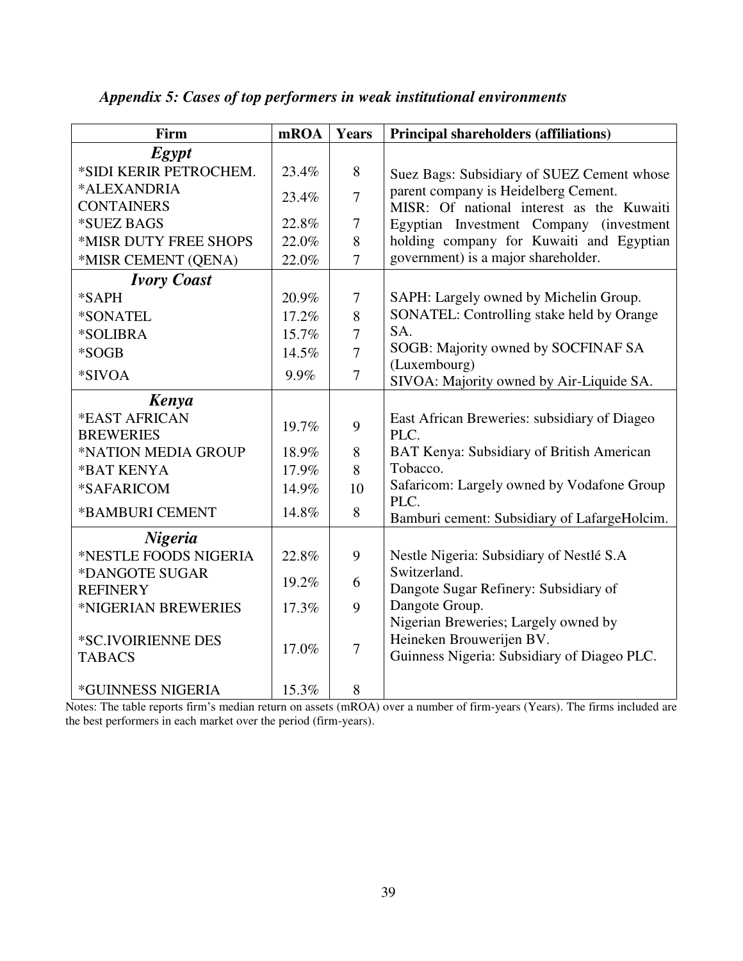| Firm                   | mROA  | Years          | <b>Principal shareholders (affiliations)</b>         |
|------------------------|-------|----------------|------------------------------------------------------|
| <b>Egypt</b>           |       |                |                                                      |
| *SIDI KERIR PETROCHEM. | 23.4% | 8              | Suez Bags: Subsidiary of SUEZ Cement whose           |
| *ALEXANDRIA            | 23.4% | $\overline{7}$ | parent company is Heidelberg Cement.                 |
| <b>CONTAINERS</b>      |       |                | MISR: Of national interest as the Kuwaiti            |
| *SUEZ BAGS             | 22.8% | $\tau$         | Egyptian Investment Company (investment              |
| *MISR DUTY FREE SHOPS  | 22.0% | 8              | holding company for Kuwaiti and Egyptian             |
| *MISR CEMENT (QENA)    | 22.0% | $\overline{7}$ | government) is a major shareholder.                  |
| <b>Ivory Coast</b>     |       |                |                                                      |
| *SAPH                  | 20.9% | $\overline{7}$ | SAPH: Largely owned by Michelin Group.               |
| *SONATEL               | 17.2% | 8              | SONATEL: Controlling stake held by Orange            |
| *SOLIBRA               | 15.7% | $\overline{7}$ | SA.                                                  |
| *SOGB                  | 14.5% | $\overline{7}$ | SOGB: Majority owned by SOCFINAF SA                  |
| *SIVOA                 | 9.9%  | $\overline{7}$ | (Luxembourg)                                         |
|                        |       |                | SIVOA: Majority owned by Air-Liquide SA.             |
| Kenya<br>*EAST AFRICAN |       |                |                                                      |
| <b>BREWERIES</b>       | 19.7% | 9              | East African Breweries: subsidiary of Diageo<br>PLC. |
| *NATION MEDIA GROUP    | 18.9% | 8              | BAT Kenya: Subsidiary of British American            |
| *BAT KENYA             | 17.9% | 8              | Tobacco.                                             |
| *SAFARICOM             | 14.9% | 10             | Safaricom: Largely owned by Vodafone Group           |
|                        |       |                | PLC.                                                 |
| *BAMBURI CEMENT        | 14.8% | 8              | Bamburi cement: Subsidiary of LafargeHolcim.         |
| <b>Nigeria</b>         |       |                |                                                      |
| *NESTLE FOODS NIGERIA  | 22.8% | 9              | Nestle Nigeria: Subsidiary of Nestlé S.A             |
| *DANGOTE SUGAR         | 19.2% | 6              | Switzerland.                                         |
| <b>REFINERY</b>        |       |                | Dangote Sugar Refinery: Subsidiary of                |
| *NIGERIAN BREWERIES    | 17.3% | 9              | Dangote Group.                                       |
|                        |       |                | Nigerian Breweries; Largely owned by                 |
| *SC.IVOIRIENNE DES     | 17.0% | $\overline{7}$ | Heineken Brouwerijen BV.                             |
| <b>TABACS</b>          |       |                | Guinness Nigeria: Subsidiary of Diageo PLC.          |
| *GUINNESS NIGERIA      | 15.3% | 8              |                                                      |

## *Appendix 5: Cases of top performers in weak institutional environments*

Notes: The table reports firm's median return on assets (mROA) over a number of firm-years (Years). The firms included are the best performers in each market over the period (firm-years).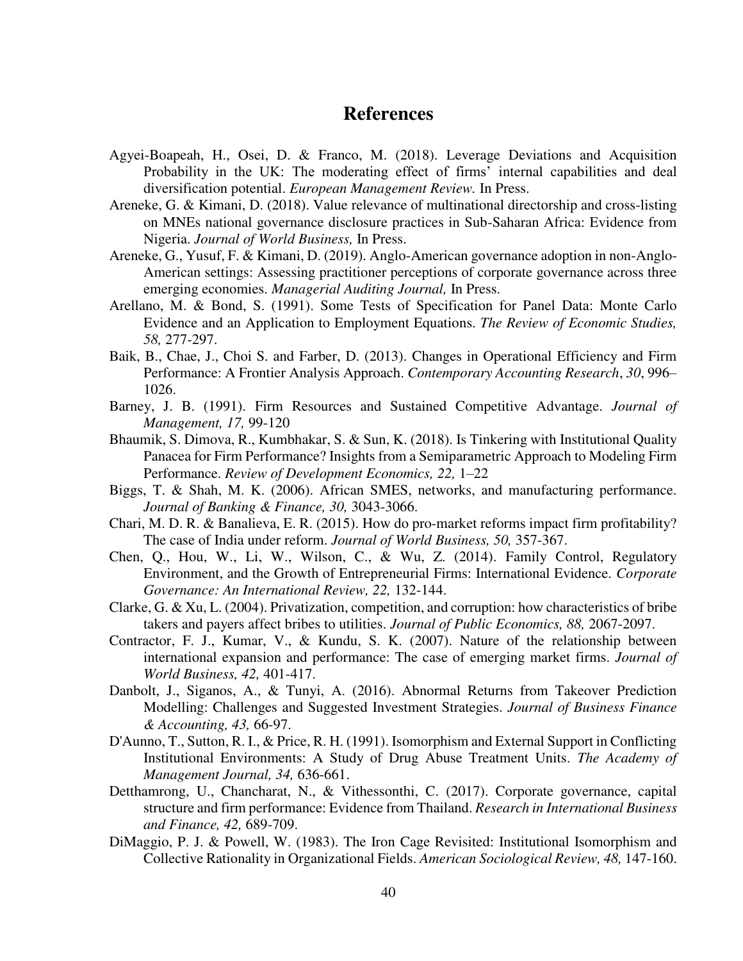## **References**

- Agyei-Boapeah, H., Osei, D. & Franco, M. (2018). Leverage Deviations and Acquisition Probability in the UK: The moderating effect of firms' internal capabilities and deal diversification potential. *European Management Review.* In Press.
- Areneke, G. & Kimani, D. (2018). Value relevance of multinational directorship and cross-listing on MNEs national governance disclosure practices in Sub-Saharan Africa: Evidence from Nigeria. *Journal of World Business,* In Press.
- Areneke, G., Yusuf, F. & Kimani, D. (2019). Anglo-American governance adoption in non-Anglo-American settings: Assessing practitioner perceptions of corporate governance across three emerging economies. *Managerial Auditing Journal,* In Press.
- Arellano, M. & Bond, S. (1991). Some Tests of Specification for Panel Data: Monte Carlo Evidence and an Application to Employment Equations. *The Review of Economic Studies, 58,* 277-297.
- Baik, B., Chae, J., Choi S. and Farber, D. (2013). Changes in Operational Efficiency and Firm Performance: A Frontier Analysis Approach. *Contemporary Accounting Research*, *30*, 996– 1026.
- Barney, J. B. (1991). Firm Resources and Sustained Competitive Advantage. *Journal of Management, 17,* 99-120
- Bhaumik, S. Dimova, R., Kumbhakar, S. & Sun, K. (2018). Is Tinkering with Institutional Quality Panacea for Firm Performance? Insights from a Semiparametric Approach to Modeling Firm Performance. *Review of Development Economics, 22,* 1–22
- Biggs, T. & Shah, M. K. (2006). African SMES, networks, and manufacturing performance. *Journal of Banking & Finance, 30,* 3043-3066.
- Chari, M. D. R. & Banalieva, E. R. (2015). How do pro-market reforms impact firm profitability? The case of India under reform. *Journal of World Business, 50,* 357-367.
- Chen, Q., Hou, W., Li, W., Wilson, C., & Wu, Z. (2014). Family Control, Regulatory Environment, and the Growth of Entrepreneurial Firms: International Evidence. *Corporate Governance: An International Review, 22,* 132-144.
- Clarke, G. & Xu, L. (2004). Privatization, competition, and corruption: how characteristics of bribe takers and payers affect bribes to utilities. *Journal of Public Economics, 88,* 2067-2097.
- Contractor, F. J., Kumar, V., & Kundu, S. K. (2007). Nature of the relationship between international expansion and performance: The case of emerging market firms. *Journal of World Business, 42,* 401-417.
- Danbolt, J., Siganos, A., & Tunyi, A. (2016). Abnormal Returns from Takeover Prediction Modelling: Challenges and Suggested Investment Strategies. *Journal of Business Finance & Accounting, 43,* 66-97.
- D'Aunno, T., Sutton, R. I., & Price, R. H. (1991). Isomorphism and External Support in Conflicting Institutional Environments: A Study of Drug Abuse Treatment Units. *The Academy of Management Journal, 34,* 636-661.
- Detthamrong, U., Chancharat, N., & Vithessonthi, C. (2017). Corporate governance, capital structure and firm performance: Evidence from Thailand. *Research in International Business and Finance, 42,* 689-709.
- DiMaggio, P. J. & Powell, W. (1983). The Iron Cage Revisited: Institutional Isomorphism and Collective Rationality in Organizational Fields. *American Sociological Review, 48,* 147-160.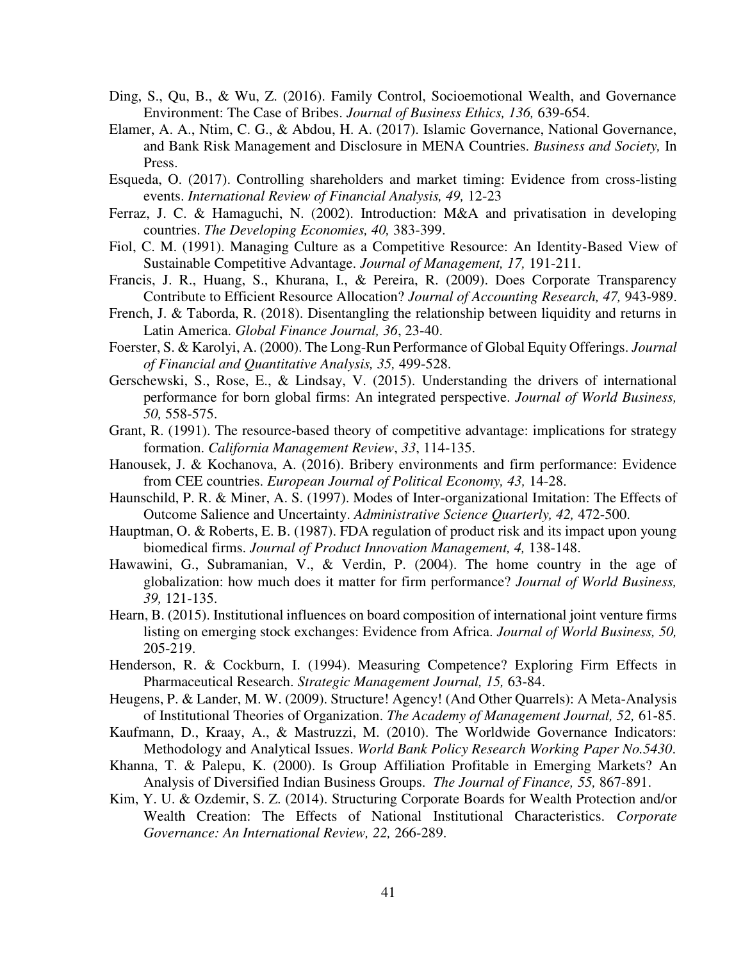- Ding, S., Qu, B., & Wu, Z. (2016). Family Control, Socioemotional Wealth, and Governance Environment: The Case of Bribes. *Journal of Business Ethics, 136,* 639-654.
- Elamer, A. A., Ntim, C. G., & Abdou, H. A. (2017). Islamic Governance, National Governance, and Bank Risk Management and Disclosure in MENA Countries. *Business and Society,* In Press.
- Esqueda, O. (2017). Controlling shareholders and market timing: Evidence from cross-listing events. *International Review of Financial Analysis, 49,* 12-23
- Ferraz, J. C. & Hamaguchi, N. (2002). Introduction: M&A and privatisation in developing countries. *The Developing Economies, 40,* 383-399.
- Fiol, C. M. (1991). Managing Culture as a Competitive Resource: An Identity-Based View of Sustainable Competitive Advantage. *Journal of Management, 17,* 191-211.
- Francis, J. R., Huang, S., Khurana, I., & Pereira, R. (2009). Does Corporate Transparency Contribute to Efficient Resource Allocation? *Journal of Accounting Research, 47,* 943-989.
- French, J. & Taborda, R. (2018). Disentangling the relationship between liquidity and returns in Latin America. *Global Finance Journal, 36*, 23-40.
- Foerster, S. & Karolyi, A. (2000). The Long-Run Performance of Global Equity Offerings. *Journal of Financial and Quantitative Analysis, 35,* 499-528.
- Gerschewski, S., Rose, E., & Lindsay, V. (2015). Understanding the drivers of international performance for born global firms: An integrated perspective. *Journal of World Business, 50,* 558-575.
- Grant, R. (1991). The resource-based theory of competitive advantage: implications for strategy formation. *California Management Review*, *33*, 114-135.
- Hanousek, J. & Kochanova, A. (2016). Bribery environments and firm performance: Evidence from CEE countries. *European Journal of Political Economy, 43,* 14-28.
- Haunschild, P. R. & Miner, A. S. (1997). Modes of Inter-organizational Imitation: The Effects of Outcome Salience and Uncertainty. *Administrative Science Quarterly, 42,* 472-500.
- Hauptman, O. & Roberts, E. B. (1987). FDA regulation of product risk and its impact upon young biomedical firms. *Journal of Product Innovation Management, 4,* 138-148.
- Hawawini, G., Subramanian, V., & Verdin, P. (2004). The home country in the age of globalization: how much does it matter for firm performance? *Journal of World Business, 39,* 121-135.
- Hearn, B. (2015). Institutional influences on board composition of international joint venture firms listing on emerging stock exchanges: Evidence from Africa. *Journal of World Business, 50,* 205-219.
- Henderson, R. & Cockburn, I. (1994). Measuring Competence? Exploring Firm Effects in Pharmaceutical Research. *Strategic Management Journal, 15,* 63-84.
- Heugens, P. & Lander, M. W. (2009). Structure! Agency! (And Other Quarrels): A Meta-Analysis of Institutional Theories of Organization. *The Academy of Management Journal, 52,* 61-85.
- Kaufmann, D., Kraay, A., & Mastruzzi, M. (2010). The Worldwide Governance Indicators: Methodology and Analytical Issues. *World Bank Policy Research Working Paper No.5430*.
- Khanna, T. & Palepu, K. (2000). Is Group Affiliation Profitable in Emerging Markets? An Analysis of Diversified Indian Business Groups. *The Journal of Finance, 55,* 867-891.
- Kim, Y. U. & Ozdemir, S. Z. (2014). Structuring Corporate Boards for Wealth Protection and/or Wealth Creation: The Effects of National Institutional Characteristics. *Corporate Governance: An International Review, 22,* 266-289.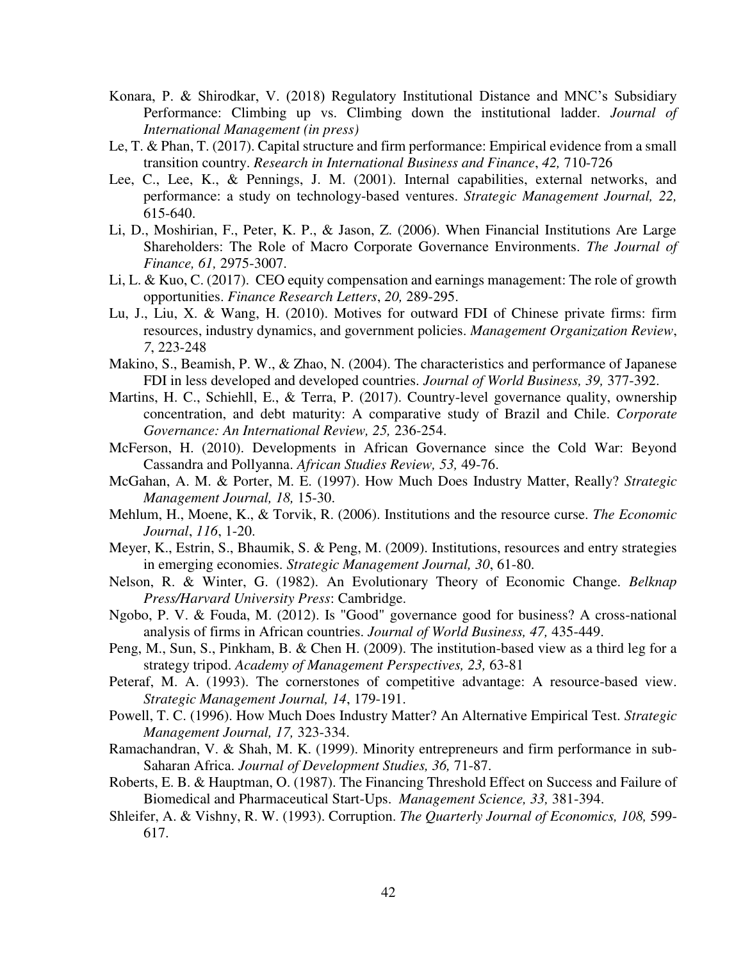- Konara, P. & Shirodkar, V. (2018) Regulatory Institutional Distance and MNC's Subsidiary Performance: Climbing up vs. Climbing down the institutional ladder. *Journal of International Management (in press)*
- Le, T. & Phan, T. (2017). Capital structure and firm performance: Empirical evidence from a small transition country. *Research in International Business and Finance*, *42,* 710-726
- Lee, C., Lee, K., & Pennings, J. M. (2001). Internal capabilities, external networks, and performance: a study on technology-based ventures. *Strategic Management Journal, 22,* 615-640.
- Li, D., Moshirian, F., Peter, K. P., & Jason, Z. (2006). When Financial Institutions Are Large Shareholders: The Role of Macro Corporate Governance Environments. *The Journal of Finance, 61,* 2975-3007.
- Li, L. & Kuo, C. (2017). CEO equity compensation and earnings management: The role of growth opportunities. *Finance Research Letters*, *20,* 289-295.
- Lu, J., Liu, X. & Wang, H. (2010). Motives for outward FDI of Chinese private firms: firm resources, industry dynamics, and government policies. *Management Organization Review*, *7*, 223-248
- Makino, S., Beamish, P. W., & Zhao, N. (2004). The characteristics and performance of Japanese FDI in less developed and developed countries. *Journal of World Business, 39,* 377-392.
- Martins, H. C., Schiehll, E., & Terra, P. (2017). Country-level governance quality, ownership concentration, and debt maturity: A comparative study of Brazil and Chile. *Corporate Governance: An International Review, 25,* 236-254.
- McFerson, H. (2010). Developments in African Governance since the Cold War: Beyond Cassandra and Pollyanna. *African Studies Review, 53,* 49-76.
- McGahan, A. M. & Porter, M. E. (1997). How Much Does Industry Matter, Really? *Strategic Management Journal, 18,* 15-30.
- Mehlum, H., Moene, K., & Torvik, R. (2006). Institutions and the resource curse. *The Economic Journal*, *116*, 1-20.
- Meyer, K., Estrin, S., Bhaumik, S. & Peng, M. (2009). Institutions, resources and entry strategies in emerging economies. *Strategic Management Journal, 30*, 61-80.
- Nelson, R. & Winter, G. (1982). An Evolutionary Theory of Economic Change. *Belknap Press/Harvard University Press*: Cambridge.
- Ngobo, P. V. & Fouda, M. (2012). Is "Good" governance good for business? A cross-national analysis of firms in African countries. *Journal of World Business, 47,* 435-449.
- Peng, M., Sun, S., Pinkham, B. & Chen H. (2009). The institution-based view as a third leg for a strategy tripod. *Academy of Management Perspectives, 23,* 63-81
- Peteraf, M. A. (1993). The cornerstones of competitive advantage: A resource-based view. *Strategic Management Journal, 14*, 179-191.
- Powell, T. C. (1996). How Much Does Industry Matter? An Alternative Empirical Test. *Strategic Management Journal, 17,* 323-334.
- Ramachandran, V. & Shah, M. K. (1999). Minority entrepreneurs and firm performance in sub-Saharan Africa. *Journal of Development Studies, 36,* 71-87.
- Roberts, E. B. & Hauptman, O. (1987). The Financing Threshold Effect on Success and Failure of Biomedical and Pharmaceutical Start-Ups. *Management Science, 33,* 381-394.
- Shleifer, A. & Vishny, R. W. (1993). Corruption. *The Quarterly Journal of Economics, 108,* 599- 617.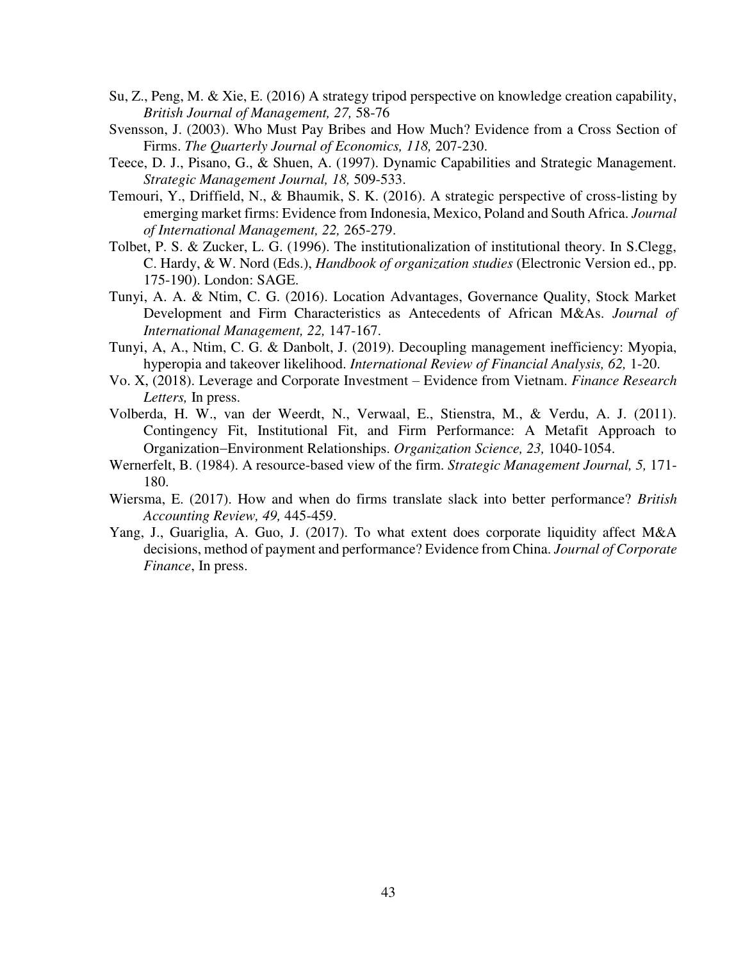- Su, Z., Peng, M. & Xie, E. (2016) A strategy tripod perspective on knowledge creation capability, *British Journal of Management, 27,* 58-76
- Svensson, J. (2003). Who Must Pay Bribes and How Much? Evidence from a Cross Section of Firms. *The Quarterly Journal of Economics, 118,* 207-230.
- Teece, D. J., Pisano, G., & Shuen, A. (1997). Dynamic Capabilities and Strategic Management. *Strategic Management Journal, 18,* 509-533.
- Temouri, Y., Driffield, N., & Bhaumik, S. K. (2016). A strategic perspective of cross-listing by emerging market firms: Evidence from Indonesia, Mexico, Poland and South Africa. *Journal of International Management, 22,* 265-279.
- Tolbet, P. S. & Zucker, L. G. (1996). The institutionalization of institutional theory. In S.Clegg, C. Hardy, & W. Nord (Eds.), *Handbook of organization studies* (Electronic Version ed., pp. 175-190). London: SAGE.
- Tunyi, A. A. & Ntim, C. G. (2016). Location Advantages, Governance Quality, Stock Market Development and Firm Characteristics as Antecedents of African M&As. *Journal of International Management, 22,* 147-167.
- Tunyi, A, A., Ntim, C. G. & Danbolt, J. (2019). Decoupling management inefficiency: Myopia, hyperopia and takeover likelihood. *International Review of Financial Analysis, 62,* 1-20.
- Vo. X, (2018). Leverage and Corporate Investment Evidence from Vietnam. *Finance Research Letters,* In press.
- Volberda, H. W., van der Weerdt, N., Verwaal, E., Stienstra, M., & Verdu, A. J. (2011). Contingency Fit, Institutional Fit, and Firm Performance: A Metafit Approach to OrganizationEnvironment Relationships. *Organization Science, 23,* 1040-1054.
- Wernerfelt, B. (1984). A resource-based view of the firm. *Strategic Management Journal, 5,* 171- 180.
- Wiersma, E. (2017). How and when do firms translate slack into better performance? *British Accounting Review, 49,* 445-459.
- Yang, J., Guariglia, A. Guo, J. (2017). To what extent does corporate liquidity affect M&A decisions, method of payment and performance? Evidence from China. *Journal of Corporate Finance*, In press.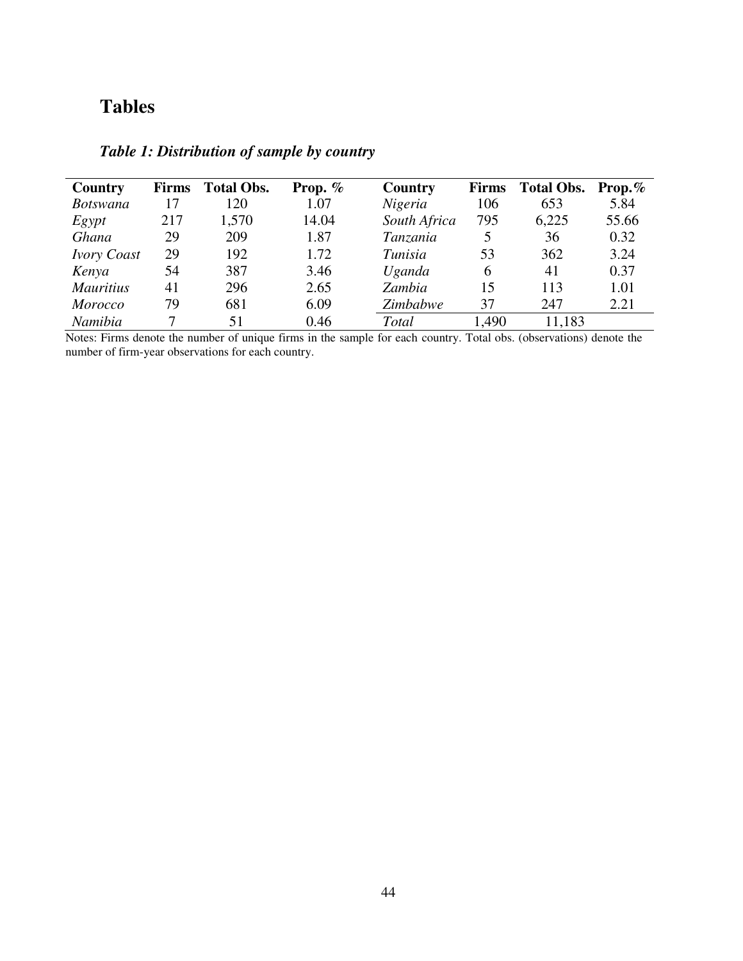# **Tables**

| <b>Country</b>     | <b>Firms</b> | <b>Total Obs.</b> | Prop. $%$ | Country      | <b>Firms</b> | <b>Total Obs.</b> | Prop. $%$ |
|--------------------|--------------|-------------------|-----------|--------------|--------------|-------------------|-----------|
| <b>Botswana</b>    | 17           | 120               | 1.07      | Nigeria      | 106          | 653               | 5.84      |
| Egypt              | 217          | 1,570             | 14.04     | South Africa | 795          | 6,225             | 55.66     |
| Ghana              | 29           | 209               | 1.87      | Tanzania     | 5            | 36                | 0.32      |
| <b>Ivory Coast</b> | 29           | 192               | 1.72      | Tunisia      | 53           | 362               | 3.24      |
| Kenya              | 54           | 387               | 3.46      | Uganda       | 6            | 41                | 0.37      |
| <b>Mauritius</b>   | 41           | 296               | 2.65      | Zambia       | 15           | 113               | 1.01      |
| <b>Morocco</b>     | 79           | 681               | 6.09      | Zimbabwe     | 37           | 247               | 2.21      |
| Namibia            | 7            | 51                | 0.46      | Total        | 1,490        | 11,183            |           |

## *Table 1: Distribution of sample by country*

Notes: Firms denote the number of unique firms in the sample for each country. Total obs. (observations) denote the number of firm-year observations for each country.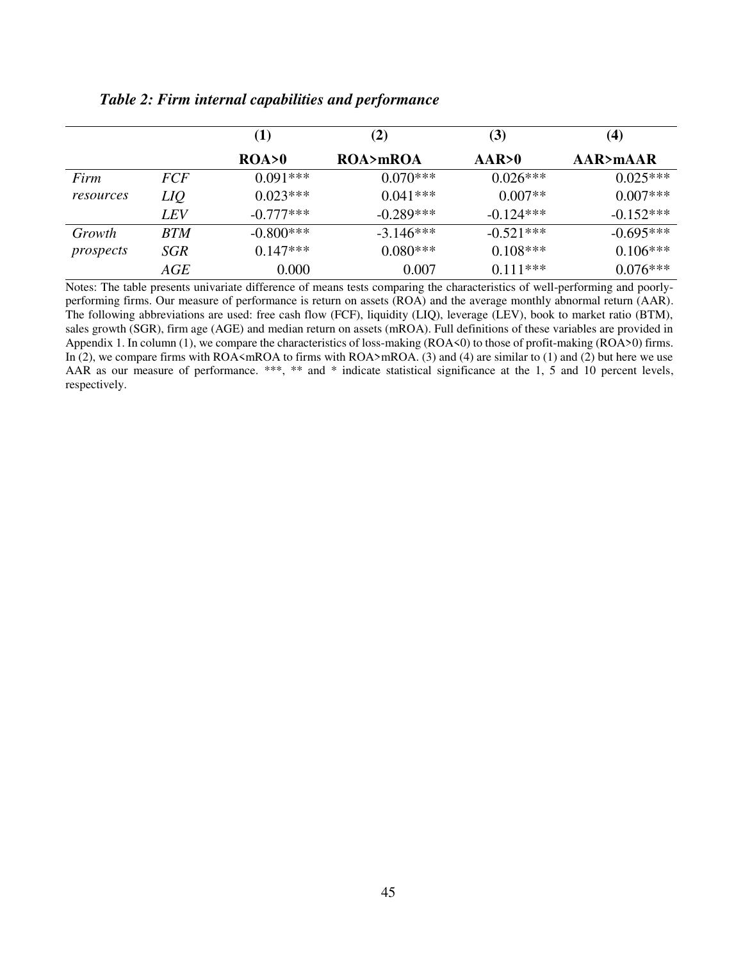|           |                 | (1)         | (2)         | (3)         | (4)         |
|-----------|-----------------|-------------|-------------|-------------|-------------|
|           |                 | ROA > 0     | ROA>mROA    | AAR>0       | AAR>mAAR    |
| Firm      | <i>FCF</i>      | $0.091***$  | $0.070***$  | $0.026***$  | $0.025***$  |
| resources | LIQ             | $0.023***$  | $0.041***$  | $0.007**$   | $0.007***$  |
|           | LEV <sub></sub> | $-0.777***$ | $-0.289***$ | $-0.124***$ | $-0.152***$ |
| Growth    | <i>BTM</i>      | $-0.800***$ | $-3.146***$ | $-0.521***$ | $-0.695***$ |
| prospects | SGR             | $0.147***$  | $0.080***$  | $0.108***$  | $0.106***$  |
|           | AGE             | 0.000       | 0.007       | $0.111***$  | $0.076***$  |

## *Table 2: Firm internal capabilities and performance*

Notes: The table presents univariate difference of means tests comparing the characteristics of well-performing and poorlyperforming firms. Our measure of performance is return on assets (ROA) and the average monthly abnormal return (AAR). The following abbreviations are used: free cash flow (FCF), liquidity (LIQ), leverage (LEV), book to market ratio (BTM), sales growth (SGR), firm age (AGE) and median return on assets (mROA). Full definitions of these variables are provided in Appendix 1. In column (1), we compare the characteristics of loss-making (ROA<0) to those of profit-making (ROA>0) firms. In (2), we compare firms with ROA <mROA to firms with ROA>mROA. (3) and (4) are similar to (1) and (2) but here we use AAR as our measure of performance. \*\*\*, \*\* and \* indicate statistical significance at the 1, 5 and 10 percent levels, respectively.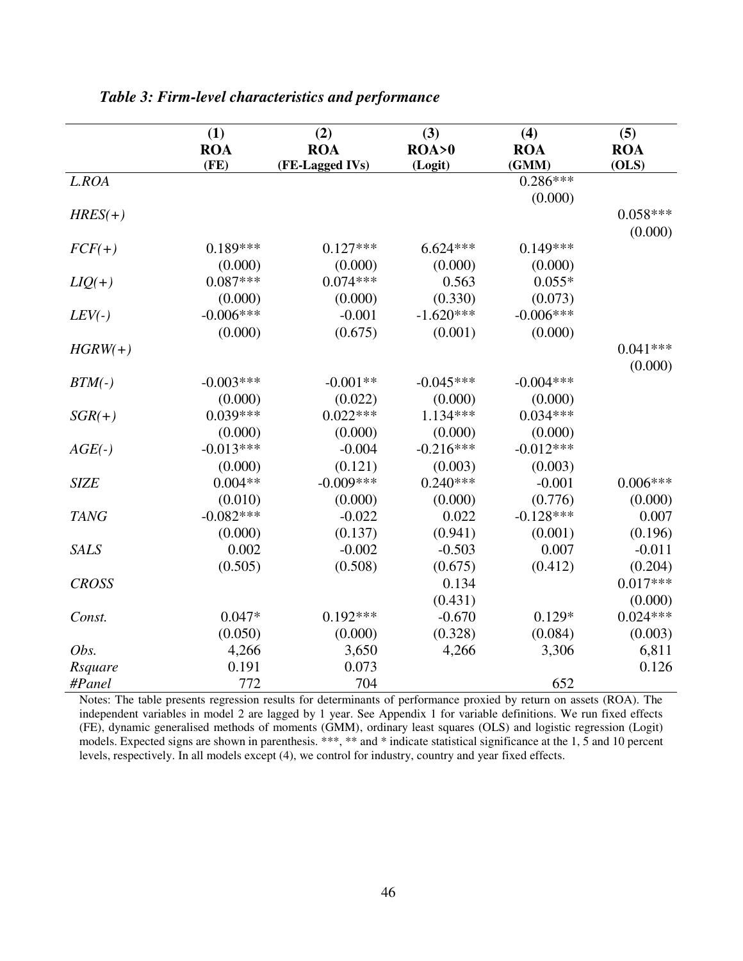|              | (1)         | (2)             | (3)         | (4)         | (5)        |
|--------------|-------------|-----------------|-------------|-------------|------------|
|              | <b>ROA</b>  | <b>ROA</b>      | ROA > 0     | <b>ROA</b>  | <b>ROA</b> |
|              | (FE)        | (FE-Lagged IVs) | (Logit)     | (GMM)       | (OLS)      |
| L.ROA        |             |                 |             | $0.286***$  |            |
|              |             |                 |             | (0.000)     |            |
| $HRES(+)$    |             |                 |             |             | $0.058***$ |
|              |             |                 |             |             | (0.000)    |
| $FCF(+)$     | $0.189***$  | $0.127***$      | $6.624***$  | $0.149***$  |            |
|              | (0.000)     | (0.000)         | (0.000)     | (0.000)     |            |
| $LIQ(+)$     | $0.087***$  | $0.074***$      | 0.563       | $0.055*$    |            |
|              | (0.000)     | (0.000)         | (0.330)     | (0.073)     |            |
| $LEV(-)$     | $-0.006***$ | $-0.001$        | $-1.620***$ | $-0.006***$ |            |
|              | (0.000)     | (0.675)         | (0.001)     | (0.000)     |            |
| $HGRW(+)$    |             |                 |             |             | $0.041***$ |
|              |             |                 |             |             | (0.000)    |
| $BTM(-)$     | $-0.003***$ | $-0.001**$      | $-0.045***$ | $-0.004***$ |            |
|              | (0.000)     | (0.022)         | (0.000)     | (0.000)     |            |
| $SGR(+)$     | $0.039***$  | $0.022***$      | $1.134***$  | $0.034***$  |            |
|              | (0.000)     | (0.000)         | (0.000)     | (0.000)     |            |
| $AGE(-)$     | $-0.013***$ | $-0.004$        | $-0.216***$ | $-0.012***$ |            |
|              | (0.000)     | (0.121)         | (0.003)     | (0.003)     |            |
| <b>SIZE</b>  | $0.004**$   | $-0.009***$     | $0.240***$  | $-0.001$    | $0.006***$ |
|              | (0.010)     | (0.000)         | (0.000)     | (0.776)     | (0.000)    |
| <b>TANG</b>  | $-0.082***$ | $-0.022$        | 0.022       | $-0.128***$ | 0.007      |
|              | (0.000)     | (0.137)         | (0.941)     | (0.001)     | (0.196)    |
| <b>SALS</b>  | 0.002       | $-0.002$        | $-0.503$    | 0.007       | $-0.011$   |
|              | (0.505)     | (0.508)         | (0.675)     | (0.412)     | (0.204)    |
| <b>CROSS</b> |             |                 | 0.134       |             | $0.017***$ |
|              |             |                 | (0.431)     |             | (0.000)    |
| Const.       | $0.047*$    | $0.192***$      | $-0.670$    | $0.129*$    | $0.024***$ |
|              | (0.050)     | (0.000)         | (0.328)     | (0.084)     | (0.003)    |
| Obs.         | 4,266       | 3,650           | 4,266       | 3,306       | 6,811      |
| Rsquare      | 0.191       | 0.073           |             |             | 0.126      |
| #Panel       | 772         | 704             |             | 652         |            |

*Table 3: Firm-level characteristics and performance*

Notes: The table presents regression results for determinants of performance proxied by return on assets (ROA). The independent variables in model 2 are lagged by 1 year. See Appendix 1 for variable definitions. We run fixed effects (FE), dynamic generalised methods of moments (GMM), ordinary least squares (OLS) and logistic regression (Logit) models. Expected signs are shown in parenthesis. \*\*\*, \*\* and \* indicate statistical significance at the 1, 5 and 10 percent levels, respectively. In all models except (4), we control for industry, country and year fixed effects.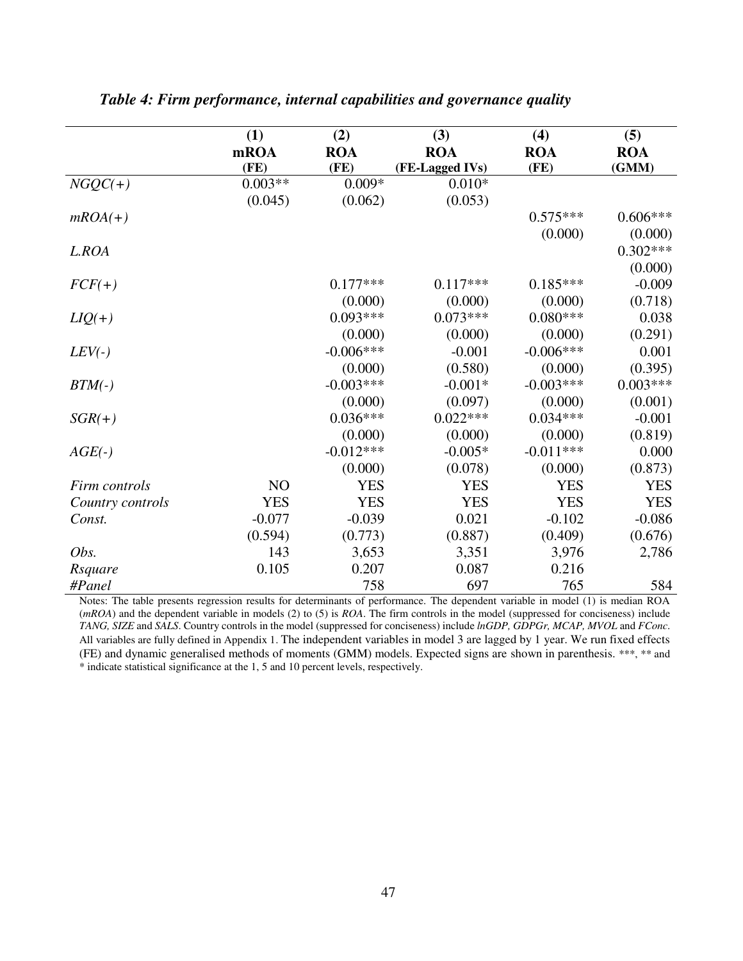|                  | (1)            | (2)         | (3)             | (4)         | (5)        |
|------------------|----------------|-------------|-----------------|-------------|------------|
|                  | mROA           | <b>ROA</b>  | <b>ROA</b>      | <b>ROA</b>  | <b>ROA</b> |
|                  | (FE)           | (FE)        | (FE-Lagged IVs) | (FE)        | (GMM)      |
| $NGQC(+)$        | $0.003**$      | $0.009*$    | $0.010*$        |             |            |
|                  | (0.045)        | (0.062)     | (0.053)         |             |            |
| $mROA(+)$        |                |             |                 | $0.575***$  | $0.606***$ |
|                  |                |             |                 | (0.000)     | (0.000)    |
| L.ROA            |                |             |                 |             | $0.302***$ |
|                  |                |             |                 |             | (0.000)    |
| $FCF(+)$         |                | $0.177***$  | $0.117***$      | $0.185***$  | $-0.009$   |
|                  |                | (0.000)     | (0.000)         | (0.000)     | (0.718)    |
| $LIQ(+)$         |                | $0.093***$  | $0.073***$      | $0.080***$  | 0.038      |
|                  |                | (0.000)     | (0.000)         | (0.000)     | (0.291)    |
| $LEV(-)$         |                | $-0.006***$ | $-0.001$        | $-0.006***$ | 0.001      |
|                  |                | (0.000)     | (0.580)         | (0.000)     | (0.395)    |
| $BTM(-)$         |                | $-0.003***$ | $-0.001*$       | $-0.003***$ | $0.003***$ |
|                  |                | (0.000)     | (0.097)         | (0.000)     | (0.001)    |
| $SGR(+)$         |                | $0.036***$  | $0.022***$      | $0.034***$  | $-0.001$   |
|                  |                | (0.000)     | (0.000)         | (0.000)     | (0.819)    |
| $AGE(-)$         |                | $-0.012***$ | $-0.005*$       | $-0.011***$ | 0.000      |
|                  |                | (0.000)     | (0.078)         | (0.000)     | (0.873)    |
| Firm controls    | N <sub>O</sub> | <b>YES</b>  | <b>YES</b>      | <b>YES</b>  | <b>YES</b> |
| Country controls | <b>YES</b>     | <b>YES</b>  | <b>YES</b>      | <b>YES</b>  | <b>YES</b> |
| Const.           | $-0.077$       | $-0.039$    | 0.021           | $-0.102$    | $-0.086$   |
|                  | (0.594)        | (0.773)     | (0.887)         | (0.409)     | (0.676)    |
| Obs.             | 143            | 3,653       | 3,351           | 3,976       | 2,786      |
| Rsquare          | 0.105          | 0.207       | 0.087           | 0.216       |            |
| #Panel           |                | 758         | 697             | 765         | 584        |

*Table 4: Firm performance, internal capabilities and governance quality* 

Notes: The table presents regression results for determinants of performance. The dependent variable in model (1) is median ROA (*mROA*) and the dependent variable in models (2) to (5) is *ROA*. The firm controls in the model (suppressed for conciseness) include *TANG, SIZE* and *SALS*. Country controls in the model (suppressed for conciseness) include *lnGDP, GDPGr, MCAP, MVOL* and *FConc*. All variables are fully defined in Appendix 1. The independent variables in model 3 are lagged by 1 year. We run fixed effects (FE) and dynamic generalised methods of moments (GMM) models. Expected signs are shown in parenthesis. \*\*\*, \*\* and \* indicate statistical significance at the 1, 5 and 10 percent levels, respectively.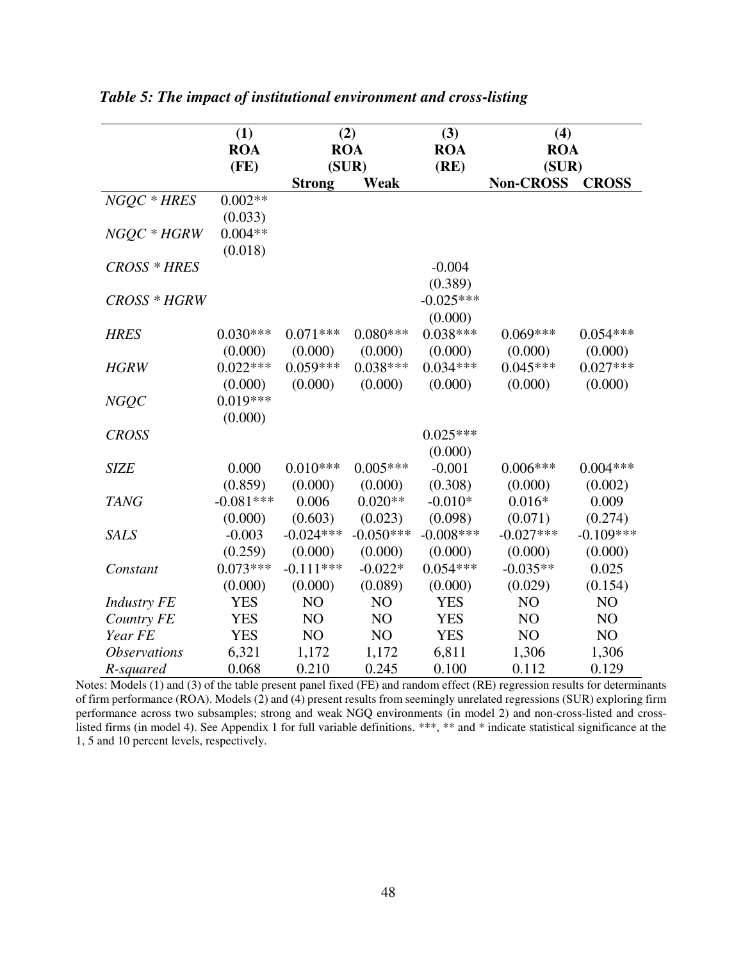|                            | (1)         | (2)           |             | (3)         | (4)              |              |
|----------------------------|-------------|---------------|-------------|-------------|------------------|--------------|
|                            | <b>ROA</b>  | <b>ROA</b>    |             | <b>ROA</b>  | <b>ROA</b>       |              |
|                            | (FE)        | (SUR)         |             | (RE)        | (SUR)            |              |
|                            |             | <b>Strong</b> | Weak        |             | <b>Non-CROSS</b> | <b>CROSS</b> |
| $NGQC * HRES$              | $0.002**$   |               |             |             |                  |              |
|                            | (0.033)     |               |             |             |                  |              |
| NGQC * HGRW                | $0.004**$   |               |             |             |                  |              |
|                            | (0.018)     |               |             |             |                  |              |
| CROSS * HRES               |             |               |             | $-0.004$    |                  |              |
|                            |             |               |             | (0.389)     |                  |              |
| CROSS * HGRW               |             |               |             | $-0.025***$ |                  |              |
|                            |             |               |             | (0.000)     |                  |              |
| <b>HRES</b>                | $0.030***$  | $0.071***$    | $0.080***$  | $0.038***$  | $0.069***$       | $0.054***$   |
|                            | (0.000)     | (0.000)       | (0.000)     | (0.000)     | (0.000)          | (0.000)      |
| <b>HGRW</b>                | $0.022***$  | $0.059***$    | $0.038***$  | $0.034***$  | $0.045***$       | $0.027***$   |
|                            | (0.000)     | (0.000)       | (0.000)     | (0.000)     | (0.000)          | (0.000)      |
| <b>NGQC</b>                | $0.019***$  |               |             |             |                  |              |
|                            | (0.000)     |               |             |             |                  |              |
| <b>CROSS</b>               |             |               |             | $0.025***$  |                  |              |
|                            |             |               |             | (0.000)     |                  |              |
| <b>SIZE</b>                | 0.000       | $0.010***$    | $0.005***$  | $-0.001$    | $0.006***$       | $0.004***$   |
|                            | (0.859)     | (0.000)       | (0.000)     | (0.308)     | (0.000)          | (0.002)      |
| <b>TANG</b>                | $-0.081***$ | 0.006         | $0.020**$   | $-0.010*$   | $0.016*$         | 0.009        |
|                            | (0.000)     | (0.603)       | (0.023)     | (0.098)     | (0.071)          | (0.274)      |
| <b>SALS</b>                | $-0.003$    | $-0.024***$   | $-0.050***$ | $-0.008***$ | $-0.027***$      | $-0.109***$  |
|                            | (0.259)     | (0.000)       | (0.000)     | (0.000)     | (0.000)          | (0.000)      |
| Constant                   | $0.073***$  | $-0.111***$   | $-0.022*$   | $0.054***$  | $-0.035**$       | 0.025        |
|                            | (0.000)     | (0.000)       | (0.089)     | (0.000)     | (0.029)          | (0.154)      |
| <b>Industry FE</b>         | <b>YES</b>  | NO            | NO          | <b>YES</b>  | NO               | NO           |
| Country FE                 | <b>YES</b>  | NO            | NO          | <b>YES</b>  | NO               | NO           |
| Year FE                    | <b>YES</b>  | NO            | NO          | <b>YES</b>  | NO               | NO           |
| <i><b>Observations</b></i> | 6,321       | 1,172         | 1,172       | 6,811       | 1,306            | 1,306        |
| R-squared                  | 0.068       | 0.210         | 0.245       | 0.100       | 0.112            | 0.129        |

*Table 5: The impact of institutional environment and cross-listing* 

Notes: Models (1) and (3) of the table present panel fixed (FE) and random effect (RE) regression results for determinants of firm performance (ROA). Models (2) and (4) present results from seemingly unrelated regressions (SUR) exploring firm performance across two subsamples; strong and weak NGQ environments (in model 2) and non-cross-listed and crosslisted firms (in model 4). See Appendix 1 for full variable definitions. \*\*\*, \*\* and \* indicate statistical significance at the 1, 5 and 10 percent levels, respectively.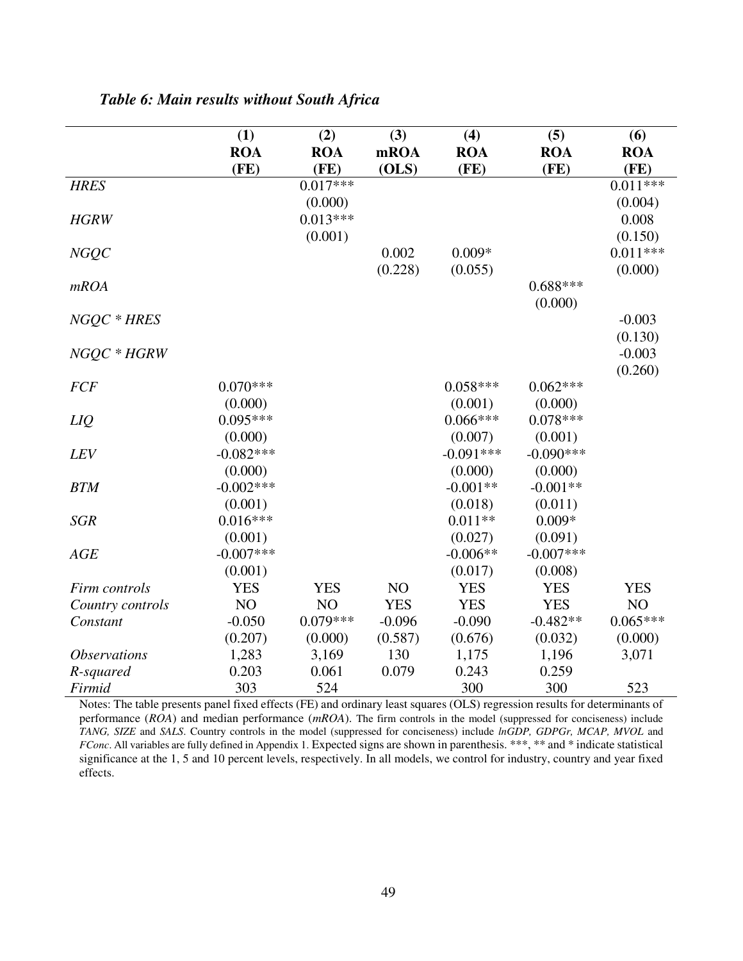|                            | (1)          | (2)        | (3)        | (4)         | (5)         | (6)        |
|----------------------------|--------------|------------|------------|-------------|-------------|------------|
|                            | <b>ROA</b>   | <b>ROA</b> | mROA       | <b>ROA</b>  | <b>ROA</b>  | <b>ROA</b> |
|                            | (FE)         | (FE)       | (OLS)      | (FE)        | (FE)        | (FE)       |
| <b>HRES</b>                |              | $0.017***$ |            |             |             | $0.011***$ |
|                            |              | (0.000)    |            |             |             | (0.004)    |
| <b>HGRW</b>                |              | $0.013***$ |            |             |             | 0.008      |
|                            |              | (0.001)    |            |             |             | (0.150)    |
| NGQC                       |              |            | 0.002      | $0.009*$    |             | $0.011***$ |
|                            |              |            | (0.228)    | (0.055)     |             | (0.000)    |
| mROA                       |              |            |            |             | $0.688***$  |            |
|                            |              |            |            |             | (0.000)     |            |
| NGQC * HRES                |              |            |            |             |             | $-0.003$   |
|                            |              |            |            |             |             | (0.130)    |
| NGQC * HGRW                |              |            |            |             |             | $-0.003$   |
|                            |              |            |            |             |             | (0.260)    |
| <b>FCF</b>                 | $0.070***$   |            |            | $0.058***$  | $0.062***$  |            |
|                            | (0.000)      |            |            | (0.001)     | (0.000)     |            |
| LIQ                        | $0.095***$   |            |            | $0.066***$  | $0.078***$  |            |
|                            | (0.000)      |            |            | (0.007)     | (0.001)     |            |
| LEV                        | $-0.082***$  |            |            | $-0.091***$ | $-0.090***$ |            |
|                            | (0.000)      |            |            | (0.000)     | (0.000)     |            |
| <b>BTM</b>                 | $-0.002$ *** |            |            | $-0.001**$  | $-0.001**$  |            |
|                            | (0.001)      |            |            | (0.018)     | (0.011)     |            |
| <b>SGR</b>                 | $0.016***$   |            |            | $0.011**$   | $0.009*$    |            |
|                            | (0.001)      |            |            | (0.027)     | (0.091)     |            |
| AGE                        | $-0.007***$  |            |            | $-0.006**$  | $-0.007***$ |            |
|                            | (0.001)      |            |            | (0.017)     | (0.008)     |            |
| Firm controls              | <b>YES</b>   | <b>YES</b> | NO         | <b>YES</b>  | <b>YES</b>  | <b>YES</b> |
| Country controls           | NO           | NO         | <b>YES</b> | <b>YES</b>  | <b>YES</b>  | NO         |
| Constant                   | $-0.050$     | $0.079***$ | $-0.096$   | $-0.090$    | $-0.482**$  | $0.065***$ |
|                            | (0.207)      | (0.000)    | (0.587)    | (0.676)     | (0.032)     | (0.000)    |
| <i><b>Observations</b></i> | 1,283        | 3,169      | 130        | 1,175       | 1,196       | 3,071      |
| R-squared                  | 0.203        | 0.061      | 0.079      | 0.243       | 0.259       |            |
| Firmid                     | 303          | 524        |            | 300         | 300         | 523        |

*Table 6: Main results without South Africa* 

Notes: The table presents panel fixed effects (FE) and ordinary least squares (OLS) regression results for determinants of performance (*ROA*) and median performance (*mROA*). The firm controls in the model (suppressed for conciseness) include *TANG, SIZE* and *SALS*. Country controls in the model (suppressed for conciseness) include *lnGDP, GDPGr, MCAP, MVOL* and *FConc*. All variables are fully defined in Appendix 1. Expected signs are shown in parenthesis. \*\*\*, \*\* and \* indicate statistical significance at the 1, 5 and 10 percent levels, respectively. In all models, we control for industry, country and year fixed effects.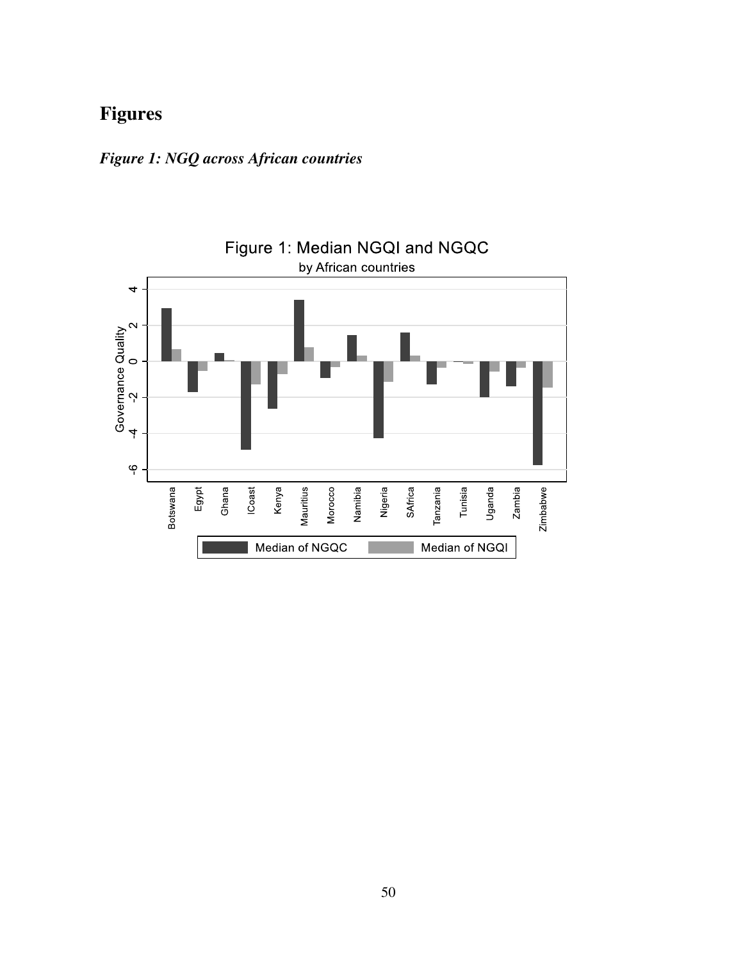# **Figures**



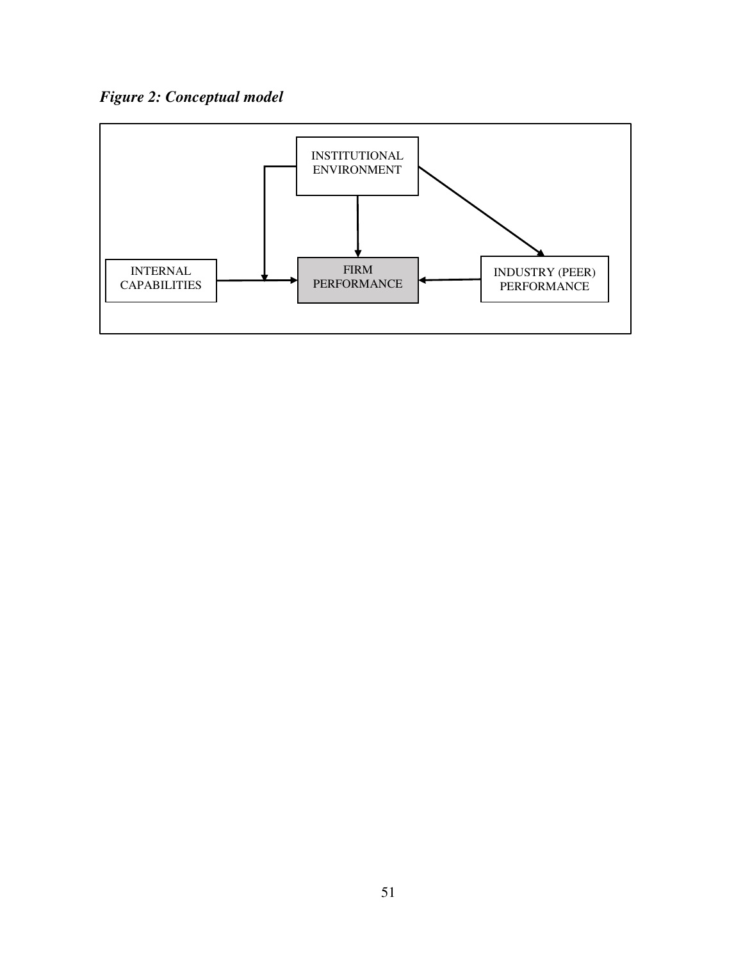*Figure 2: Conceptual model* 

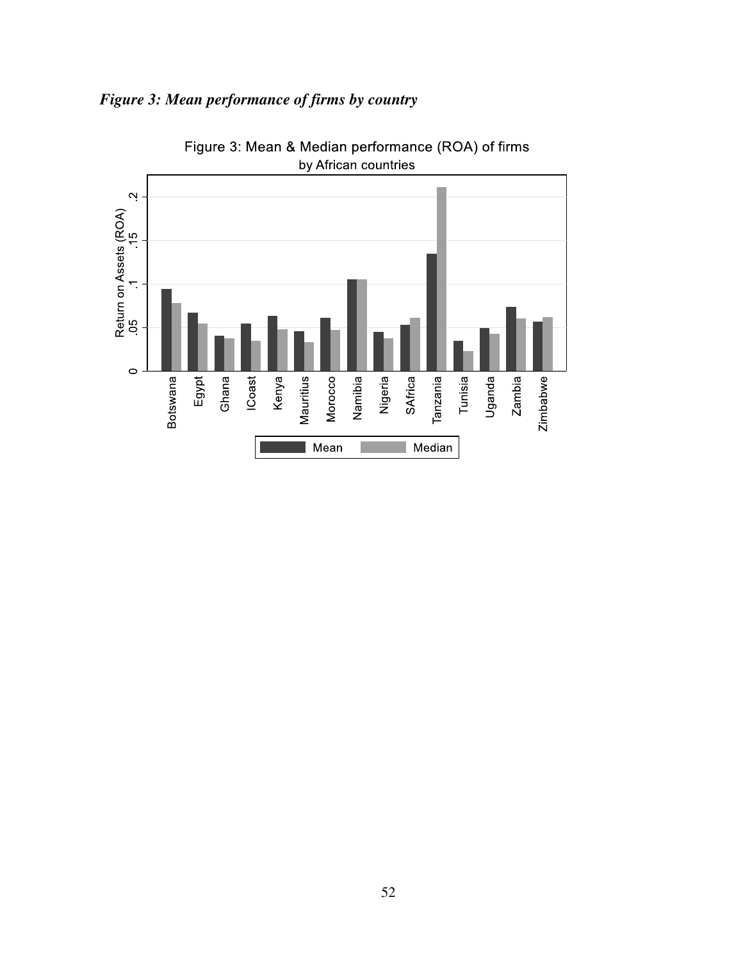

## *Figure 3: Mean performance of firms by country*